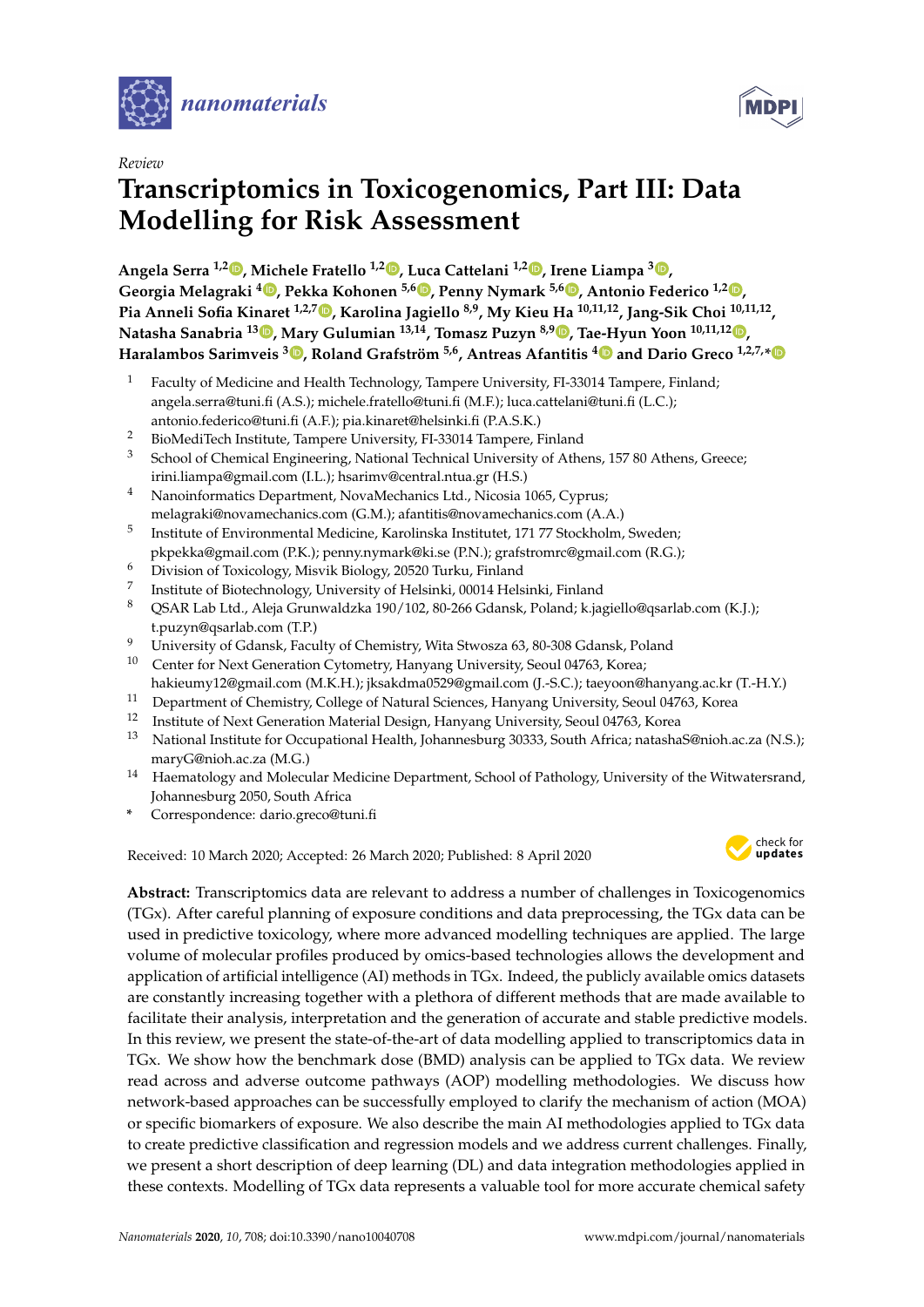



# **Transcriptomics in Toxicogenomics, Part III: Data Modelling for Risk Assessment**

**Angela Serra 1,2 [,](https://orcid.org/0000-0002-3374-1492) Michele Fratello 1,2 [,](https://orcid.org/0000-0002-3997-2339) Luca Cattelani 1,2 [,](https://orcid.org/0000-0003-4852-2310) Irene Liampa <sup>3</sup> [,](https://orcid.org/0000-0002-6350-6776) Georgia Melagraki [4](https://orcid.org/0000-0001-7547-2342) , Pekka Kohonen 5,6 [,](https://orcid.org/0000-0002-7845-3611) Penny Nymark 5,6 [,](https://orcid.org/0000-0002-3435-7775) Antonio Federico 1,2 [,](https://orcid.org/0000-0003-2554-9879) Pia Anneli Sofia Kinaret 1,2,7 [,](https://orcid.org/0000-0002-3312-5331) Karolina Jagiello 8,9, My Kieu Ha 10,11,12, Jang-Sik Choi 10,11,12 , Natasha Sanabria <sup>13</sup> [,](https://orcid.org/0000-0002-1613-6178) Mary Gulumian 13,14, Tomasz Puzyn 8,9 [,](https://orcid.org/0000-0003-0449-8339) Tae-Hyun Yoon 10,11,12 [,](https://orcid.org/0000-0002-2743-6360) Haralambos Sarimveis <sup>3</sup> [,](https://orcid.org/0000-0002-8607-9965) Roland Grafström 5,6, Antreas Afantitis [4](https://orcid.org/0000-0002-0977-8180) and Dario Greco 1,2,7,[\\*](https://orcid.org/0000-0001-9195-9003)**

- <sup>1</sup> Faculty of Medicine and Health Technology, Tampere University, FI-33014 Tampere, Finland; angela.serra@tuni.fi (A.S.); michele.fratello@tuni.fi (M.F.); luca.cattelani@tuni.fi (L.C.); antonio.federico@tuni.fi (A.F.); pia.kinaret@helsinki.fi (P.A.S.K.)
- <sup>2</sup> BioMediTech Institute, Tampere University, FI-33014 Tampere, Finland
- School of Chemical Engineering, National Technical University of Athens, 157 80 Athens, Greece; irini.liampa@gmail.com (I.L.); hsarimv@central.ntua.gr (H.S.)
- <sup>4</sup> Nanoinformatics Department, NovaMechanics Ltd., Nicosia 1065, Cyprus; melagraki@novamechanics.com (G.M.); afantitis@novamechanics.com (A.A.)
- 5 Institute of Environmental Medicine, Karolinska Institutet, 171 77 Stockholm, Sweden;
- pkpekka@gmail.com (P.K.); penny.nymark@ki.se (P.N.); grafstromrc@gmail.com (R.G.);
- <sup>6</sup> Division of Toxicology, Misvik Biology, 20520 Turku, Finland
- 7 Institute of Biotechnology, University of Helsinki, 00014 Helsinki, Finland
- <sup>8</sup> QSAR Lab Ltd., Aleja Grunwaldzka 190/102, 80-266 Gdansk, Poland; k.jagiello@qsarlab.com (K.J.); t.puzyn@qsarlab.com (T.P.)
- <sup>9</sup> University of Gdansk, Faculty of Chemistry, Wita Stwosza 63, 80-308 Gdansk, Poland
- <sup>10</sup> Center for Next Generation Cytometry, Hanyang University, Seoul 04763, Korea; hakieumy12@gmail.com (M.K.H.); jksakdma0529@gmail.com (J.-S.C.); taeyoon@hanyang.ac.kr (T.-H.Y.)
- <sup>11</sup> Department of Chemistry, College of Natural Sciences, Hanyang University, Seoul 04763, Korea<br><sup>12</sup> Institute of Next Conception Material Design Hanyang University Seoul 04763, Korea
- <sup>12</sup> Institute of Next Generation Material Design, Hanyang University, Seoul 04763, Korea
- <sup>13</sup> National Institute for Occupational Health, Johannesburg 30333, South Africa; natashaS@nioh.ac.za (N.S.); maryG@nioh.ac.za (M.G.)
- <sup>14</sup> Haematology and Molecular Medicine Department, School of Pathology, University of the Witwatersrand, Johannesburg 2050, South Africa
- **\*** Correspondence: dario.greco@tuni.fi

Received: 10 March 2020; Accepted: 26 March 2020; Published: 8 April 2020



**MDP** 

**Abstract:** Transcriptomics data are relevant to address a number of challenges in Toxicogenomics (TGx). After careful planning of exposure conditions and data preprocessing, the TGx data can be used in predictive toxicology, where more advanced modelling techniques are applied. The large volume of molecular profiles produced by omics-based technologies allows the development and application of artificial intelligence (AI) methods in TGx. Indeed, the publicly available omics datasets are constantly increasing together with a plethora of different methods that are made available to facilitate their analysis, interpretation and the generation of accurate and stable predictive models. In this review, we present the state-of-the-art of data modelling applied to transcriptomics data in TGx. We show how the benchmark dose (BMD) analysis can be applied to TGx data. We review read across and adverse outcome pathways (AOP) modelling methodologies. We discuss how network-based approaches can be successfully employed to clarify the mechanism of action (MOA) or specific biomarkers of exposure. We also describe the main AI methodologies applied to TGx data to create predictive classification and regression models and we address current challenges. Finally, we present a short description of deep learning (DL) and data integration methodologies applied in these contexts. Modelling of TGx data represents a valuable tool for more accurate chemical safety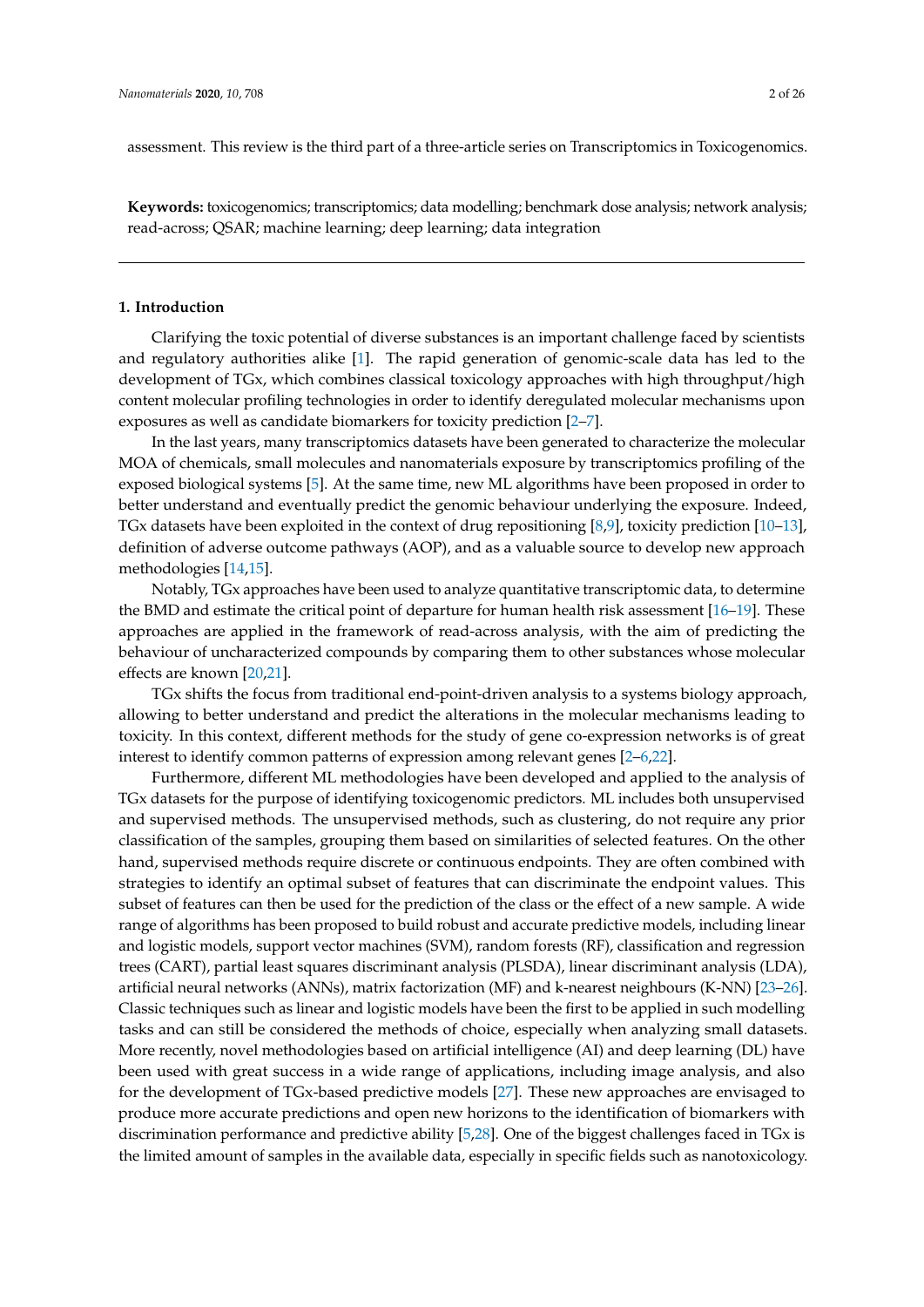assessment. This review is the third part of a three-article series on Transcriptomics in Toxicogenomics.

**Keywords:** toxicogenomics; transcriptomics; data modelling; benchmark dose analysis; network analysis; read-across; QSAR; machine learning; deep learning; data integration

# **1. Introduction**

Clarifying the toxic potential of diverse substances is an important challenge faced by scientists and regulatory authorities alike [\[1\]](#page-16-0). The rapid generation of genomic-scale data has led to the development of TGx, which combines classical toxicology approaches with high throughput/high content molecular profiling technologies in order to identify deregulated molecular mechanisms upon exposures as well as candidate biomarkers for toxicity prediction [\[2](#page-16-1)[–7\]](#page-17-0).

In the last years, many transcriptomics datasets have been generated to characterize the molecular MOA of chemicals, small molecules and nanomaterials exposure by transcriptomics profiling of the exposed biological systems [\[5\]](#page-17-1). At the same time, new ML algorithms have been proposed in order to better understand and eventually predict the genomic behaviour underlying the exposure. Indeed, TGx datasets have been exploited in the context of drug repositioning [\[8,](#page-17-2)[9\]](#page-17-3), toxicity prediction [\[10](#page-17-4)[–13\]](#page-17-5), definition of adverse outcome pathways (AOP), and as a valuable source to develop new approach methodologies [\[14,](#page-17-6)[15\]](#page-17-7).

Notably, TGx approaches have been used to analyze quantitative transcriptomic data, to determine the BMD and estimate the critical point of departure for human health risk assessment [\[16](#page-17-8)[–19\]](#page-17-9). These approaches are applied in the framework of read-across analysis, with the aim of predicting the behaviour of uncharacterized compounds by comparing them to other substances whose molecular effects are known [\[20,](#page-17-10)[21\]](#page-17-11).

TGx shifts the focus from traditional end-point-driven analysis to a systems biology approach, allowing to better understand and predict the alterations in the molecular mechanisms leading to toxicity. In this context, different methods for the study of gene co-expression networks is of great interest to identify common patterns of expression among relevant genes [\[2–](#page-16-1)[6](#page-17-12)[,22\]](#page-17-13).

Furthermore, different ML methodologies have been developed and applied to the analysis of TGx datasets for the purpose of identifying toxicogenomic predictors. ML includes both unsupervised and supervised methods. The unsupervised methods, such as clustering, do not require any prior classification of the samples, grouping them based on similarities of selected features. On the other hand, supervised methods require discrete or continuous endpoints. They are often combined with strategies to identify an optimal subset of features that can discriminate the endpoint values. This subset of features can then be used for the prediction of the class or the effect of a new sample. A wide range of algorithms has been proposed to build robust and accurate predictive models, including linear and logistic models, support vector machines (SVM), random forests (RF), classification and regression trees (CART), partial least squares discriminant analysis (PLSDA), linear discriminant analysis (LDA), artificial neural networks (ANNs), matrix factorization (MF) and k-nearest neighbours (K-NN) [\[23–](#page-17-14)[26\]](#page-18-0). Classic techniques such as linear and logistic models have been the first to be applied in such modelling tasks and can still be considered the methods of choice, especially when analyzing small datasets. More recently, novel methodologies based on artificial intelligence (AI) and deep learning (DL) have been used with great success in a wide range of applications, including image analysis, and also for the development of TGx-based predictive models [\[27\]](#page-18-1). These new approaches are envisaged to produce more accurate predictions and open new horizons to the identification of biomarkers with discrimination performance and predictive ability [\[5](#page-17-1)[,28\]](#page-18-2). One of the biggest challenges faced in TGx is the limited amount of samples in the available data, especially in specific fields such as nanotoxicology.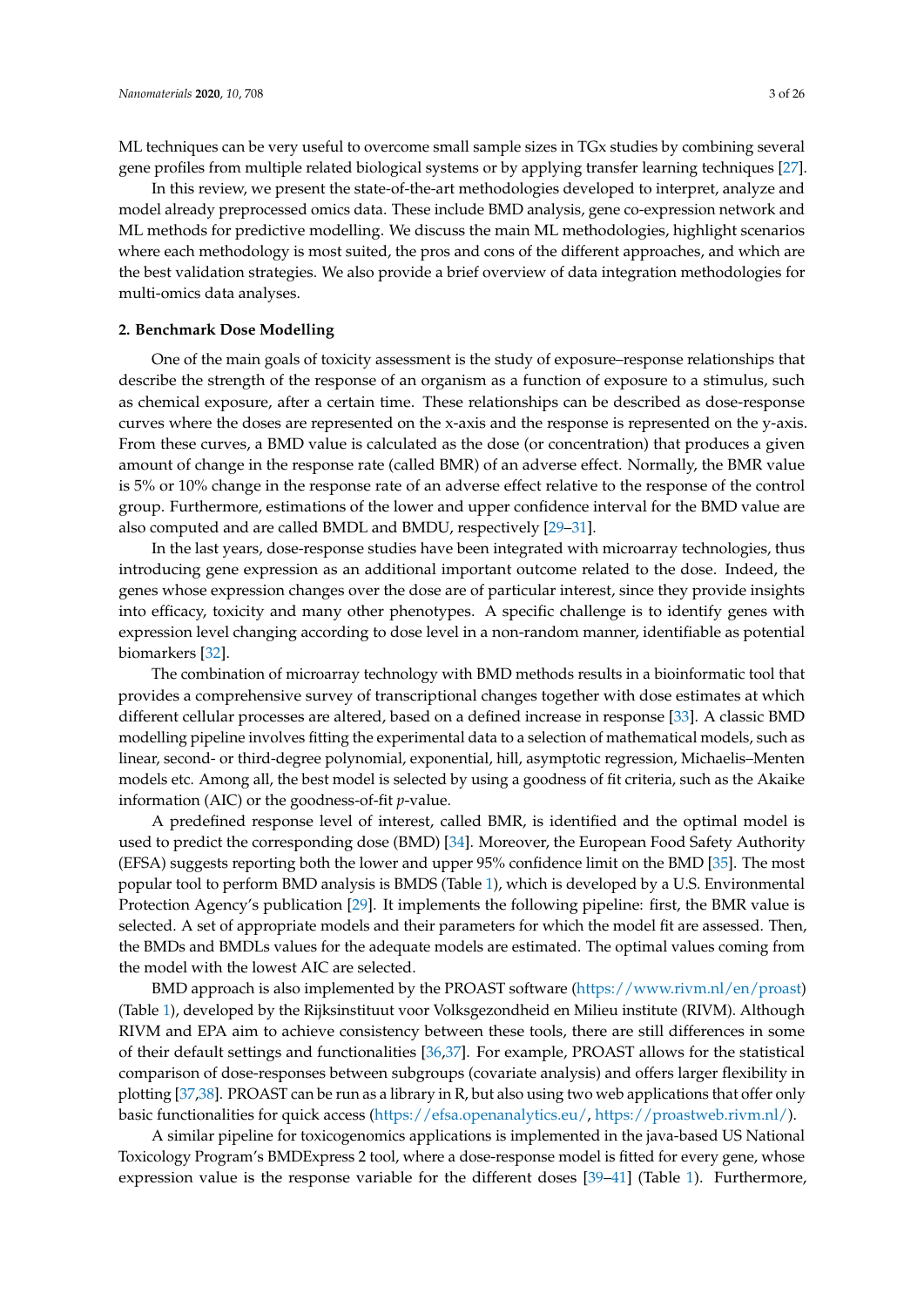ML techniques can be very useful to overcome small sample sizes in TGx studies by combining several gene profiles from multiple related biological systems or by applying transfer learning techniques [\[27\]](#page-18-1).

In this review, we present the state-of-the-art methodologies developed to interpret, analyze and model already preprocessed omics data. These include BMD analysis, gene co-expression network and ML methods for predictive modelling. We discuss the main ML methodologies, highlight scenarios where each methodology is most suited, the pros and cons of the different approaches, and which are the best validation strategies. We also provide a brief overview of data integration methodologies for multi-omics data analyses.

# **2. Benchmark Dose Modelling**

One of the main goals of toxicity assessment is the study of exposure–response relationships that describe the strength of the response of an organism as a function of exposure to a stimulus, such as chemical exposure, after a certain time. These relationships can be described as dose-response curves where the doses are represented on the x-axis and the response is represented on the y-axis. From these curves, a BMD value is calculated as the dose (or concentration) that produces a given amount of change in the response rate (called BMR) of an adverse effect. Normally, the BMR value is 5% or 10% change in the response rate of an adverse effect relative to the response of the control group. Furthermore, estimations of the lower and upper confidence interval for the BMD value are also computed and are called BMDL and BMDU, respectively [\[29–](#page-18-3)[31\]](#page-18-4).

In the last years, dose-response studies have been integrated with microarray technologies, thus introducing gene expression as an additional important outcome related to the dose. Indeed, the genes whose expression changes over the dose are of particular interest, since they provide insights into efficacy, toxicity and many other phenotypes. A specific challenge is to identify genes with expression level changing according to dose level in a non-random manner, identifiable as potential biomarkers [\[32\]](#page-18-5).

The combination of microarray technology with BMD methods results in a bioinformatic tool that provides a comprehensive survey of transcriptional changes together with dose estimates at which different cellular processes are altered, based on a defined increase in response [\[33\]](#page-18-6). A classic BMD modelling pipeline involves fitting the experimental data to a selection of mathematical models, such as linear, second- or third-degree polynomial, exponential, hill, asymptotic regression, Michaelis–Menten models etc. Among all, the best model is selected by using a goodness of fit criteria, such as the Akaike information (AIC) or the goodness-of-fit *p*-value.

A predefined response level of interest, called BMR, is identified and the optimal model is used to predict the corresponding dose (BMD) [\[34\]](#page-18-7). Moreover, the European Food Safety Authority (EFSA) suggests reporting both the lower and upper 95% confidence limit on the BMD [\[35\]](#page-18-8). The most popular tool to perform BMD analysis is BMDS (Table [1\)](#page-3-0), which is developed by a U.S. Environmental Protection Agency's publication [\[29\]](#page-18-3). It implements the following pipeline: first, the BMR value is selected. A set of appropriate models and their parameters for which the model fit are assessed. Then, the BMDs and BMDLs values for the adequate models are estimated. The optimal values coming from the model with the lowest AIC are selected.

BMD approach is also implemented by the PROAST software [\(https://www.rivm.nl/en/proast\)](https://www.rivm.nl/en/proast) (Table [1\)](#page-3-0), developed by the Rijksinstituut voor Volksgezondheid en Milieu institute (RIVM). Although RIVM and EPA aim to achieve consistency between these tools, there are still differences in some of their default settings and functionalities [\[36,](#page-18-9)[37\]](#page-18-10). For example, PROAST allows for the statistical comparison of dose-responses between subgroups (covariate analysis) and offers larger flexibility in plotting [\[37,](#page-18-10)[38\]](#page-18-11). PROAST can be run as a library in R, but also using two web applications that offer only basic functionalities for quick access [\(https://efsa.openanalytics.eu/,](https://efsa.openanalytics.eu/) [https://proastweb.rivm.nl/\)](https://proastweb.rivm.nl/).

A similar pipeline for toxicogenomics applications is implemented in the java-based US National Toxicology Program's BMDExpress 2 tool, where a dose-response model is fitted for every gene, whose expression value is the response variable for the different doses [\[39](#page-18-12)[–41\]](#page-18-13) (Table [1\)](#page-3-0). Furthermore,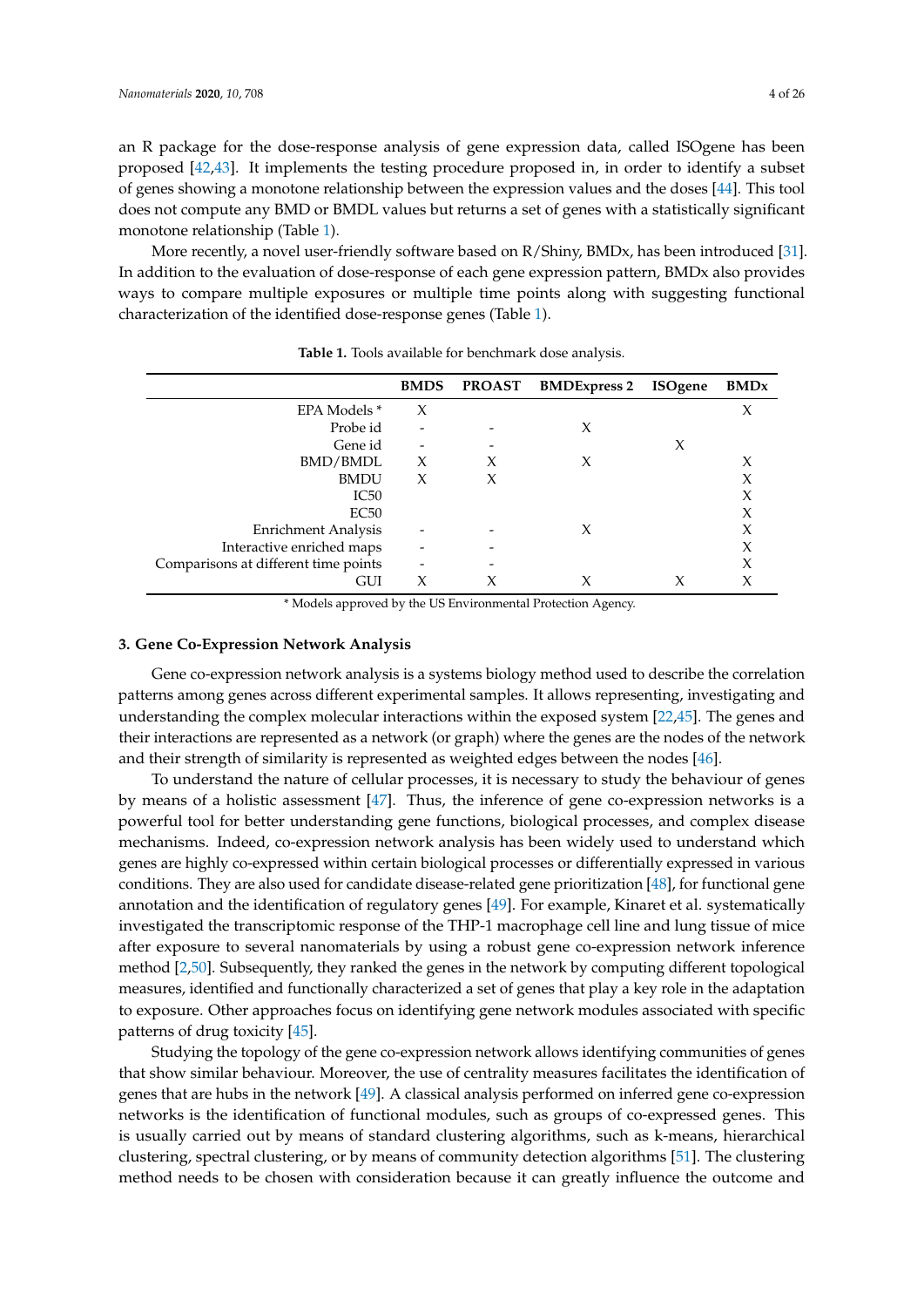an R package for the dose-response analysis of gene expression data, called ISOgene has been proposed [\[42](#page-18-14)[,43\]](#page-18-15). It implements the testing procedure proposed in, in order to identify a subset of genes showing a monotone relationship between the expression values and the doses [\[44\]](#page-18-16). This tool does not compute any BMD or BMDL values but returns a set of genes with a statistically significant monotone relationship (Table [1\)](#page-3-0).

More recently, a novel user-friendly software based on R/Shiny, BMDx, has been introduced [\[31\]](#page-18-4). In addition to the evaluation of dose-response of each gene expression pattern, BMDx also provides ways to compare multiple exposures or multiple time points along with suggesting functional characterization of the identified dose-response genes (Table [1\)](#page-3-0).

<span id="page-3-0"></span>

|                                      | <b>BMDS</b> | <b>PROAST</b> | <b>BMDExpress 2</b> | <b>ISOgene</b> | <b>BMD</b> <sub>x</sub> |
|--------------------------------------|-------------|---------------|---------------------|----------------|-------------------------|
| EPA Models *                         | X           |               |                     |                | X                       |
| Probe id                             |             |               | X                   |                |                         |
| Gene id                              |             |               |                     | X              |                         |
| BMD/BMDL                             | X           | Х             | X                   |                | Х                       |
| <b>BMDU</b>                          | X           | X             |                     |                | Х                       |
| IC50                                 |             |               |                     |                | Х                       |
| EC50                                 |             |               |                     |                | X                       |
| Enrichment Analysis                  |             |               | X                   |                |                         |
| Interactive enriched maps            |             |               |                     |                | X                       |
| Comparisons at different time points |             |               |                     |                | X                       |
| GUI                                  | X           |               |                     |                |                         |

**Table 1.** Tools available for benchmark dose analysis.

\* Models approved by the US Environmental Protection Agency.

#### **3. Gene Co-Expression Network Analysis**

Gene co-expression network analysis is a systems biology method used to describe the correlation patterns among genes across different experimental samples. It allows representing, investigating and understanding the complex molecular interactions within the exposed system [\[22](#page-17-13)[,45\]](#page-19-0). The genes and their interactions are represented as a network (or graph) where the genes are the nodes of the network and their strength of similarity is represented as weighted edges between the nodes [\[46\]](#page-19-1).

To understand the nature of cellular processes, it is necessary to study the behaviour of genes by means of a holistic assessment [\[47\]](#page-19-2). Thus, the inference of gene co-expression networks is a powerful tool for better understanding gene functions, biological processes, and complex disease mechanisms. Indeed, co-expression network analysis has been widely used to understand which genes are highly co-expressed within certain biological processes or differentially expressed in various conditions. They are also used for candidate disease-related gene prioritization [\[48\]](#page-19-3), for functional gene annotation and the identification of regulatory genes [\[49\]](#page-19-4). For example, Kinaret et al. systematically investigated the transcriptomic response of the THP-1 macrophage cell line and lung tissue of mice after exposure to several nanomaterials by using a robust gene co-expression network inference method [\[2,](#page-16-1)[50\]](#page-19-5). Subsequently, they ranked the genes in the network by computing different topological measures, identified and functionally characterized a set of genes that play a key role in the adaptation to exposure. Other approaches focus on identifying gene network modules associated with specific patterns of drug toxicity [\[45\]](#page-19-0).

Studying the topology of the gene co-expression network allows identifying communities of genes that show similar behaviour. Moreover, the use of centrality measures facilitates the identification of genes that are hubs in the network [\[49\]](#page-19-4). A classical analysis performed on inferred gene co-expression networks is the identification of functional modules, such as groups of co-expressed genes. This is usually carried out by means of standard clustering algorithms, such as k-means, hierarchical clustering, spectral clustering, or by means of community detection algorithms [\[51\]](#page-19-6). The clustering method needs to be chosen with consideration because it can greatly influence the outcome and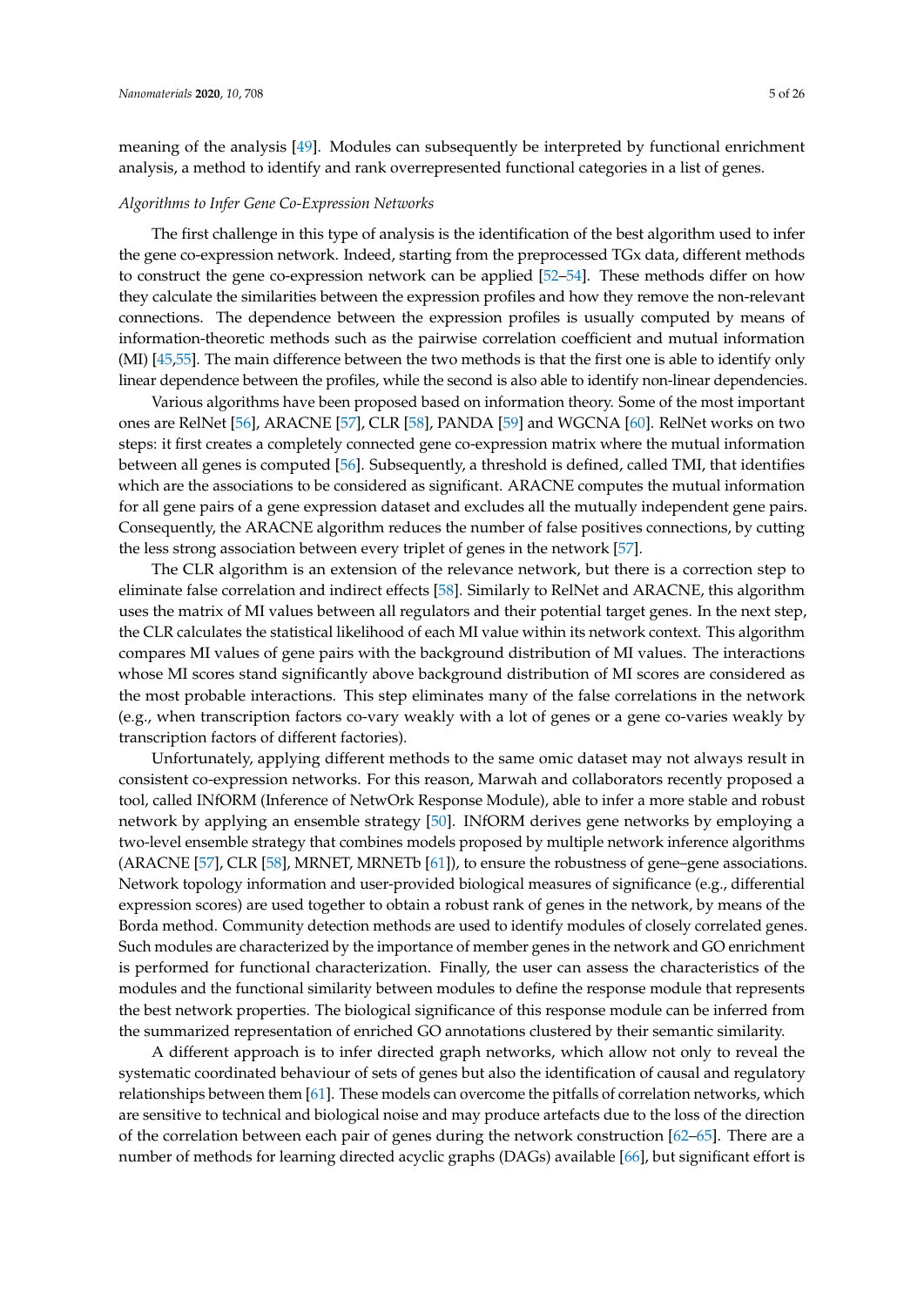meaning of the analysis [\[49\]](#page-19-4). Modules can subsequently be interpreted by functional enrichment analysis, a method to identify and rank overrepresented functional categories in a list of genes.

## *Algorithms to Infer Gene Co-Expression Networks*

The first challenge in this type of analysis is the identification of the best algorithm used to infer the gene co-expression network. Indeed, starting from the preprocessed TGx data, different methods to construct the gene co-expression network can be applied [\[52](#page-19-7)[–54\]](#page-19-8). These methods differ on how they calculate the similarities between the expression profiles and how they remove the non-relevant connections. The dependence between the expression profiles is usually computed by means of information-theoretic methods such as the pairwise correlation coefficient and mutual information (MI) [\[45,](#page-19-0)[55\]](#page-19-9). The main difference between the two methods is that the first one is able to identify only linear dependence between the profiles, while the second is also able to identify non-linear dependencies.

Various algorithms have been proposed based on information theory. Some of the most important ones are RelNet [\[56\]](#page-19-10), ARACNE [\[57\]](#page-19-11), CLR [\[58\]](#page-19-12), PANDA [\[59\]](#page-19-13) and WGCNA [\[60\]](#page-19-14). RelNet works on two steps: it first creates a completely connected gene co-expression matrix where the mutual information between all genes is computed [\[56\]](#page-19-10). Subsequently, a threshold is defined, called TMI, that identifies which are the associations to be considered as significant. ARACNE computes the mutual information for all gene pairs of a gene expression dataset and excludes all the mutually independent gene pairs. Consequently, the ARACNE algorithm reduces the number of false positives connections, by cutting the less strong association between every triplet of genes in the network [\[57\]](#page-19-11).

The CLR algorithm is an extension of the relevance network, but there is a correction step to eliminate false correlation and indirect effects [\[58\]](#page-19-12). Similarly to RelNet and ARACNE, this algorithm uses the matrix of MI values between all regulators and their potential target genes. In the next step, the CLR calculates the statistical likelihood of each MI value within its network context. This algorithm compares MI values of gene pairs with the background distribution of MI values. The interactions whose MI scores stand significantly above background distribution of MI scores are considered as the most probable interactions. This step eliminates many of the false correlations in the network (e.g., when transcription factors co-vary weakly with a lot of genes or a gene co-varies weakly by transcription factors of different factories).

Unfortunately, applying different methods to the same omic dataset may not always result in consistent co-expression networks. For this reason, Marwah and collaborators recently proposed a tool, called INfORM (Inference of NetwOrk Response Module), able to infer a more stable and robust network by applying an ensemble strategy [\[50\]](#page-19-5). INfORM derives gene networks by employing a two-level ensemble strategy that combines models proposed by multiple network inference algorithms (ARACNE [\[57\]](#page-19-11), CLR [\[58\]](#page-19-12), MRNET, MRNETb [\[61\]](#page-19-15)), to ensure the robustness of gene–gene associations. Network topology information and user-provided biological measures of significance (e.g., differential expression scores) are used together to obtain a robust rank of genes in the network, by means of the Borda method. Community detection methods are used to identify modules of closely correlated genes. Such modules are characterized by the importance of member genes in the network and GO enrichment is performed for functional characterization. Finally, the user can assess the characteristics of the modules and the functional similarity between modules to define the response module that represents the best network properties. The biological significance of this response module can be inferred from the summarized representation of enriched GO annotations clustered by their semantic similarity.

A different approach is to infer directed graph networks, which allow not only to reveal the systematic coordinated behaviour of sets of genes but also the identification of causal and regulatory relationships between them [\[61\]](#page-19-15). These models can overcome the pitfalls of correlation networks, which are sensitive to technical and biological noise and may produce artefacts due to the loss of the direction of the correlation between each pair of genes during the network construction  $[62-65]$  $[62-65]$ . There are a number of methods for learning directed acyclic graphs (DAGs) available [\[66\]](#page-19-18), but significant effort is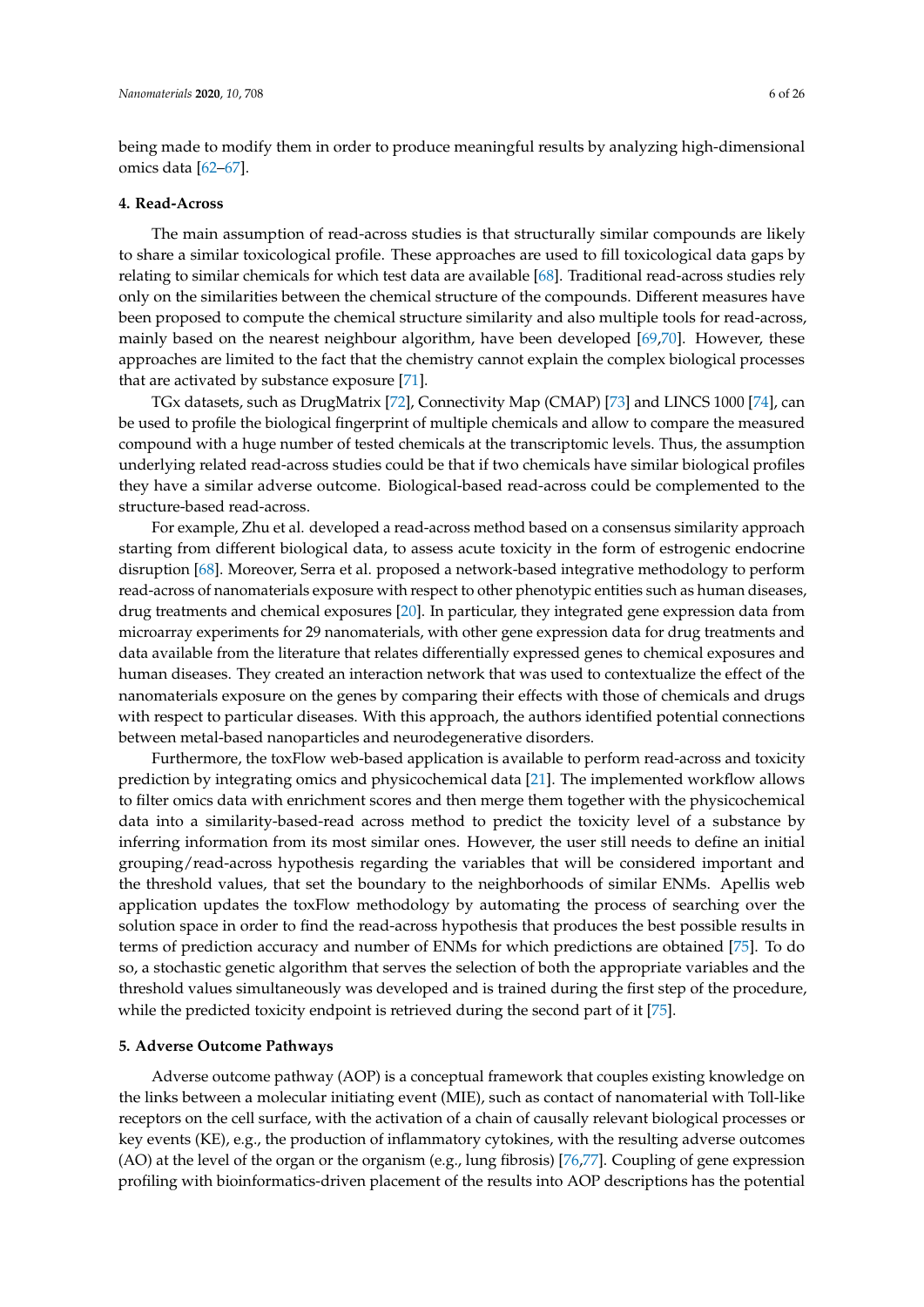being made to modify them in order to produce meaningful results by analyzing high-dimensional omics data [\[62–](#page-19-16)[67\]](#page-19-19).

# **4. Read-Across**

The main assumption of read-across studies is that structurally similar compounds are likely to share a similar toxicological profile. These approaches are used to fill toxicological data gaps by relating to similar chemicals for which test data are available [\[68\]](#page-20-0). Traditional read-across studies rely only on the similarities between the chemical structure of the compounds. Different measures have been proposed to compute the chemical structure similarity and also multiple tools for read-across, mainly based on the nearest neighbour algorithm, have been developed [\[69,](#page-20-1)[70\]](#page-20-2). However, these approaches are limited to the fact that the chemistry cannot explain the complex biological processes that are activated by substance exposure [\[71\]](#page-20-3).

TGx datasets, such as DrugMatrix [\[72\]](#page-20-4), Connectivity Map (CMAP) [\[73\]](#page-20-5) and LINCS 1000 [\[74\]](#page-20-6), can be used to profile the biological fingerprint of multiple chemicals and allow to compare the measured compound with a huge number of tested chemicals at the transcriptomic levels. Thus, the assumption underlying related read-across studies could be that if two chemicals have similar biological profiles they have a similar adverse outcome. Biological-based read-across could be complemented to the structure-based read-across.

For example, Zhu et al. developed a read-across method based on a consensus similarity approach starting from different biological data, to assess acute toxicity in the form of estrogenic endocrine disruption [\[68\]](#page-20-0). Moreover, Serra et al. proposed a network-based integrative methodology to perform read-across of nanomaterials exposure with respect to other phenotypic entities such as human diseases, drug treatments and chemical exposures [\[20\]](#page-17-10). In particular, they integrated gene expression data from microarray experiments for 29 nanomaterials, with other gene expression data for drug treatments and data available from the literature that relates differentially expressed genes to chemical exposures and human diseases. They created an interaction network that was used to contextualize the effect of the nanomaterials exposure on the genes by comparing their effects with those of chemicals and drugs with respect to particular diseases. With this approach, the authors identified potential connections between metal-based nanoparticles and neurodegenerative disorders.

Furthermore, the toxFlow web-based application is available to perform read-across and toxicity prediction by integrating omics and physicochemical data [\[21\]](#page-17-11). The implemented workflow allows to filter omics data with enrichment scores and then merge them together with the physicochemical data into a similarity-based-read across method to predict the toxicity level of a substance by inferring information from its most similar ones. However, the user still needs to define an initial grouping/read-across hypothesis regarding the variables that will be considered important and the threshold values, that set the boundary to the neighborhoods of similar ENMs. Apellis web application updates the toxFlow methodology by automating the process of searching over the solution space in order to find the read-across hypothesis that produces the best possible results in terms of prediction accuracy and number of ENMs for which predictions are obtained [\[75\]](#page-20-7). To do so, a stochastic genetic algorithm that serves the selection of both the appropriate variables and the threshold values simultaneously was developed and is trained during the first step of the procedure, while the predicted toxicity endpoint is retrieved during the second part of it [\[75\]](#page-20-7).

# **5. Adverse Outcome Pathways**

Adverse outcome pathway (AOP) is a conceptual framework that couples existing knowledge on the links between a molecular initiating event (MIE), such as contact of nanomaterial with Toll-like receptors on the cell surface, with the activation of a chain of causally relevant biological processes or key events (KE), e.g., the production of inflammatory cytokines, with the resulting adverse outcomes (AO) at the level of the organ or the organism (e.g., lung fibrosis) [\[76,](#page-20-8)[77\]](#page-20-9). Coupling of gene expression profiling with bioinformatics-driven placement of the results into AOP descriptions has the potential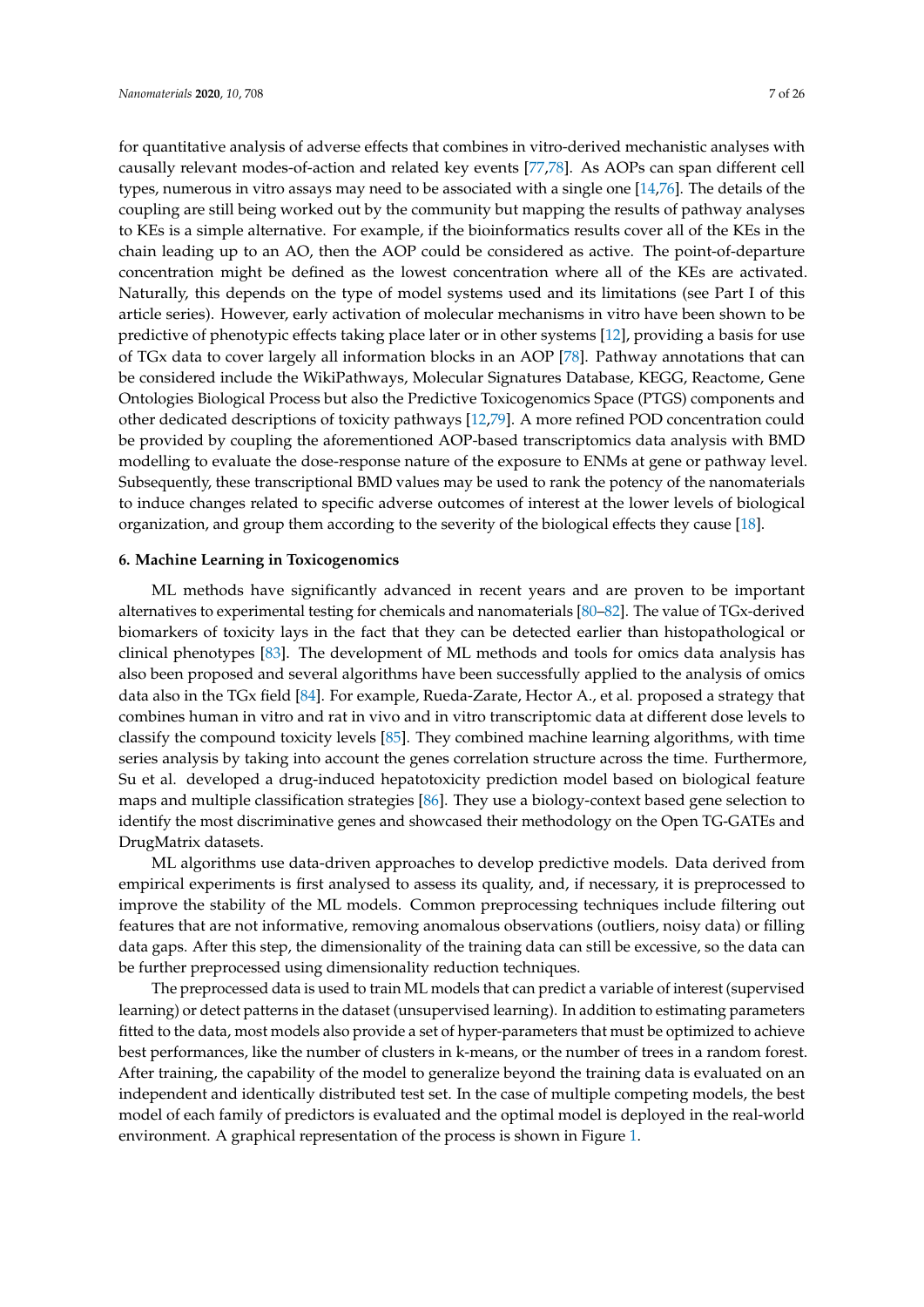for quantitative analysis of adverse effects that combines in vitro-derived mechanistic analyses with causally relevant modes-of-action and related key events [\[77](#page-20-9)[,78\]](#page-20-10). As AOPs can span different cell types, numerous in vitro assays may need to be associated with a single one [\[14](#page-17-6)[,76\]](#page-20-8). The details of the coupling are still being worked out by the community but mapping the results of pathway analyses to KEs is a simple alternative. For example, if the bioinformatics results cover all of the KEs in the chain leading up to an AO, then the AOP could be considered as active. The point-of-departure concentration might be defined as the lowest concentration where all of the KEs are activated. Naturally, this depends on the type of model systems used and its limitations (see Part I of this article series). However, early activation of molecular mechanisms in vitro have been shown to be predictive of phenotypic effects taking place later or in other systems [\[12\]](#page-17-15), providing a basis for use of TGx data to cover largely all information blocks in an AOP [\[78\]](#page-20-10). Pathway annotations that can be considered include the WikiPathways, Molecular Signatures Database, KEGG, Reactome, Gene Ontologies Biological Process but also the Predictive Toxicogenomics Space (PTGS) components and other dedicated descriptions of toxicity pathways [\[12,](#page-17-15)[79\]](#page-20-11). A more refined POD concentration could be provided by coupling the aforementioned AOP-based transcriptomics data analysis with BMD modelling to evaluate the dose-response nature of the exposure to ENMs at gene or pathway level. Subsequently, these transcriptional BMD values may be used to rank the potency of the nanomaterials to induce changes related to specific adverse outcomes of interest at the lower levels of biological organization, and group them according to the severity of the biological effects they cause [\[18\]](#page-17-16).

#### **6. Machine Learning in Toxicogenomics**

ML methods have significantly advanced in recent years and are proven to be important alternatives to experimental testing for chemicals and nanomaterials [\[80–](#page-20-12)[82\]](#page-20-13). The value of TGx-derived biomarkers of toxicity lays in the fact that they can be detected earlier than histopathological or clinical phenotypes [\[83\]](#page-20-14). The development of ML methods and tools for omics data analysis has also been proposed and several algorithms have been successfully applied to the analysis of omics data also in the TGx field [\[84\]](#page-20-15). For example, Rueda-Zarate, Hector A., et al. proposed a strategy that combines human in vitro and rat in vivo and in vitro transcriptomic data at different dose levels to classify the compound toxicity levels [\[85\]](#page-20-16). They combined machine learning algorithms, with time series analysis by taking into account the genes correlation structure across the time. Furthermore, Su et al. developed a drug-induced hepatotoxicity prediction model based on biological feature maps and multiple classification strategies [\[86\]](#page-20-17). They use a biology-context based gene selection to identify the most discriminative genes and showcased their methodology on the Open TG-GATEs and DrugMatrix datasets.

ML algorithms use data-driven approaches to develop predictive models. Data derived from empirical experiments is first analysed to assess its quality, and, if necessary, it is preprocessed to improve the stability of the ML models. Common preprocessing techniques include filtering out features that are not informative, removing anomalous observations (outliers, noisy data) or filling data gaps. After this step, the dimensionality of the training data can still be excessive, so the data can be further preprocessed using dimensionality reduction techniques.

The preprocessed data is used to train ML models that can predict a variable of interest (supervised learning) or detect patterns in the dataset (unsupervised learning). In addition to estimating parameters fitted to the data, most models also provide a set of hyper-parameters that must be optimized to achieve best performances, like the number of clusters in k-means, or the number of trees in a random forest. After training, the capability of the model to generalize beyond the training data is evaluated on an independent and identically distributed test set. In the case of multiple competing models, the best model of each family of predictors is evaluated and the optimal model is deployed in the real-world environment. A graphical representation of the process is shown in Figure [1.](#page-7-0)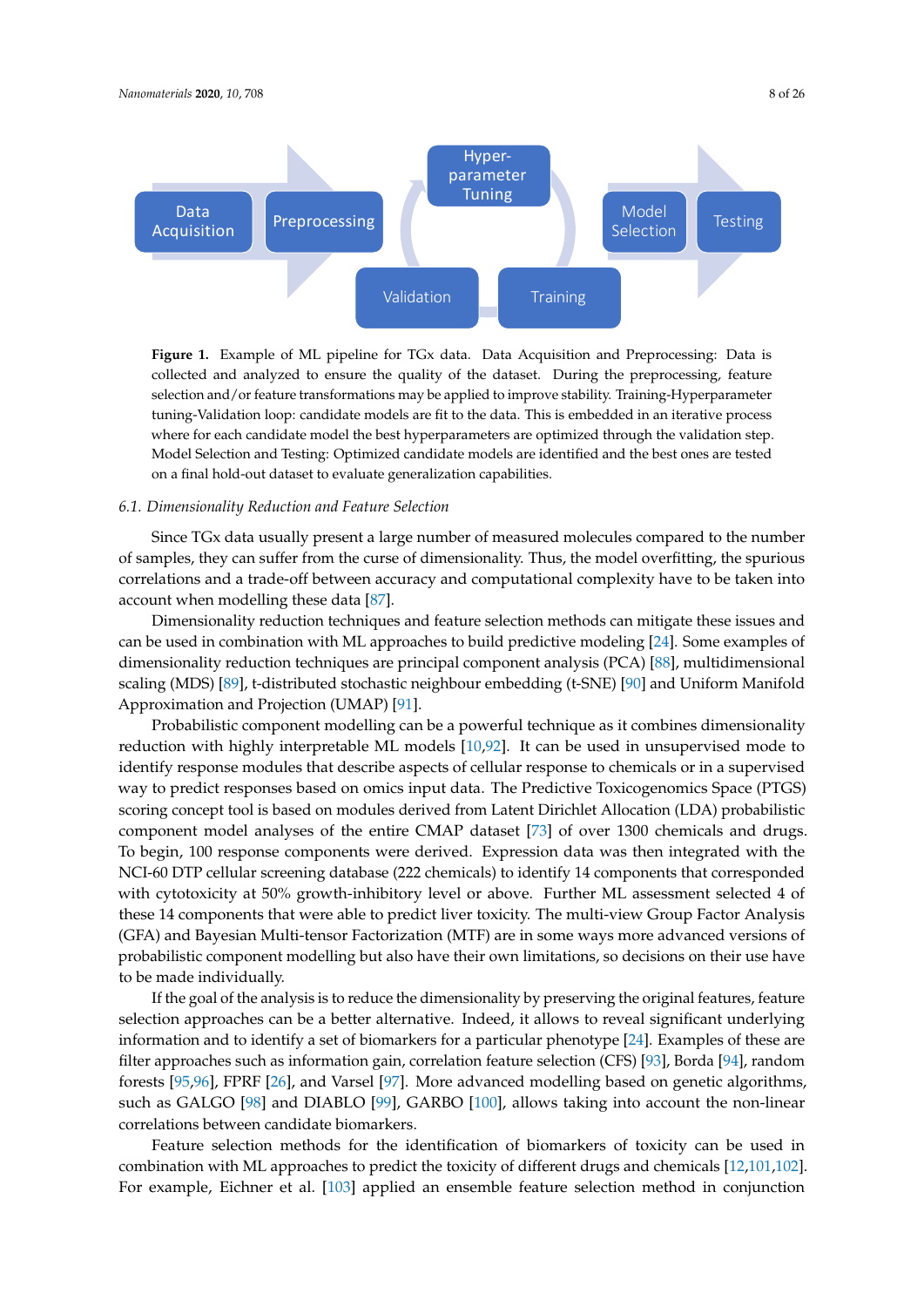<span id="page-7-0"></span>

**Figure 1.** Example of ML pipeline for TGx data. Data Acquisition and Preprocessing: Data is collected and analyzed to ensure the quality of the dataset. During the preprocessing, feature selection and/or feature transformations may be applied to improve stability. Training-Hyperparameter tuning-Validation loop: candidate models are fit to the data. This is embedded in an iterative process where for each candidate model the best hyperparameters are optimized through the validation step. Model Selection and Testing: Optimized candidate models are identified and the best ones are tested on a final hold-out dataset to evaluate generalization capabilities.

# *6.1. Dimensionality Reduction and Feature Selection*

Since TGx data usually present a large number of measured molecules compared to the number of samples, they can suffer from the curse of dimensionality. Thus, the model overfitting, the spurious correlations and a trade-off between accuracy and computational complexity have to be taken into account when modelling these data [\[87\]](#page-20-18).

Dimensionality reduction techniques and feature selection methods can mitigate these issues and can be used in combination with ML approaches to build predictive modeling [\[24\]](#page-18-17). Some examples of dimensionality reduction techniques are principal component analysis (PCA) [\[88\]](#page-20-19), multidimensional scaling (MDS) [\[89\]](#page-20-20), t-distributed stochastic neighbour embedding (t-SNE) [\[90\]](#page-21-0) and Uniform Manifold Approximation and Projection (UMAP) [\[91\]](#page-21-1).

Probabilistic component modelling can be a powerful technique as it combines dimensionality reduction with highly interpretable ML models [\[10](#page-17-4)[,92\]](#page-21-2). It can be used in unsupervised mode to identify response modules that describe aspects of cellular response to chemicals or in a supervised way to predict responses based on omics input data. The Predictive Toxicogenomics Space (PTGS) scoring concept tool is based on modules derived from Latent Dirichlet Allocation (LDA) probabilistic component model analyses of the entire CMAP dataset [\[73\]](#page-20-5) of over 1300 chemicals and drugs. To begin, 100 response components were derived. Expression data was then integrated with the NCI-60 DTP cellular screening database (222 chemicals) to identify 14 components that corresponded with cytotoxicity at 50% growth-inhibitory level or above. Further ML assessment selected 4 of these 14 components that were able to predict liver toxicity. The multi-view Group Factor Analysis (GFA) and Bayesian Multi-tensor Factorization (MTF) are in some ways more advanced versions of probabilistic component modelling but also have their own limitations, so decisions on their use have to be made individually.

If the goal of the analysis is to reduce the dimensionality by preserving the original features, feature selection approaches can be a better alternative. Indeed, it allows to reveal significant underlying information and to identify a set of biomarkers for a particular phenotype [\[24\]](#page-18-17). Examples of these are filter approaches such as information gain, correlation feature selection (CFS) [\[93\]](#page-21-3), Borda [\[94\]](#page-21-4), random forests [\[95](#page-21-5)[,96\]](#page-21-6), FPRF [\[26\]](#page-18-0), and Varsel [\[97\]](#page-21-7). More advanced modelling based on genetic algorithms, such as GALGO [\[98\]](#page-21-8) and DIABLO [\[99\]](#page-21-9), GARBO [\[100\]](#page-21-10), allows taking into account the non-linear correlations between candidate biomarkers.

Feature selection methods for the identification of biomarkers of toxicity can be used in combination with ML approaches to predict the toxicity of different drugs and chemicals [\[12](#page-17-15)[,101](#page-21-11)[,102\]](#page-21-12). For example, Eichner et al. [\[103\]](#page-21-13) applied an ensemble feature selection method in conjunction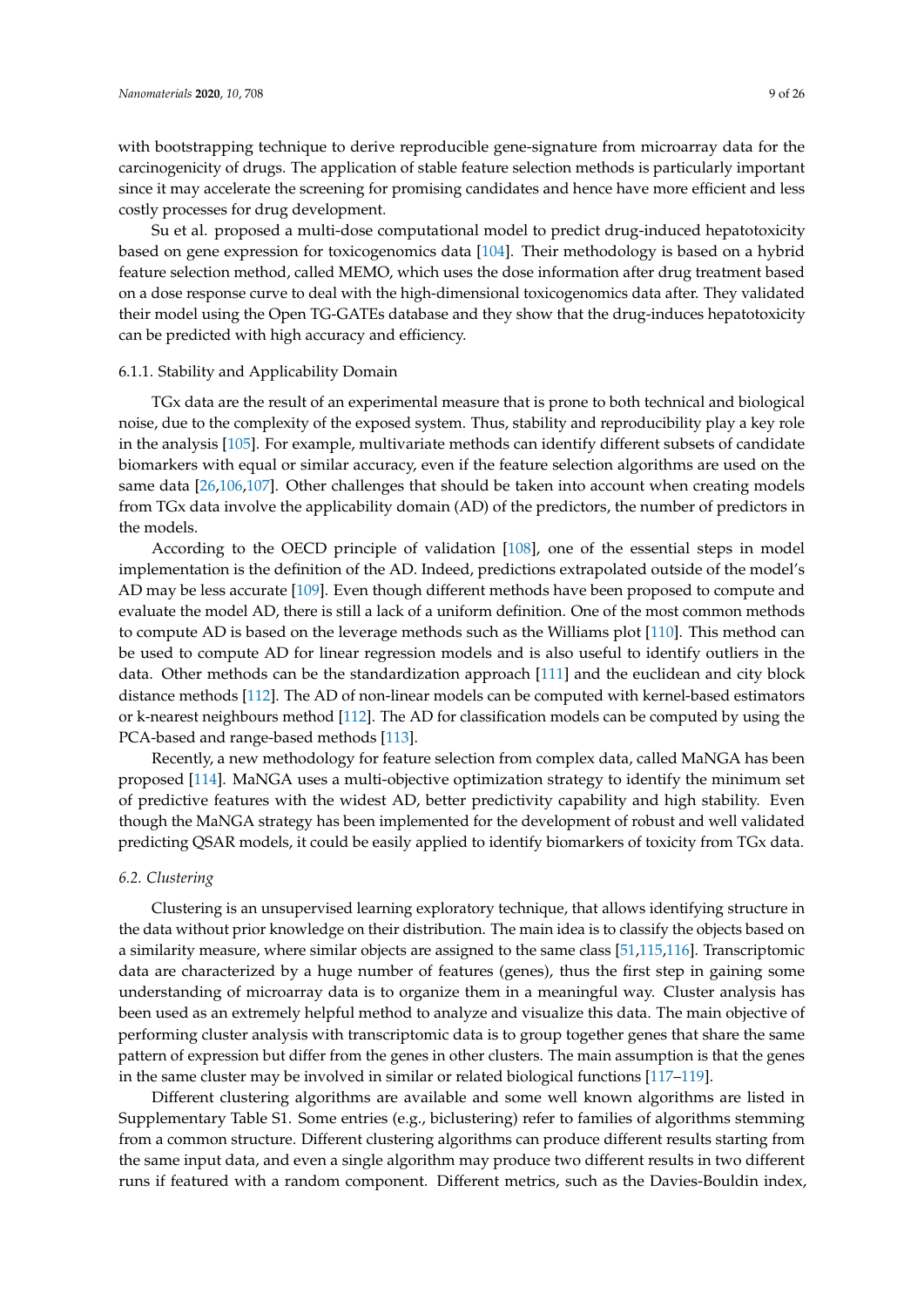with bootstrapping technique to derive reproducible gene-signature from microarray data for the carcinogenicity of drugs. The application of stable feature selection methods is particularly important since it may accelerate the screening for promising candidates and hence have more efficient and less costly processes for drug development.

Su et al. proposed a multi-dose computational model to predict drug-induced hepatotoxicity based on gene expression for toxicogenomics data [\[104\]](#page-21-14). Their methodology is based on a hybrid feature selection method, called MEMO, which uses the dose information after drug treatment based on a dose response curve to deal with the high-dimensional toxicogenomics data after. They validated their model using the Open TG-GATEs database and they show that the drug-induces hepatotoxicity can be predicted with high accuracy and efficiency.

# 6.1.1. Stability and Applicability Domain

TGx data are the result of an experimental measure that is prone to both technical and biological noise, due to the complexity of the exposed system. Thus, stability and reproducibility play a key role in the analysis [\[105\]](#page-21-15). For example, multivariate methods can identify different subsets of candidate biomarkers with equal or similar accuracy, even if the feature selection algorithms are used on the same data [\[26](#page-18-0)[,106](#page-21-16)[,107\]](#page-21-17). Other challenges that should be taken into account when creating models from TGx data involve the applicability domain (AD) of the predictors, the number of predictors in the models.

According to the OECD principle of validation [\[108\]](#page-21-18), one of the essential steps in model implementation is the definition of the AD. Indeed, predictions extrapolated outside of the model's AD may be less accurate [\[109\]](#page-21-19). Even though different methods have been proposed to compute and evaluate the model AD, there is still a lack of a uniform definition. One of the most common methods to compute AD is based on the leverage methods such as the Williams plot [\[110\]](#page-21-20). This method can be used to compute AD for linear regression models and is also useful to identify outliers in the data. Other methods can be the standardization approach [\[111\]](#page-21-21) and the euclidean and city block distance methods [\[112\]](#page-21-22). The AD of non-linear models can be computed with kernel-based estimators or k-nearest neighbours method [\[112\]](#page-21-22). The AD for classification models can be computed by using the PCA-based and range-based methods [\[113\]](#page-22-0).

Recently, a new methodology for feature selection from complex data, called MaNGA has been proposed [\[114\]](#page-22-1). MaNGA uses a multi-objective optimization strategy to identify the minimum set of predictive features with the widest AD, better predictivity capability and high stability. Even though the MaNGA strategy has been implemented for the development of robust and well validated predicting QSAR models, it could be easily applied to identify biomarkers of toxicity from TGx data.

#### <span id="page-8-0"></span>*6.2. Clustering*

Clustering is an unsupervised learning exploratory technique, that allows identifying structure in the data without prior knowledge on their distribution. The main idea is to classify the objects based on a similarity measure, where similar objects are assigned to the same class [\[51,](#page-19-6)[115](#page-22-2)[,116\]](#page-22-3). Transcriptomic data are characterized by a huge number of features (genes), thus the first step in gaining some understanding of microarray data is to organize them in a meaningful way. Cluster analysis has been used as an extremely helpful method to analyze and visualize this data. The main objective of performing cluster analysis with transcriptomic data is to group together genes that share the same pattern of expression but differ from the genes in other clusters. The main assumption is that the genes in the same cluster may be involved in similar or related biological functions [\[117](#page-22-4)[–119\]](#page-22-5).

Different clustering algorithms are available and some well known algorithms are listed in Supplementary Table S1. Some entries (e.g., biclustering) refer to families of algorithms stemming from a common structure. Different clustering algorithms can produce different results starting from the same input data, and even a single algorithm may produce two different results in two different runs if featured with a random component. Different metrics, such as the Davies-Bouldin index,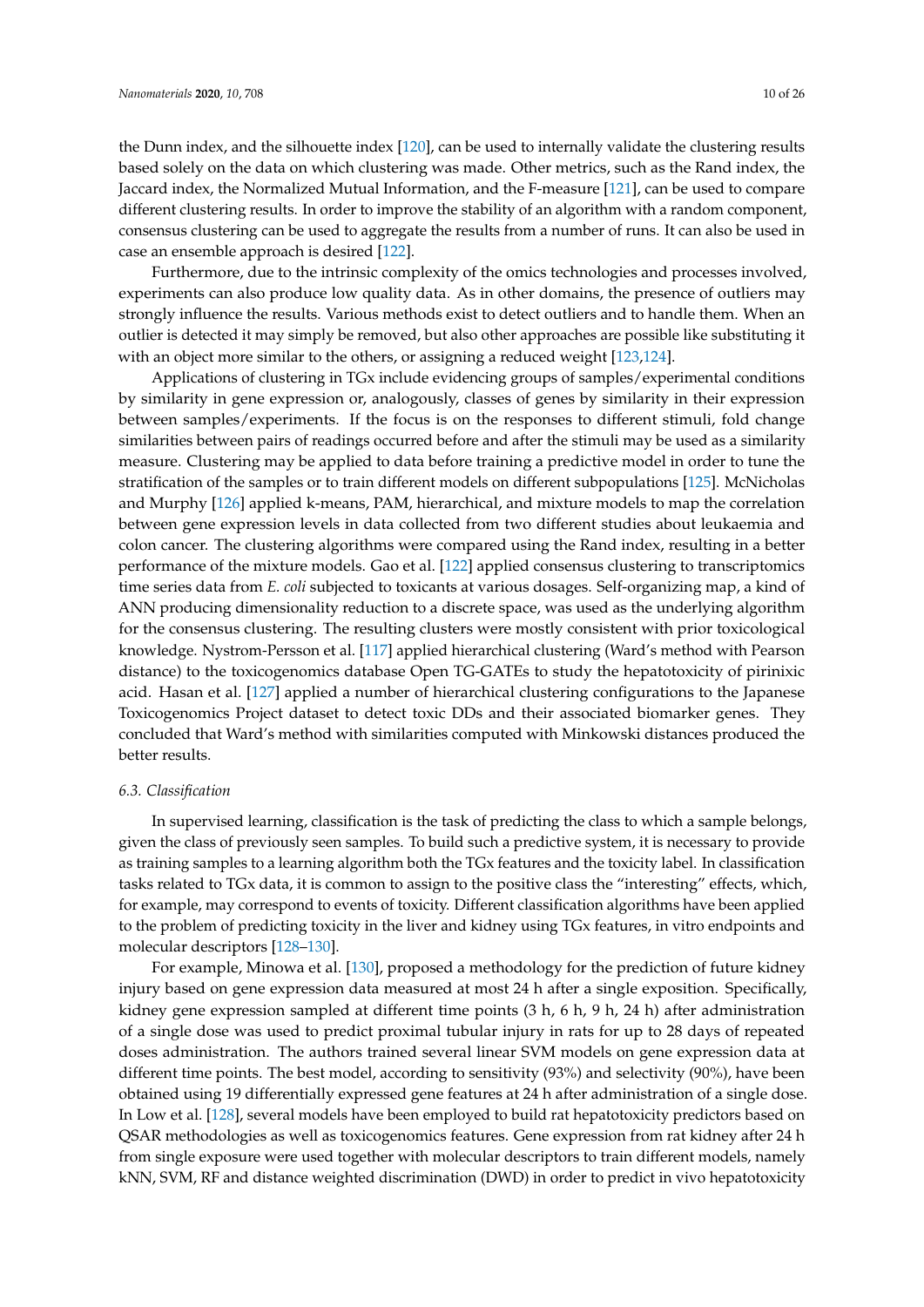the Dunn index, and the silhouette index [\[120\]](#page-22-6), can be used to internally validate the clustering results based solely on the data on which clustering was made. Other metrics, such as the Rand index, the Jaccard index, the Normalized Mutual Information, and the F-measure [\[121\]](#page-22-7), can be used to compare different clustering results. In order to improve the stability of an algorithm with a random component, consensus clustering can be used to aggregate the results from a number of runs. It can also be used in case an ensemble approach is desired [\[122\]](#page-22-8).

Furthermore, due to the intrinsic complexity of the omics technologies and processes involved, experiments can also produce low quality data. As in other domains, the presence of outliers may strongly influence the results. Various methods exist to detect outliers and to handle them. When an outlier is detected it may simply be removed, but also other approaches are possible like substituting it with an object more similar to the others, or assigning a reduced weight [\[123,](#page-22-9)[124\]](#page-22-10).

Applications of clustering in TGx include evidencing groups of samples/experimental conditions by similarity in gene expression or, analogously, classes of genes by similarity in their expression between samples/experiments. If the focus is on the responses to different stimuli, fold change similarities between pairs of readings occurred before and after the stimuli may be used as a similarity measure. Clustering may be applied to data before training a predictive model in order to tune the stratification of the samples or to train different models on different subpopulations [\[125\]](#page-22-11). McNicholas and Murphy [\[126\]](#page-22-12) applied k-means, PAM, hierarchical, and mixture models to map the correlation between gene expression levels in data collected from two different studies about leukaemia and colon cancer. The clustering algorithms were compared using the Rand index, resulting in a better performance of the mixture models. Gao et al. [\[122\]](#page-22-8) applied consensus clustering to transcriptomics time series data from *E. coli* subjected to toxicants at various dosages. Self-organizing map, a kind of ANN producing dimensionality reduction to a discrete space, was used as the underlying algorithm for the consensus clustering. The resulting clusters were mostly consistent with prior toxicological knowledge. Nystrom-Persson et al. [\[117\]](#page-22-4) applied hierarchical clustering (Ward's method with Pearson distance) to the toxicogenomics database Open TG-GATEs to study the hepatotoxicity of pirinixic acid. Hasan et al. [\[127\]](#page-22-13) applied a number of hierarchical clustering configurations to the Japanese Toxicogenomics Project dataset to detect toxic DDs and their associated biomarker genes. They concluded that Ward's method with similarities computed with Minkowski distances produced the better results.

# *6.3. Classification*

In supervised learning, classification is the task of predicting the class to which a sample belongs, given the class of previously seen samples. To build such a predictive system, it is necessary to provide as training samples to a learning algorithm both the TGx features and the toxicity label. In classification tasks related to TGx data, it is common to assign to the positive class the "interesting" effects, which, for example, may correspond to events of toxicity. Different classification algorithms have been applied to the problem of predicting toxicity in the liver and kidney using TGx features, in vitro endpoints and molecular descriptors [\[128](#page-22-14)[–130\]](#page-22-15).

For example, Minowa et al. [\[130\]](#page-22-15), proposed a methodology for the prediction of future kidney injury based on gene expression data measured at most 24 h after a single exposition. Specifically, kidney gene expression sampled at different time points (3 h, 6 h, 9 h, 24 h) after administration of a single dose was used to predict proximal tubular injury in rats for up to 28 days of repeated doses administration. The authors trained several linear SVM models on gene expression data at different time points. The best model, according to sensitivity (93%) and selectivity (90%), have been obtained using 19 differentially expressed gene features at 24 h after administration of a single dose. In Low et al. [\[128\]](#page-22-14), several models have been employed to build rat hepatotoxicity predictors based on QSAR methodologies as well as toxicogenomics features. Gene expression from rat kidney after 24 h from single exposure were used together with molecular descriptors to train different models, namely kNN, SVM, RF and distance weighted discrimination (DWD) in order to predict in vivo hepatotoxicity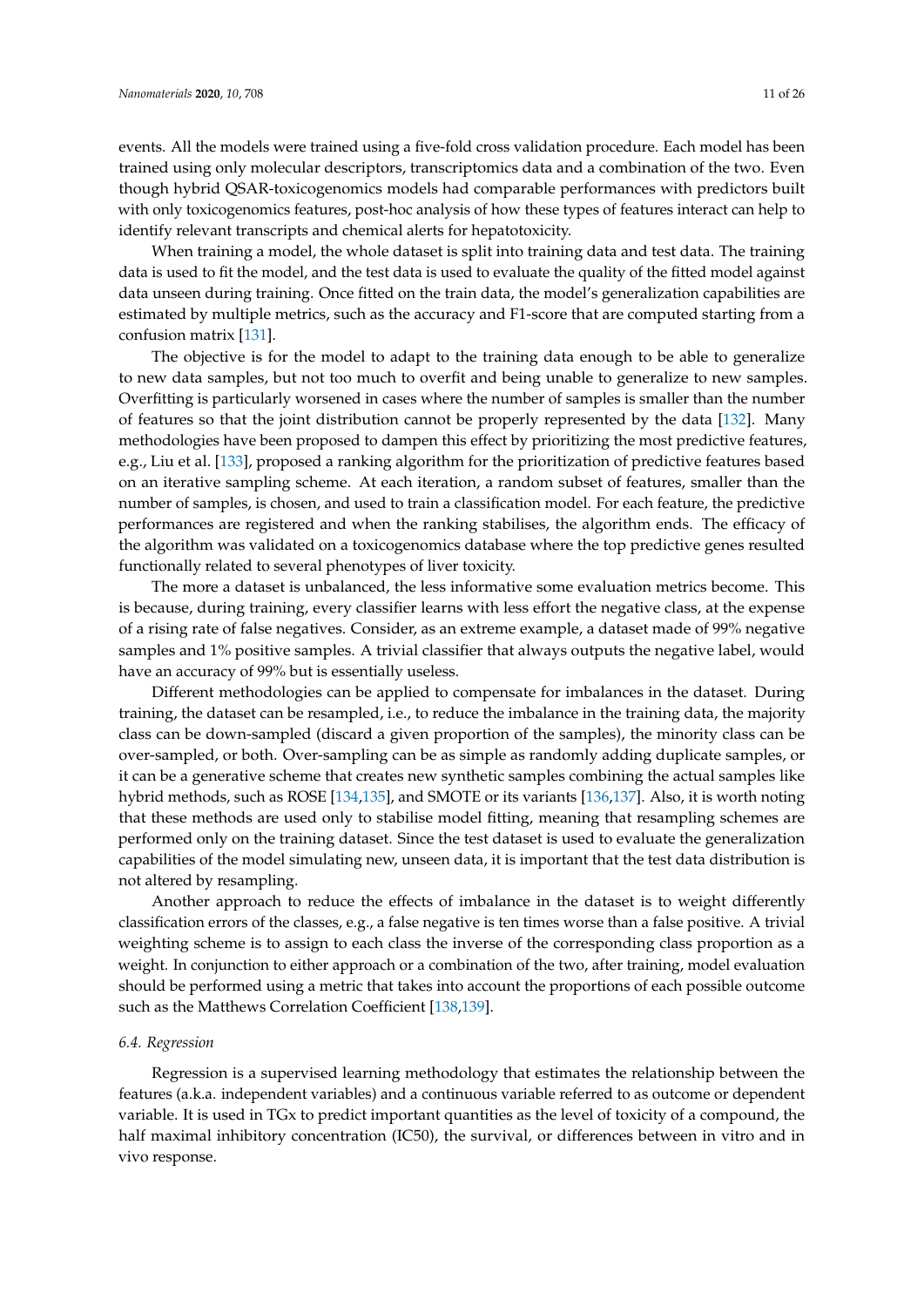events. All the models were trained using a five-fold cross validation procedure. Each model has been trained using only molecular descriptors, transcriptomics data and a combination of the two. Even though hybrid QSAR-toxicogenomics models had comparable performances with predictors built with only toxicogenomics features, post-hoc analysis of how these types of features interact can help to identify relevant transcripts and chemical alerts for hepatotoxicity.

When training a model, the whole dataset is split into training data and test data. The training data is used to fit the model, and the test data is used to evaluate the quality of the fitted model against data unseen during training. Once fitted on the train data, the model's generalization capabilities are estimated by multiple metrics, such as the accuracy and F1-score that are computed starting from a confusion matrix [\[131\]](#page-22-16).

The objective is for the model to adapt to the training data enough to be able to generalize to new data samples, but not too much to overfit and being unable to generalize to new samples. Overfitting is particularly worsened in cases where the number of samples is smaller than the number of features so that the joint distribution cannot be properly represented by the data [\[132\]](#page-22-17). Many methodologies have been proposed to dampen this effect by prioritizing the most predictive features, e.g., Liu et al. [\[133\]](#page-22-18), proposed a ranking algorithm for the prioritization of predictive features based on an iterative sampling scheme. At each iteration, a random subset of features, smaller than the number of samples, is chosen, and used to train a classification model. For each feature, the predictive performances are registered and when the ranking stabilises, the algorithm ends. The efficacy of the algorithm was validated on a toxicogenomics database where the top predictive genes resulted functionally related to several phenotypes of liver toxicity.

The more a dataset is unbalanced, the less informative some evaluation metrics become. This is because, during training, every classifier learns with less effort the negative class, at the expense of a rising rate of false negatives. Consider, as an extreme example, a dataset made of 99% negative samples and 1% positive samples. A trivial classifier that always outputs the negative label, would have an accuracy of 99% but is essentially useless.

Different methodologies can be applied to compensate for imbalances in the dataset. During training, the dataset can be resampled, i.e., to reduce the imbalance in the training data, the majority class can be down-sampled (discard a given proportion of the samples), the minority class can be over-sampled, or both. Over-sampling can be as simple as randomly adding duplicate samples, or it can be a generative scheme that creates new synthetic samples combining the actual samples like hybrid methods, such as ROSE [\[134,](#page-22-19)[135\]](#page-22-20), and SMOTE or its variants [\[136,](#page-22-21)[137\]](#page-23-0). Also, it is worth noting that these methods are used only to stabilise model fitting, meaning that resampling schemes are performed only on the training dataset. Since the test dataset is used to evaluate the generalization capabilities of the model simulating new, unseen data, it is important that the test data distribution is not altered by resampling.

Another approach to reduce the effects of imbalance in the dataset is to weight differently classification errors of the classes, e.g., a false negative is ten times worse than a false positive. A trivial weighting scheme is to assign to each class the inverse of the corresponding class proportion as a weight. In conjunction to either approach or a combination of the two, after training, model evaluation should be performed using a metric that takes into account the proportions of each possible outcome such as the Matthews Correlation Coefficient [\[138,](#page-23-1)[139\]](#page-23-2).

#### *6.4. Regression*

Regression is a supervised learning methodology that estimates the relationship between the features (a.k.a. independent variables) and a continuous variable referred to as outcome or dependent variable. It is used in TGx to predict important quantities as the level of toxicity of a compound, the half maximal inhibitory concentration (IC50), the survival, or differences between in vitro and in vivo response.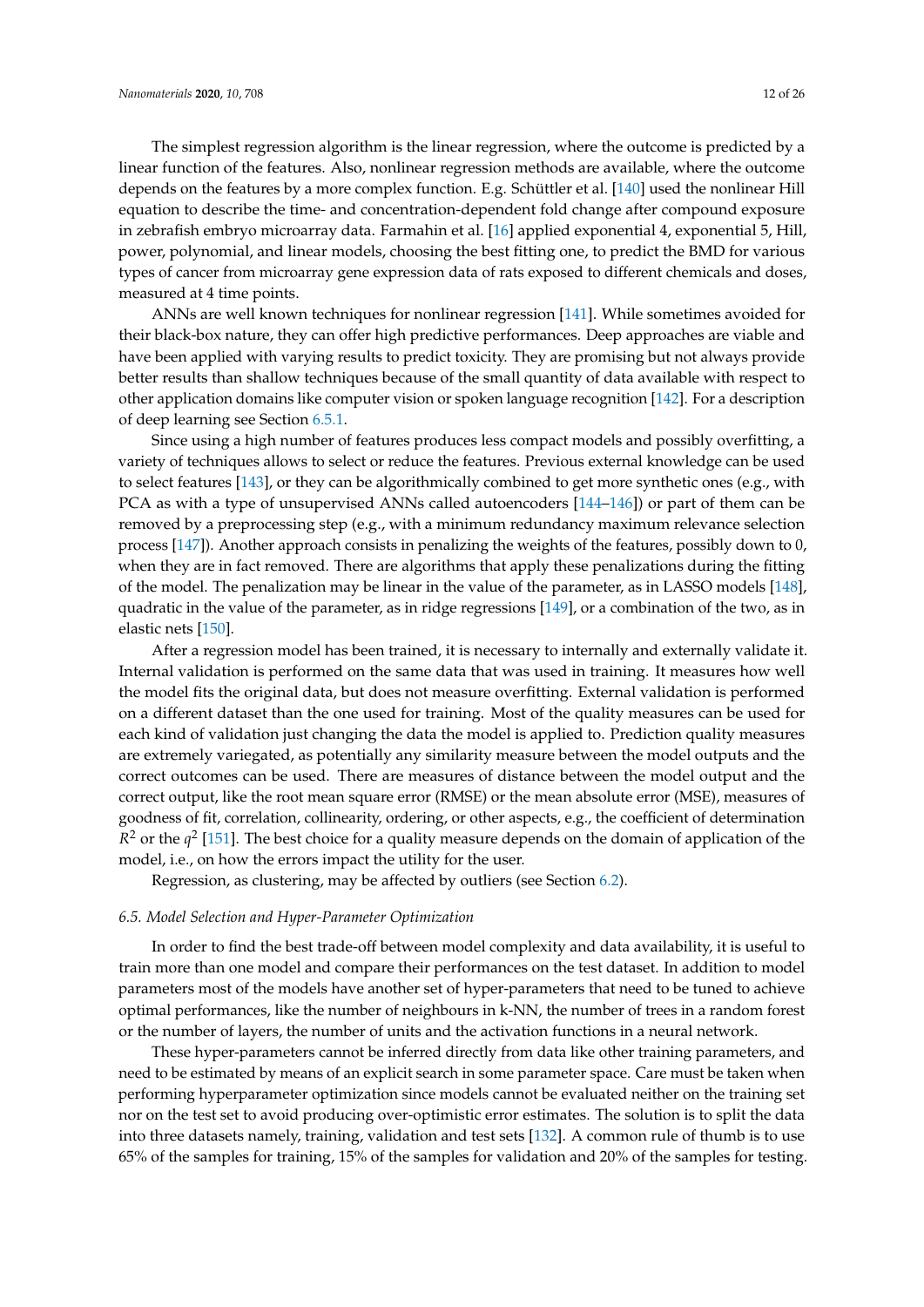The simplest regression algorithm is the linear regression, where the outcome is predicted by a linear function of the features. Also, nonlinear regression methods are available, where the outcome depends on the features by a more complex function. E.g. Schüttler et al. [\[140\]](#page-23-3) used the nonlinear Hill equation to describe the time- and concentration-dependent fold change after compound exposure in zebrafish embryo microarray data. Farmahin et al. [\[16\]](#page-17-8) applied exponential 4, exponential 5, Hill, power, polynomial, and linear models, choosing the best fitting one, to predict the BMD for various types of cancer from microarray gene expression data of rats exposed to different chemicals and doses, measured at 4 time points.

ANNs are well known techniques for nonlinear regression [\[141\]](#page-23-4). While sometimes avoided for their black-box nature, they can offer high predictive performances. Deep approaches are viable and have been applied with varying results to predict toxicity. They are promising but not always provide better results than shallow techniques because of the small quantity of data available with respect to other application domains like computer vision or spoken language recognition [\[142\]](#page-23-5). For a description of deep learning see Section [6.5.1.](#page-12-0)

Since using a high number of features produces less compact models and possibly overfitting, a variety of techniques allows to select or reduce the features. Previous external knowledge can be used to select features [\[143\]](#page-23-6), or they can be algorithmically combined to get more synthetic ones (e.g., with PCA as with a type of unsupervised ANNs called autoencoders [\[144–](#page-23-7)[146\]](#page-23-8)) or part of them can be removed by a preprocessing step (e.g., with a minimum redundancy maximum relevance selection process [\[147\]](#page-23-9)). Another approach consists in penalizing the weights of the features, possibly down to 0, when they are in fact removed. There are algorithms that apply these penalizations during the fitting of the model. The penalization may be linear in the value of the parameter, as in LASSO models [\[148\]](#page-23-10), quadratic in the value of the parameter, as in ridge regressions [\[149\]](#page-23-11), or a combination of the two, as in elastic nets [\[150\]](#page-23-12).

After a regression model has been trained, it is necessary to internally and externally validate it. Internal validation is performed on the same data that was used in training. It measures how well the model fits the original data, but does not measure overfitting. External validation is performed on a different dataset than the one used for training. Most of the quality measures can be used for each kind of validation just changing the data the model is applied to. Prediction quality measures are extremely variegated, as potentially any similarity measure between the model outputs and the correct outcomes can be used. There are measures of distance between the model output and the correct output, like the root mean square error (RMSE) or the mean absolute error (MSE), measures of goodness of fit, correlation, collinearity, ordering, or other aspects, e.g., the coefficient of determination  $R<sup>2</sup>$  or the  $q<sup>2</sup>$  [\[151\]](#page-23-13). The best choice for a quality measure depends on the domain of application of the model, i.e., on how the errors impact the utility for the user.

Regression, as clustering, may be affected by outliers (see Section [6.2\)](#page-8-0).

#### *6.5. Model Selection and Hyper-Parameter Optimization*

In order to find the best trade-off between model complexity and data availability, it is useful to train more than one model and compare their performances on the test dataset. In addition to model parameters most of the models have another set of hyper-parameters that need to be tuned to achieve optimal performances, like the number of neighbours in k-NN, the number of trees in a random forest or the number of layers, the number of units and the activation functions in a neural network.

These hyper-parameters cannot be inferred directly from data like other training parameters, and need to be estimated by means of an explicit search in some parameter space. Care must be taken when performing hyperparameter optimization since models cannot be evaluated neither on the training set nor on the test set to avoid producing over-optimistic error estimates. The solution is to split the data into three datasets namely, training, validation and test sets [\[132\]](#page-22-17). A common rule of thumb is to use 65% of the samples for training, 15% of the samples for validation and 20% of the samples for testing.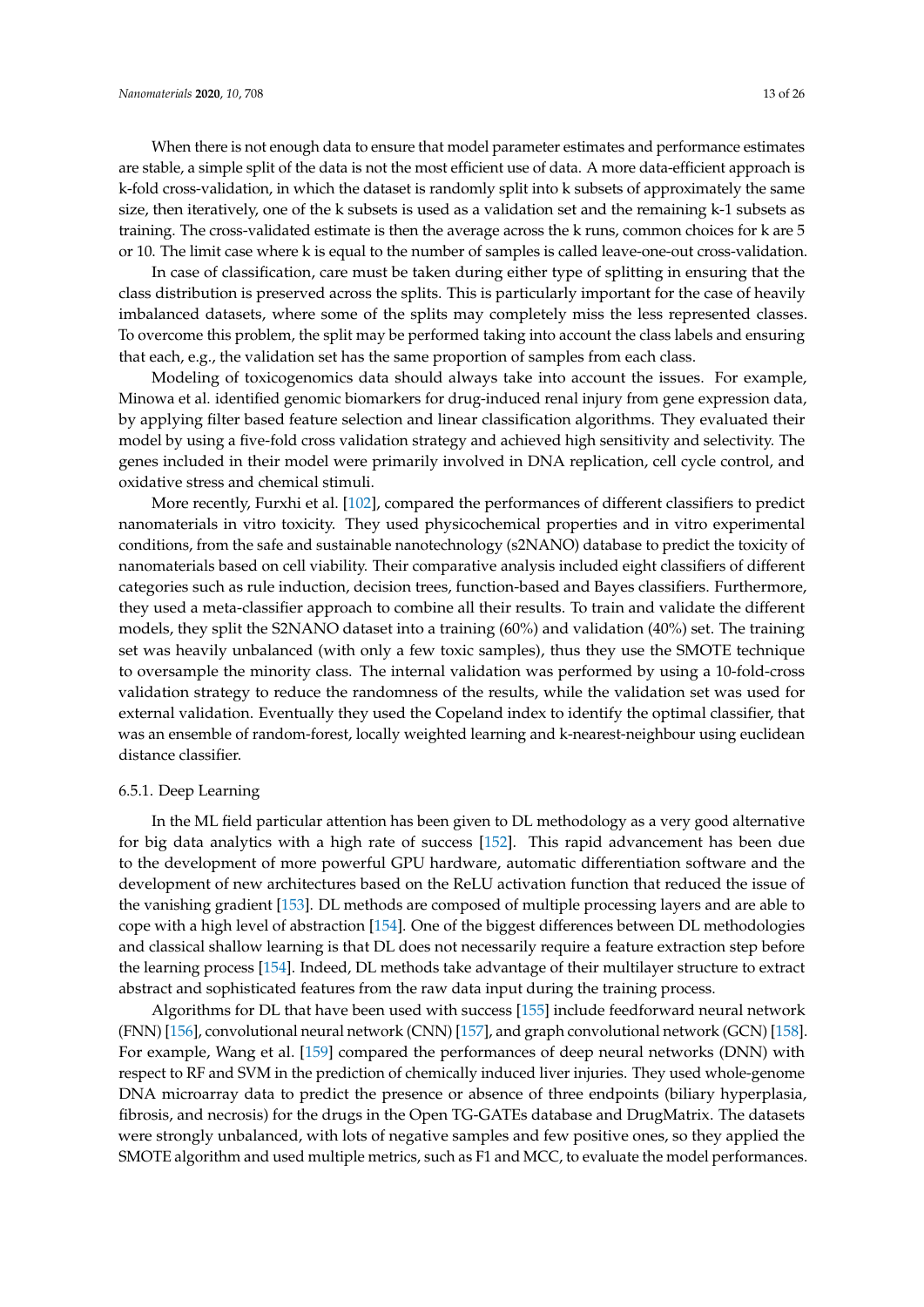When there is not enough data to ensure that model parameter estimates and performance estimates are stable, a simple split of the data is not the most efficient use of data. A more data-efficient approach is k-fold cross-validation, in which the dataset is randomly split into k subsets of approximately the same size, then iteratively, one of the k subsets is used as a validation set and the remaining k-1 subsets as training. The cross-validated estimate is then the average across the k runs, common choices for k are 5 or 10. The limit case where k is equal to the number of samples is called leave-one-out cross-validation.

In case of classification, care must be taken during either type of splitting in ensuring that the class distribution is preserved across the splits. This is particularly important for the case of heavily imbalanced datasets, where some of the splits may completely miss the less represented classes. To overcome this problem, the split may be performed taking into account the class labels and ensuring that each, e.g., the validation set has the same proportion of samples from each class.

Modeling of toxicogenomics data should always take into account the issues. For example, Minowa et al. identified genomic biomarkers for drug-induced renal injury from gene expression data, by applying filter based feature selection and linear classification algorithms. They evaluated their model by using a five-fold cross validation strategy and achieved high sensitivity and selectivity. The genes included in their model were primarily involved in DNA replication, cell cycle control, and oxidative stress and chemical stimuli.

More recently, Furxhi et al. [\[102\]](#page-21-12), compared the performances of different classifiers to predict nanomaterials in vitro toxicity. They used physicochemical properties and in vitro experimental conditions, from the safe and sustainable nanotechnology (s2NANO) database to predict the toxicity of nanomaterials based on cell viability. Their comparative analysis included eight classifiers of different categories such as rule induction, decision trees, function-based and Bayes classifiers. Furthermore, they used a meta-classifier approach to combine all their results. To train and validate the different models, they split the S2NANO dataset into a training (60%) and validation (40%) set. The training set was heavily unbalanced (with only a few toxic samples), thus they use the SMOTE technique to oversample the minority class. The internal validation was performed by using a 10-fold-cross validation strategy to reduce the randomness of the results, while the validation set was used for external validation. Eventually they used the Copeland index to identify the optimal classifier, that was an ensemble of random-forest, locally weighted learning and k-nearest-neighbour using euclidean distance classifier.

## <span id="page-12-0"></span>6.5.1. Deep Learning

In the ML field particular attention has been given to DL methodology as a very good alternative for big data analytics with a high rate of success [\[152\]](#page-23-14). This rapid advancement has been due to the development of more powerful GPU hardware, automatic differentiation software and the development of new architectures based on the ReLU activation function that reduced the issue of the vanishing gradient [\[153\]](#page-23-15). DL methods are composed of multiple processing layers and are able to cope with a high level of abstraction [\[154\]](#page-23-16). One of the biggest differences between DL methodologies and classical shallow learning is that DL does not necessarily require a feature extraction step before the learning process [\[154\]](#page-23-16). Indeed, DL methods take advantage of their multilayer structure to extract abstract and sophisticated features from the raw data input during the training process.

Algorithms for DL that have been used with success [\[155\]](#page-23-17) include feedforward neural network (FNN) [\[156\]](#page-23-18), convolutional neural network (CNN) [\[157\]](#page-23-19), and graph convolutional network (GCN) [\[158\]](#page-23-20). For example, Wang et al. [\[159\]](#page-23-21) compared the performances of deep neural networks (DNN) with respect to RF and SVM in the prediction of chemically induced liver injuries. They used whole-genome DNA microarray data to predict the presence or absence of three endpoints (biliary hyperplasia, fibrosis, and necrosis) for the drugs in the Open TG-GATEs database and DrugMatrix. The datasets were strongly unbalanced, with lots of negative samples and few positive ones, so they applied the SMOTE algorithm and used multiple metrics, such as F1 and MCC, to evaluate the model performances.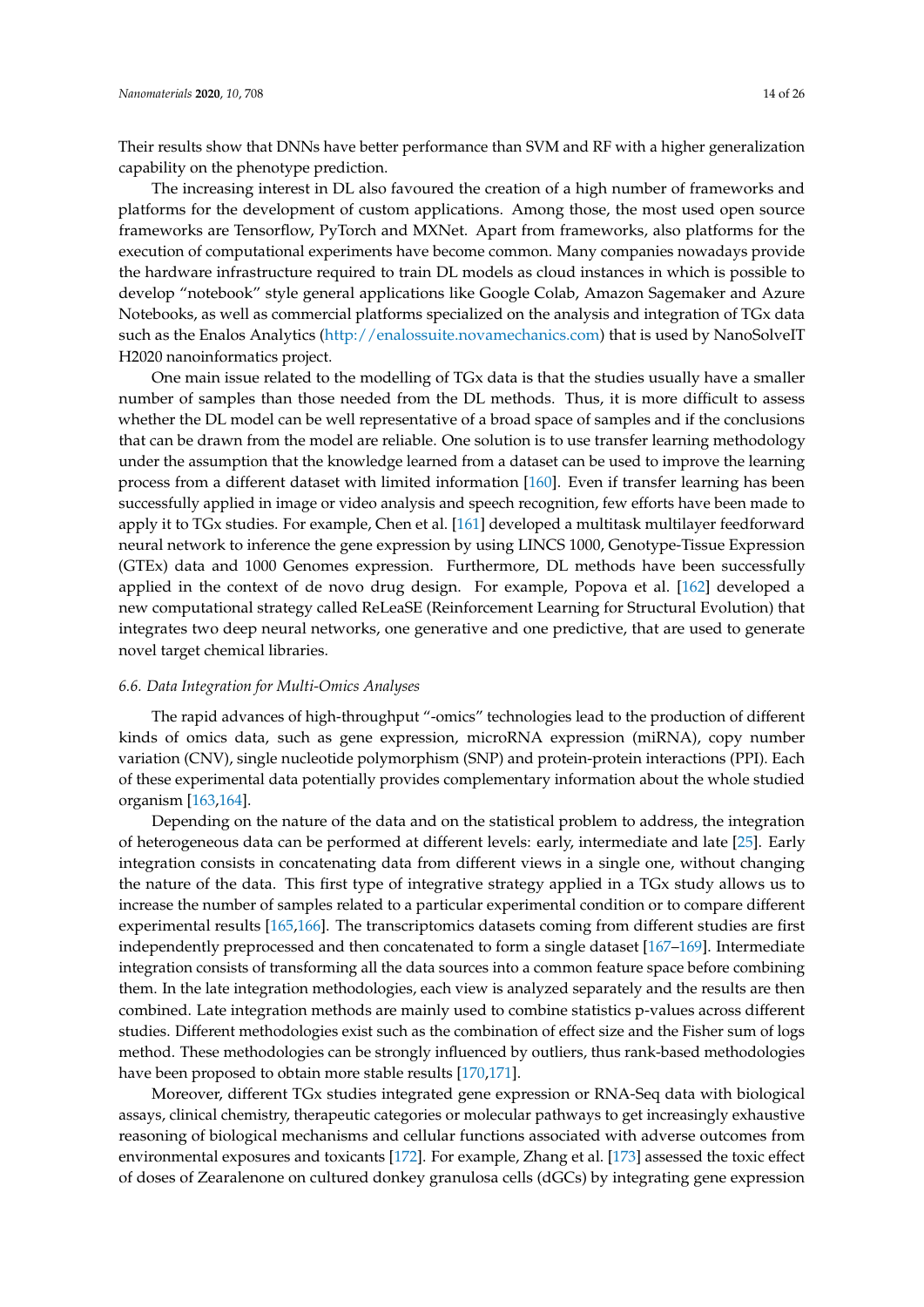Their results show that DNNs have better performance than SVM and RF with a higher generalization capability on the phenotype prediction.

The increasing interest in DL also favoured the creation of a high number of frameworks and platforms for the development of custom applications. Among those, the most used open source frameworks are Tensorflow, PyTorch and MXNet. Apart from frameworks, also platforms for the execution of computational experiments have become common. Many companies nowadays provide the hardware infrastructure required to train DL models as cloud instances in which is possible to develop "notebook" style general applications like Google Colab, Amazon Sagemaker and Azure Notebooks, as well as commercial platforms specialized on the analysis and integration of TGx data such as the Enalos Analytics [\(http://enalossuite.novamechanics.com\)](http://enalossuite.novamechanics.com) that is used by NanoSolveIT H2020 nanoinformatics project.

One main issue related to the modelling of TGx data is that the studies usually have a smaller number of samples than those needed from the DL methods. Thus, it is more difficult to assess whether the DL model can be well representative of a broad space of samples and if the conclusions that can be drawn from the model are reliable. One solution is to use transfer learning methodology under the assumption that the knowledge learned from a dataset can be used to improve the learning process from a different dataset with limited information [\[160\]](#page-23-22). Even if transfer learning has been successfully applied in image or video analysis and speech recognition, few efforts have been made to apply it to TGx studies. For example, Chen et al. [\[161\]](#page-24-0) developed a multitask multilayer feedforward neural network to inference the gene expression by using LINCS 1000, Genotype-Tissue Expression (GTEx) data and 1000 Genomes expression. Furthermore, DL methods have been successfully applied in the context of de novo drug design. For example, Popova et al. [\[162\]](#page-24-1) developed a new computational strategy called ReLeaSE (Reinforcement Learning for Structural Evolution) that integrates two deep neural networks, one generative and one predictive, that are used to generate novel target chemical libraries.

# *6.6. Data Integration for Multi-Omics Analyses*

The rapid advances of high-throughput "-omics" technologies lead to the production of different kinds of omics data, such as gene expression, microRNA expression (miRNA), copy number variation (CNV), single nucleotide polymorphism (SNP) and protein-protein interactions (PPI). Each of these experimental data potentially provides complementary information about the whole studied organism [\[163,](#page-24-2)[164\]](#page-24-3).

Depending on the nature of the data and on the statistical problem to address, the integration of heterogeneous data can be performed at different levels: early, intermediate and late [\[25\]](#page-18-18). Early integration consists in concatenating data from different views in a single one, without changing the nature of the data. This first type of integrative strategy applied in a TGx study allows us to increase the number of samples related to a particular experimental condition or to compare different experimental results [\[165,](#page-24-4)[166\]](#page-24-5). The transcriptomics datasets coming from different studies are first independently preprocessed and then concatenated to form a single dataset [\[167–](#page-24-6)[169\]](#page-24-7). Intermediate integration consists of transforming all the data sources into a common feature space before combining them. In the late integration methodologies, each view is analyzed separately and the results are then combined. Late integration methods are mainly used to combine statistics p-values across different studies. Different methodologies exist such as the combination of effect size and the Fisher sum of logs method. These methodologies can be strongly influenced by outliers, thus rank-based methodologies have been proposed to obtain more stable results [\[170,](#page-24-8)[171\]](#page-24-9).

Moreover, different TGx studies integrated gene expression or RNA-Seq data with biological assays, clinical chemistry, therapeutic categories or molecular pathways to get increasingly exhaustive reasoning of biological mechanisms and cellular functions associated with adverse outcomes from environmental exposures and toxicants [\[172\]](#page-24-10). For example, Zhang et al. [\[173\]](#page-24-11) assessed the toxic effect of doses of Zearalenone on cultured donkey granulosa cells (dGCs) by integrating gene expression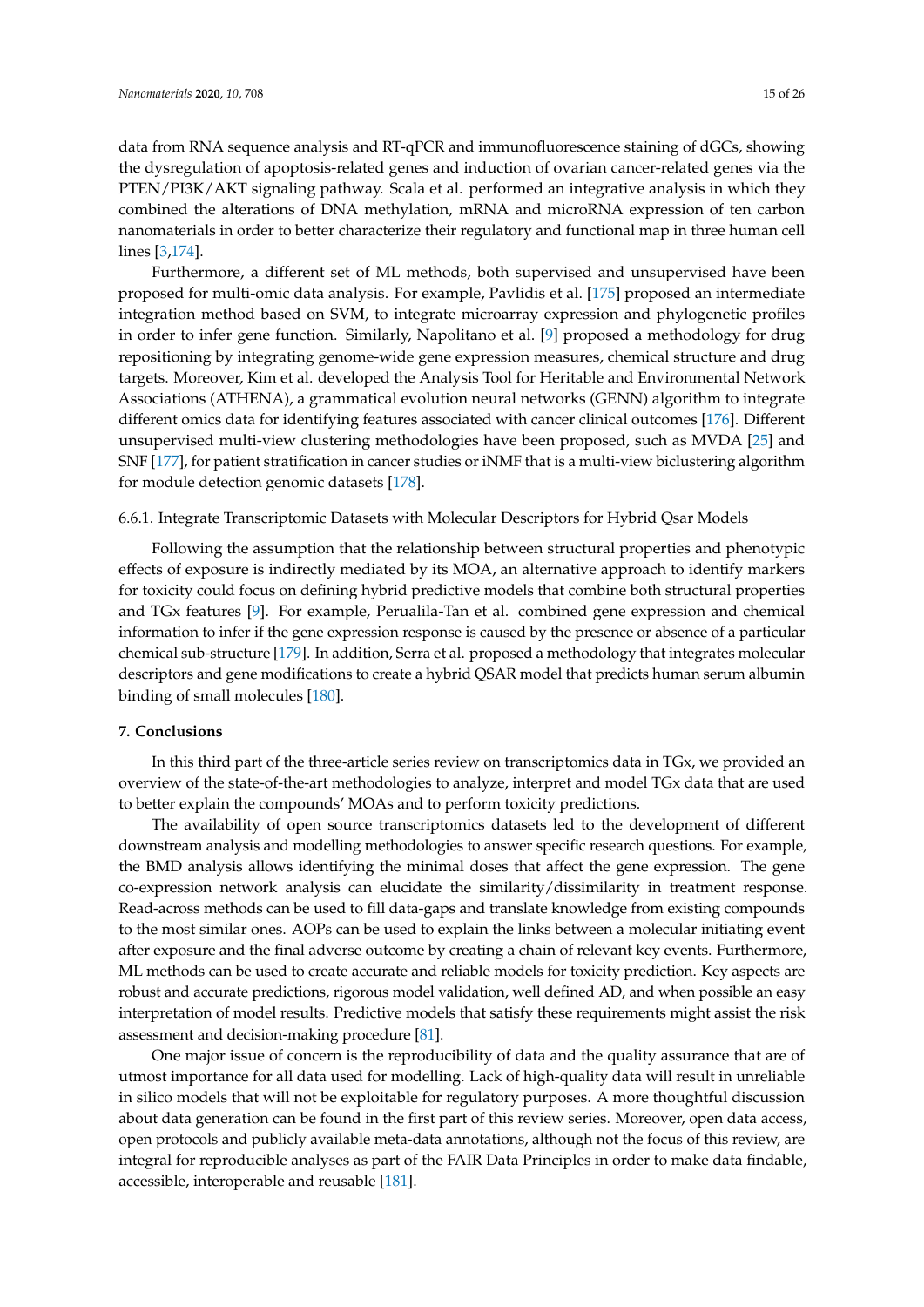data from RNA sequence analysis and RT-qPCR and immunofluorescence staining of dGCs, showing the dysregulation of apoptosis-related genes and induction of ovarian cancer-related genes via the PTEN/PI3K/AKT signaling pathway. Scala et al. performed an integrative analysis in which they combined the alterations of DNA methylation, mRNA and microRNA expression of ten carbon nanomaterials in order to better characterize their regulatory and functional map in three human cell lines [\[3](#page-16-2)[,174\]](#page-24-12).

Furthermore, a different set of ML methods, both supervised and unsupervised have been proposed for multi-omic data analysis. For example, Pavlidis et al. [\[175\]](#page-24-13) proposed an intermediate integration method based on SVM, to integrate microarray expression and phylogenetic profiles in order to infer gene function. Similarly, Napolitano et al. [\[9\]](#page-17-3) proposed a methodology for drug repositioning by integrating genome-wide gene expression measures, chemical structure and drug targets. Moreover, Kim et al. developed the Analysis Tool for Heritable and Environmental Network Associations (ATHENA), a grammatical evolution neural networks (GENN) algorithm to integrate different omics data for identifying features associated with cancer clinical outcomes [\[176\]](#page-24-14). Different unsupervised multi-view clustering methodologies have been proposed, such as MVDA [\[25\]](#page-18-18) and SNF [\[177\]](#page-24-15), for patient stratification in cancer studies or iNMF that is a multi-view biclustering algorithm for module detection genomic datasets [\[178\]](#page-24-16).

# 6.6.1. Integrate Transcriptomic Datasets with Molecular Descriptors for Hybrid Qsar Models

Following the assumption that the relationship between structural properties and phenotypic effects of exposure is indirectly mediated by its MOA, an alternative approach to identify markers for toxicity could focus on defining hybrid predictive models that combine both structural properties and TGx features [\[9\]](#page-17-3). For example, Perualila-Tan et al. combined gene expression and chemical information to infer if the gene expression response is caused by the presence or absence of a particular chemical sub-structure [\[179\]](#page-24-17). In addition, Serra et al. proposed a methodology that integrates molecular descriptors and gene modifications to create a hybrid QSAR model that predicts human serum albumin binding of small molecules [\[180\]](#page-24-18).

# **7. Conclusions**

In this third part of the three-article series review on transcriptomics data in TGx, we provided an overview of the state-of-the-art methodologies to analyze, interpret and model TGx data that are used to better explain the compounds' MOAs and to perform toxicity predictions.

The availability of open source transcriptomics datasets led to the development of different downstream analysis and modelling methodologies to answer specific research questions. For example, the BMD analysis allows identifying the minimal doses that affect the gene expression. The gene co-expression network analysis can elucidate the similarity/dissimilarity in treatment response. Read-across methods can be used to fill data-gaps and translate knowledge from existing compounds to the most similar ones. AOPs can be used to explain the links between a molecular initiating event after exposure and the final adverse outcome by creating a chain of relevant key events. Furthermore, ML methods can be used to create accurate and reliable models for toxicity prediction. Key aspects are robust and accurate predictions, rigorous model validation, well defined AD, and when possible an easy interpretation of model results. Predictive models that satisfy these requirements might assist the risk assessment and decision-making procedure [\[81\]](#page-20-21).

One major issue of concern is the reproducibility of data and the quality assurance that are of utmost importance for all data used for modelling. Lack of high-quality data will result in unreliable in silico models that will not be exploitable for regulatory purposes. A more thoughtful discussion about data generation can be found in the first part of this review series. Moreover, open data access, open protocols and publicly available meta-data annotations, although not the focus of this review, are integral for reproducible analyses as part of the FAIR Data Principles in order to make data findable, accessible, interoperable and reusable [\[181\]](#page-25-0).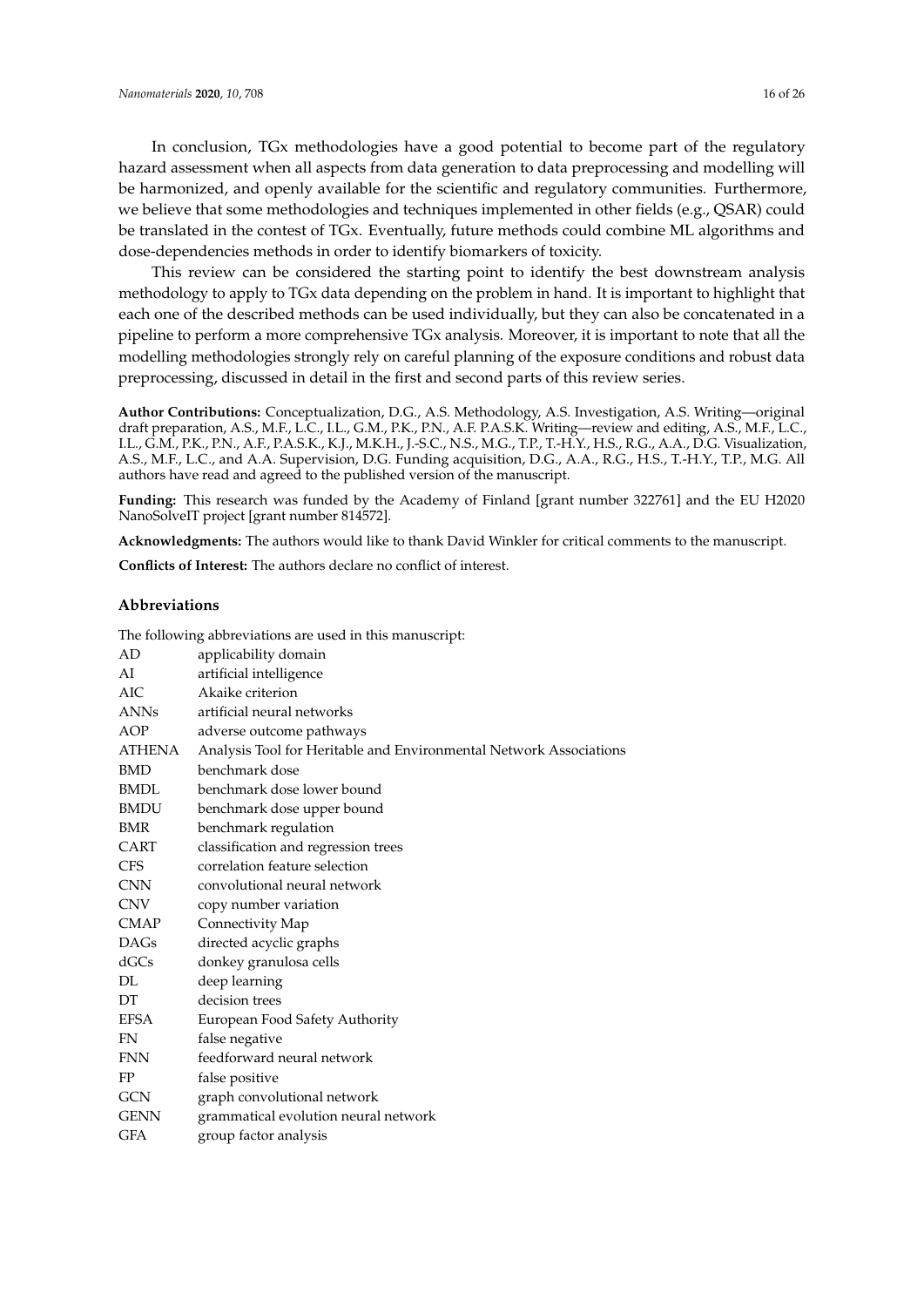In conclusion, TGx methodologies have a good potential to become part of the regulatory hazard assessment when all aspects from data generation to data preprocessing and modelling will be harmonized, and openly available for the scientific and regulatory communities. Furthermore, we believe that some methodologies and techniques implemented in other fields (e.g., QSAR) could be translated in the contest of TGx. Eventually, future methods could combine ML algorithms and dose-dependencies methods in order to identify biomarkers of toxicity.

This review can be considered the starting point to identify the best downstream analysis methodology to apply to TGx data depending on the problem in hand. It is important to highlight that each one of the described methods can be used individually, but they can also be concatenated in a pipeline to perform a more comprehensive TGx analysis. Moreover, it is important to note that all the modelling methodologies strongly rely on careful planning of the exposure conditions and robust data preprocessing, discussed in detail in the first and second parts of this review series.

**Author Contributions:** Conceptualization, D.G., A.S. Methodology, A.S. Investigation, A.S. Writing—original draft preparation, A.S., M.F., L.C., I.L., G.M., P.K., P.N., A.F. P.A.S.K. Writing—review and editing, A.S., M.F., L.C., I.L., G.M., P.K., P.N., A.F., P.A.S.K., K.J., M.K.H., J.-S.C., N.S., M.G., T.P., T.-H.Y., H.S., R.G., A.A., D.G. Visualization, A.S., M.F., L.C., and A.A. Supervision, D.G. Funding acquisition, D.G., A.A., R.G., H.S., T.-H.Y., T.P., M.G. All authors have read and agreed to the published version of the manuscript.

**Funding:** This research was funded by the Academy of Finland [grant number 322761] and the EU H2020 NanoSolveIT project [grant number 814572].

**Acknowledgments:** The authors would like to thank David Winkler for critical comments to the manuscript.

**Conflicts of Interest:** The authors declare no conflict of interest.

## **Abbreviations**

| AD            | applicability domain                                               |
|---------------|--------------------------------------------------------------------|
| AI            | artificial intelligence                                            |
| AIC           | Akaike criterion                                                   |
| <b>ANNs</b>   | artificial neural networks                                         |
| AOP           | adverse outcome pathways                                           |
| <b>ATHENA</b> | Analysis Tool for Heritable and Environmental Network Associations |
| <b>BMD</b>    | benchmark dose                                                     |
| <b>BMDL</b>   | benchmark dose lower bound                                         |
| <b>BMDU</b>   | benchmark dose upper bound                                         |
| <b>BMR</b>    | benchmark regulation                                               |
| CART          | classification and regression trees                                |
| <b>CFS</b>    | correlation feature selection                                      |
| <b>CNN</b>    | convolutional neural network                                       |
| <b>CNV</b>    | copy number variation                                              |
| <b>CMAP</b>   | Connectivity Map                                                   |
| <b>DAGs</b>   | directed acyclic graphs                                            |
| dGCs          | donkey granulosa cells                                             |
| DL            | deep learning                                                      |
| DT            | decision trees                                                     |
| <b>EFSA</b>   | European Food Safety Authority                                     |
| <b>FN</b>     | false negative                                                     |
| <b>FNN</b>    | feedforward neural network                                         |
| FP            | false positive                                                     |
| <b>GCN</b>    | graph convolutional network                                        |
| <b>GENN</b>   | grammatical evolution neural network                               |
| GFA           | group factor analysis                                              |

The following abbreviations are used in this manuscript: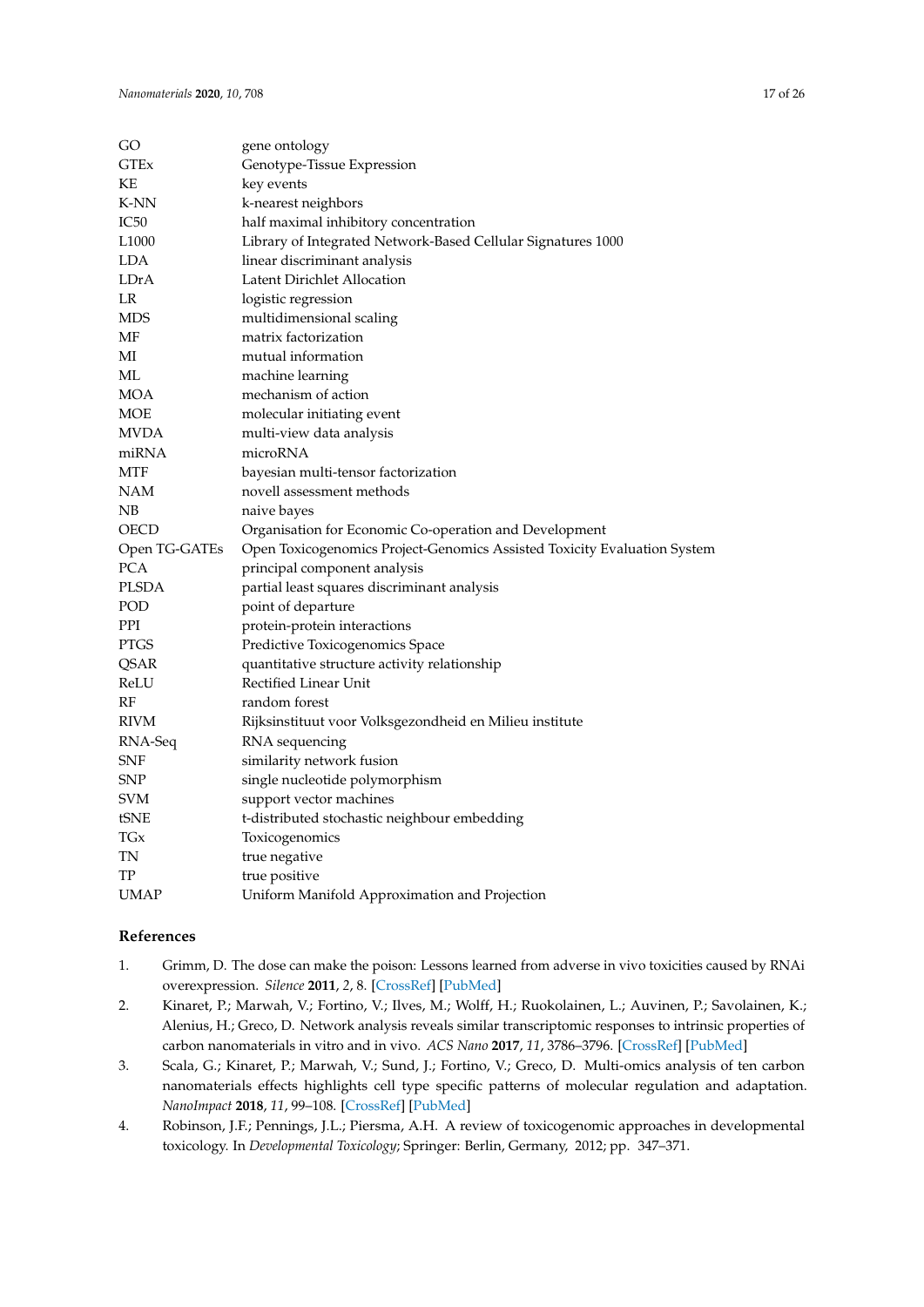| GO                | gene ontology                                                            |
|-------------------|--------------------------------------------------------------------------|
| GTEx              | Genotype-Tissue Expression                                               |
| ΚE                | key events                                                               |
| K-NN              | k-nearest neighbors                                                      |
| IC50              | half maximal inhibitory concentration                                    |
| L <sub>1000</sub> | Library of Integrated Network-Based Cellular Signatures 1000             |
| LDA               | linear discriminant analysis                                             |
| LDrA              | Latent Dirichlet Allocation                                              |
| LR                | logistic regression                                                      |
| MDS               | multidimensional scaling                                                 |
| MF                | matrix factorization                                                     |
| МI                | mutual information                                                       |
| ML                | machine learning                                                         |
| MOA               | mechanism of action                                                      |
| MOE               | molecular initiating event                                               |
| MVDA              | multi-view data analysis                                                 |
| miRNA             | microRNA                                                                 |
| MTF               | bayesian multi-tensor factorization                                      |
| NAM               | novell assessment methods                                                |
| NΒ                | naive bayes                                                              |
| OECD              | Organisation for Economic Co-operation and Development                   |
| Open TG-GATEs     | Open Toxicogenomics Project-Genomics Assisted Toxicity Evaluation System |
| PCA               | principal component analysis                                             |
| PLSDA             | partial least squares discriminant analysis                              |
| POD               | point of departure                                                       |
| PPI               | protein-protein interactions                                             |
| PTGS              | Predictive Toxicogenomics Space                                          |
| QSAR              | quantitative structure activity relationship                             |
| ReLU              | Rectified Linear Unit                                                    |
| RF                | random forest                                                            |
| RIVM              | Rijksinstituut voor Volksgezondheid en Milieu institute                  |
| RNA-Seq           | RNA sequencing                                                           |
| SNF               | similarity network fusion                                                |
| SNP               | single nucleotide polymorphism                                           |
| <b>SVM</b>        | support vector machines                                                  |
| tSNE              | t-distributed stochastic neighbour embedding                             |
| TGx               | Toxicogenomics                                                           |
| TN                | true negative                                                            |
| TP                | true positive                                                            |
| UMAP              | Uniform Manifold Approximation and Projection                            |

# **References**

- <span id="page-16-0"></span>1. Grimm, D. The dose can make the poison: Lessons learned from adverse in vivo toxicities caused by RNAi overexpression. *Silence* **2011**, *2*, 8. [\[CrossRef\]](http://dx.doi.org/10.1186/1758-907X-2-8) [\[PubMed\]](http://www.ncbi.nlm.nih.gov/pubmed/22029761)
- <span id="page-16-1"></span>2. Kinaret, P.; Marwah, V.; Fortino, V.; Ilves, M.; Wolff, H.; Ruokolainen, L.; Auvinen, P.; Savolainen, K.; Alenius, H.; Greco, D. Network analysis reveals similar transcriptomic responses to intrinsic properties of carbon nanomaterials in vitro and in vivo. *ACS Nano* **2017**, *11*, 3786–3796. [\[CrossRef\]](http://dx.doi.org/10.1021/acsnano.6b08650) [\[PubMed\]](http://www.ncbi.nlm.nih.gov/pubmed/28380293)
- <span id="page-16-2"></span>3. Scala, G.; Kinaret, P.; Marwah, V.; Sund, J.; Fortino, V.; Greco, D. Multi-omics analysis of ten carbon nanomaterials effects highlights cell type specific patterns of molecular regulation and adaptation. *NanoImpact* **2018**, *11*, 99–108. [\[CrossRef\]](http://dx.doi.org/10.1016/j.impact.2018.05.003) [\[PubMed\]](http://www.ncbi.nlm.nih.gov/pubmed/32140619)
- 4. Robinson, J.F.; Pennings, J.L.; Piersma, A.H. A review of toxicogenomic approaches in developmental toxicology. In *Developmental Toxicology*; Springer: Berlin, Germany, 2012; pp. 347–371.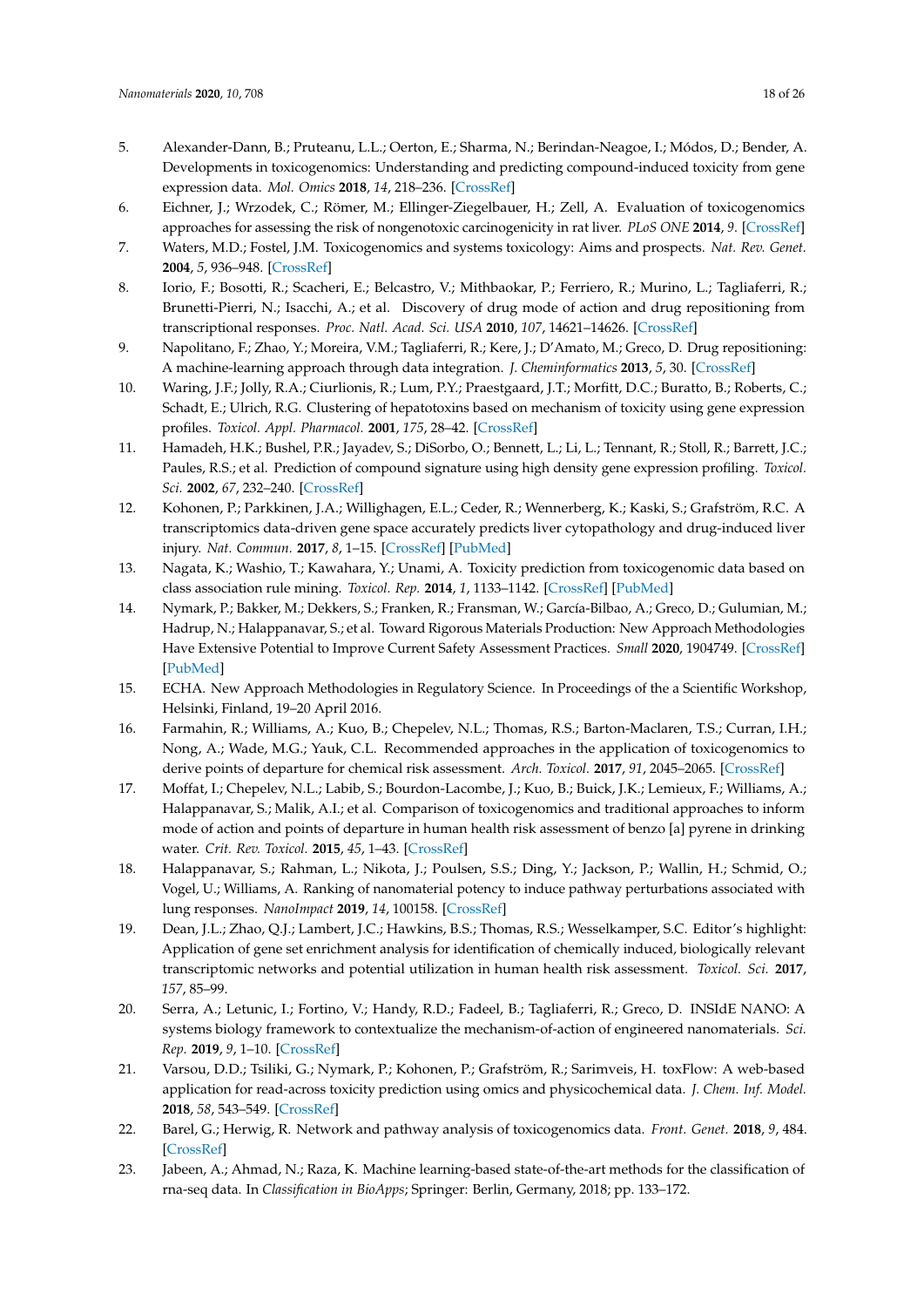- <span id="page-17-1"></span>5. Alexander-Dann, B.; Pruteanu, L.L.; Oerton, E.; Sharma, N.; Berindan-Neagoe, I.; Módos, D.; Bender, A. Developments in toxicogenomics: Understanding and predicting compound-induced toxicity from gene expression data. *Mol. Omics* **2018**, *14*, 218–236. [\[CrossRef\]](http://dx.doi.org/10.1039/C8MO00042E)
- <span id="page-17-12"></span>6. Eichner, J.; Wrzodek, C.; Römer, M.; Ellinger-Ziegelbauer, H.; Zell, A. Evaluation of toxicogenomics approaches for assessing the risk of nongenotoxic carcinogenicity in rat liver. *PLoS ONE* **2014**, *9*. [\[CrossRef\]](http://dx.doi.org/10.1371/journal.pone.0097678)
- <span id="page-17-0"></span>7. Waters, M.D.; Fostel, J.M. Toxicogenomics and systems toxicology: Aims and prospects. *Nat. Rev. Genet.* **2004**, *5*, 936–948. [\[CrossRef\]](http://dx.doi.org/10.1038/nrg1493)
- <span id="page-17-2"></span>8. Iorio, F.; Bosotti, R.; Scacheri, E.; Belcastro, V.; Mithbaokar, P.; Ferriero, R.; Murino, L.; Tagliaferri, R.; Brunetti-Pierri, N.; Isacchi, A.; et al. Discovery of drug mode of action and drug repositioning from transcriptional responses. *Proc. Natl. Acad. Sci. USA* **2010**, *107*, 14621–14626. [\[CrossRef\]](http://dx.doi.org/10.1073/pnas.1000138107)
- <span id="page-17-3"></span>9. Napolitano, F.; Zhao, Y.; Moreira, V.M.; Tagliaferri, R.; Kere, J.; D'Amato, M.; Greco, D. Drug repositioning: A machine-learning approach through data integration. *J. Cheminformatics* **2013**, *5*, 30. [\[CrossRef\]](http://dx.doi.org/10.1186/1758-2946-5-30)
- <span id="page-17-4"></span>10. Waring, J.F.; Jolly, R.A.; Ciurlionis, R.; Lum, P.Y.; Praestgaard, J.T.; Morfitt, D.C.; Buratto, B.; Roberts, C.; Schadt, E.; Ulrich, R.G. Clustering of hepatotoxins based on mechanism of toxicity using gene expression profiles. *Toxicol. Appl. Pharmacol.* **2001**, *175*, 28–42. [\[CrossRef\]](http://dx.doi.org/10.1006/taap.2001.9243)
- 11. Hamadeh, H.K.; Bushel, P.R.; Jayadev, S.; DiSorbo, O.; Bennett, L.; Li, L.; Tennant, R.; Stoll, R.; Barrett, J.C.; Paules, R.S.; et al. Prediction of compound signature using high density gene expression profiling. *Toxicol. Sci.* **2002**, *67*, 232–240. [\[CrossRef\]](http://dx.doi.org/10.1093/toxsci/67.2.232)
- <span id="page-17-15"></span>12. Kohonen, P.; Parkkinen, J.A.; Willighagen, E.L.; Ceder, R.; Wennerberg, K.; Kaski, S.; Grafström, R.C. A transcriptomics data-driven gene space accurately predicts liver cytopathology and drug-induced liver injury. *Nat. Commun.* **2017**, *8*, 1–15. [\[CrossRef\]](http://dx.doi.org/10.1038/ncomms15932) [\[PubMed\]](http://www.ncbi.nlm.nih.gov/pubmed/28671182)
- <span id="page-17-5"></span>13. Nagata, K.; Washio, T.; Kawahara, Y.; Unami, A. Toxicity prediction from toxicogenomic data based on class association rule mining. *Toxicol. Rep.* **2014**, *1*, 1133–1142. [\[CrossRef\]](http://dx.doi.org/10.1016/j.toxrep.2014.10.014) [\[PubMed\]](http://www.ncbi.nlm.nih.gov/pubmed/28962323)
- <span id="page-17-6"></span>14. Nymark, P.; Bakker, M.; Dekkers, S.; Franken, R.; Fransman, W.; García-Bilbao, A.; Greco, D.; Gulumian, M.; Hadrup, N.; Halappanavar, S.; et al. Toward Rigorous Materials Production: New Approach Methodologies Have Extensive Potential to Improve Current Safety Assessment Practices. *Small* **2020**, 1904749. [\[CrossRef\]](http://dx.doi.org/10.1002/smll.201904749) [\[PubMed\]](http://www.ncbi.nlm.nih.gov/pubmed/31913582)
- <span id="page-17-7"></span>15. ECHA. New Approach Methodologies in Regulatory Science. In Proceedings of the a Scientific Workshop, Helsinki, Finland, 19–20 April 2016.
- <span id="page-17-8"></span>16. Farmahin, R.; Williams, A.; Kuo, B.; Chepelev, N.L.; Thomas, R.S.; Barton-Maclaren, T.S.; Curran, I.H.; Nong, A.; Wade, M.G.; Yauk, C.L. Recommended approaches in the application of toxicogenomics to derive points of departure for chemical risk assessment. *Arch. Toxicol.* **2017**, *91*, 2045–2065. [\[CrossRef\]](http://dx.doi.org/10.1007/s00204-016-1886-5)
- 17. Moffat, I.; Chepelev, N.L.; Labib, S.; Bourdon-Lacombe, J.; Kuo, B.; Buick, J.K.; Lemieux, F.; Williams, A.; Halappanavar, S.; Malik, A.I.; et al. Comparison of toxicogenomics and traditional approaches to inform mode of action and points of departure in human health risk assessment of benzo [a] pyrene in drinking water. *Crit. Rev. Toxicol.* **2015**, *45*, 1–43. [\[CrossRef\]](http://dx.doi.org/10.3109/10408444.2014.973934)
- <span id="page-17-16"></span>18. Halappanavar, S.; Rahman, L.; Nikota, J.; Poulsen, S.S.; Ding, Y.; Jackson, P.; Wallin, H.; Schmid, O.; Vogel, U.; Williams, A. Ranking of nanomaterial potency to induce pathway perturbations associated with lung responses. *NanoImpact* **2019**, *14*, 100158. [\[CrossRef\]](http://dx.doi.org/10.1016/j.impact.2019.100158)
- <span id="page-17-9"></span>19. Dean, J.L.; Zhao, Q.J.; Lambert, J.C.; Hawkins, B.S.; Thomas, R.S.; Wesselkamper, S.C. Editor's highlight: Application of gene set enrichment analysis for identification of chemically induced, biologically relevant transcriptomic networks and potential utilization in human health risk assessment. *Toxicol. Sci.* **2017**, *157*, 85–99.
- <span id="page-17-10"></span>20. Serra, A.; Letunic, I.; Fortino, V.; Handy, R.D.; Fadeel, B.; Tagliaferri, R.; Greco, D. INSIdE NANO: A systems biology framework to contextualize the mechanism-of-action of engineered nanomaterials. *Sci. Rep.* **2019**, *9*, 1–10. [\[CrossRef\]](http://dx.doi.org/10.1038/s41598-018-37411-y)
- <span id="page-17-11"></span>21. Varsou, D.D.; Tsiliki, G.; Nymark, P.; Kohonen, P.; Grafström, R.; Sarimveis, H. toxFlow: A web-based application for read-across toxicity prediction using omics and physicochemical data. *J. Chem. Inf. Model.* **2018**, *58*, 543–549. [\[CrossRef\]](http://dx.doi.org/10.1021/acs.jcim.7b00160)
- <span id="page-17-13"></span>22. Barel, G.; Herwig, R. Network and pathway analysis of toxicogenomics data. *Front. Genet.* **2018**, *9*, 484. [\[CrossRef\]](http://dx.doi.org/10.3389/fgene.2018.00484)
- <span id="page-17-14"></span>23. Jabeen, A.; Ahmad, N.; Raza, K. Machine learning-based state-of-the-art methods for the classification of rna-seq data. In *Classification in BioApps*; Springer: Berlin, Germany, 2018; pp. 133–172.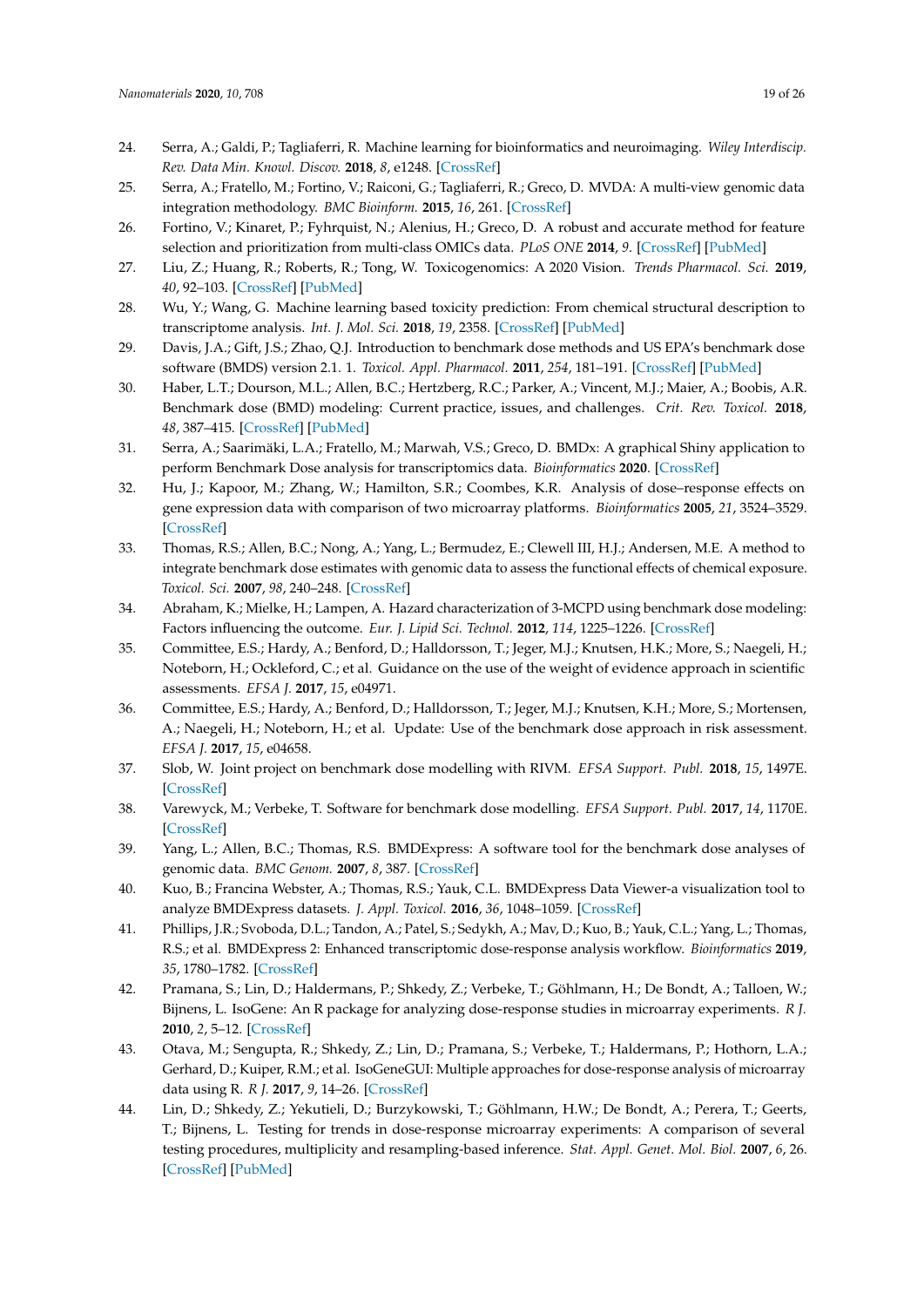- <span id="page-18-17"></span>24. Serra, A.; Galdi, P.; Tagliaferri, R. Machine learning for bioinformatics and neuroimaging. *Wiley Interdiscip. Rev. Data Min. Knowl. Discov.* **2018**, *8*, e1248. [\[CrossRef\]](http://dx.doi.org/10.1002/widm.1248)
- <span id="page-18-18"></span>25. Serra, A.; Fratello, M.; Fortino, V.; Raiconi, G.; Tagliaferri, R.; Greco, D. MVDA: A multi-view genomic data integration methodology. *BMC Bioinform.* **2015**, *16*, 261. [\[CrossRef\]](http://dx.doi.org/10.1186/s12859-015-0680-3)
- <span id="page-18-0"></span>26. Fortino, V.; Kinaret, P.; Fyhrquist, N.; Alenius, H.; Greco, D. A robust and accurate method for feature selection and prioritization from multi-class OMICs data. *PLoS ONE* **2014**, *9*. [\[CrossRef\]](http://dx.doi.org/10.1371/journal.pone.0107801) [\[PubMed\]](http://www.ncbi.nlm.nih.gov/pubmed/25247789)
- <span id="page-18-1"></span>27. Liu, Z.; Huang, R.; Roberts, R.; Tong, W. Toxicogenomics: A 2020 Vision. *Trends Pharmacol. Sci.* **2019**, *40*, 92–103. [\[CrossRef\]](http://dx.doi.org/10.1016/j.tips.2018.12.001) [\[PubMed\]](http://www.ncbi.nlm.nih.gov/pubmed/30594306)
- <span id="page-18-2"></span>28. Wu, Y.; Wang, G. Machine learning based toxicity prediction: From chemical structural description to transcriptome analysis. *Int. J. Mol. Sci.* **2018**, *19*, 2358. [\[CrossRef\]](http://dx.doi.org/10.3390/ijms19082358) [\[PubMed\]](http://www.ncbi.nlm.nih.gov/pubmed/30103448)
- <span id="page-18-3"></span>29. Davis, J.A.; Gift, J.S.; Zhao, Q.J. Introduction to benchmark dose methods and US EPA's benchmark dose software (BMDS) version 2.1. 1. *Toxicol. Appl. Pharmacol.* **2011**, *254*, 181–191. [\[CrossRef\]](http://dx.doi.org/10.1016/j.taap.2010.10.016) [\[PubMed\]](http://www.ncbi.nlm.nih.gov/pubmed/21034758)
- 30. Haber, L.T.; Dourson, M.L.; Allen, B.C.; Hertzberg, R.C.; Parker, A.; Vincent, M.J.; Maier, A.; Boobis, A.R. Benchmark dose (BMD) modeling: Current practice, issues, and challenges. *Crit. Rev. Toxicol.* **2018**, *48*, 387–415. [\[CrossRef\]](http://dx.doi.org/10.1080/10408444.2018.1430121) [\[PubMed\]](http://www.ncbi.nlm.nih.gov/pubmed/29516780)
- <span id="page-18-4"></span>31. Serra, A.; Saarimäki, L.A.; Fratello, M.; Marwah, V.S.; Greco, D. BMDx: A graphical Shiny application to perform Benchmark Dose analysis for transcriptomics data. *Bioinformatics* **2020**. [\[CrossRef\]](http://dx.doi.org/10.1093/bioinformatics/btaa030)
- <span id="page-18-5"></span>32. Hu, J.; Kapoor, M.; Zhang, W.; Hamilton, S.R.; Coombes, K.R. Analysis of dose–response effects on gene expression data with comparison of two microarray platforms. *Bioinformatics* **2005**, *21*, 3524–3529. [\[CrossRef\]](http://dx.doi.org/10.1093/bioinformatics/bti592)
- <span id="page-18-6"></span>33. Thomas, R.S.; Allen, B.C.; Nong, A.; Yang, L.; Bermudez, E.; Clewell III, H.J.; Andersen, M.E. A method to integrate benchmark dose estimates with genomic data to assess the functional effects of chemical exposure. *Toxicol. Sci.* **2007**, *98*, 240–248. [\[CrossRef\]](http://dx.doi.org/10.1093/toxsci/kfm092)
- <span id="page-18-7"></span>34. Abraham, K.; Mielke, H.; Lampen, A. Hazard characterization of 3-MCPD using benchmark dose modeling: Factors influencing the outcome. *Eur. J. Lipid Sci. Technol.* **2012**, *114*, 1225–1226. [\[CrossRef\]](http://dx.doi.org/10.1002/ejlt.201200250)
- <span id="page-18-8"></span>35. Committee, E.S.; Hardy, A.; Benford, D.; Halldorsson, T.; Jeger, M.J.; Knutsen, H.K.; More, S.; Naegeli, H.; Noteborn, H.; Ockleford, C.; et al. Guidance on the use of the weight of evidence approach in scientific assessments. *EFSA J.* **2017**, *15*, e04971.
- <span id="page-18-9"></span>36. Committee, E.S.; Hardy, A.; Benford, D.; Halldorsson, T.; Jeger, M.J.; Knutsen, K.H.; More, S.; Mortensen, A.; Naegeli, H.; Noteborn, H.; et al. Update: Use of the benchmark dose approach in risk assessment. *EFSA J.* **2017**, *15*, e04658.
- <span id="page-18-10"></span>37. Slob, W. Joint project on benchmark dose modelling with RIVM. *EFSA Support. Publ.* **2018**, *15*, 1497E. [\[CrossRef\]](http://dx.doi.org/10.2903/sp.efsa.2018.EN-1497)
- <span id="page-18-11"></span>38. Varewyck, M.; Verbeke, T. Software for benchmark dose modelling. *EFSA Support. Publ.* **2017**, *14*, 1170E. [\[CrossRef\]](http://dx.doi.org/10.2903/sp.efsa.2017.EN-1170)
- <span id="page-18-12"></span>39. Yang, L.; Allen, B.C.; Thomas, R.S. BMDExpress: A software tool for the benchmark dose analyses of genomic data. *BMC Genom.* **2007**, *8*, 387. [\[CrossRef\]](http://dx.doi.org/10.1186/1471-2164-8-387)
- 40. Kuo, B.; Francina Webster, A.; Thomas, R.S.; Yauk, C.L. BMDExpress Data Viewer-a visualization tool to analyze BMDExpress datasets. *J. Appl. Toxicol.* **2016**, *36*, 1048–1059. [\[CrossRef\]](http://dx.doi.org/10.1002/jat.3265)
- <span id="page-18-13"></span>41. Phillips, J.R.; Svoboda, D.L.; Tandon, A.; Patel, S.; Sedykh, A.; Mav, D.; Kuo, B.; Yauk, C.L.; Yang, L.; Thomas, R.S.; et al. BMDExpress 2: Enhanced transcriptomic dose-response analysis workflow. *Bioinformatics* **2019**, *35*, 1780–1782. [\[CrossRef\]](http://dx.doi.org/10.1093/bioinformatics/bty878)
- <span id="page-18-14"></span>42. Pramana, S.; Lin, D.; Haldermans, P.; Shkedy, Z.; Verbeke, T.; Göhlmann, H.; De Bondt, A.; Talloen, W.; Bijnens, L. IsoGene: An R package for analyzing dose-response studies in microarray experiments. *R J.* **2010**, *2*, 5–12. [\[CrossRef\]](http://dx.doi.org/10.32614/RJ-2010-001)
- <span id="page-18-15"></span>43. Otava, M.; Sengupta, R.; Shkedy, Z.; Lin, D.; Pramana, S.; Verbeke, T.; Haldermans, P.; Hothorn, L.A.; Gerhard, D.; Kuiper, R.M.; et al. IsoGeneGUI: Multiple approaches for dose-response analysis of microarray data using R. *R J.* **2017**, *9*, 14–26. [\[CrossRef\]](http://dx.doi.org/10.32614/RJ-2017-002)
- <span id="page-18-16"></span>44. Lin, D.; Shkedy, Z.; Yekutieli, D.; Burzykowski, T.; Göhlmann, H.W.; De Bondt, A.; Perera, T.; Geerts, T.; Bijnens, L. Testing for trends in dose-response microarray experiments: A comparison of several testing procedures, multiplicity and resampling-based inference. *Stat. Appl. Genet. Mol. Biol.* **2007**, *6*, 26. [\[CrossRef\]](http://dx.doi.org/10.2202/1544-6115.1283) [\[PubMed\]](http://www.ncbi.nlm.nih.gov/pubmed/18052909)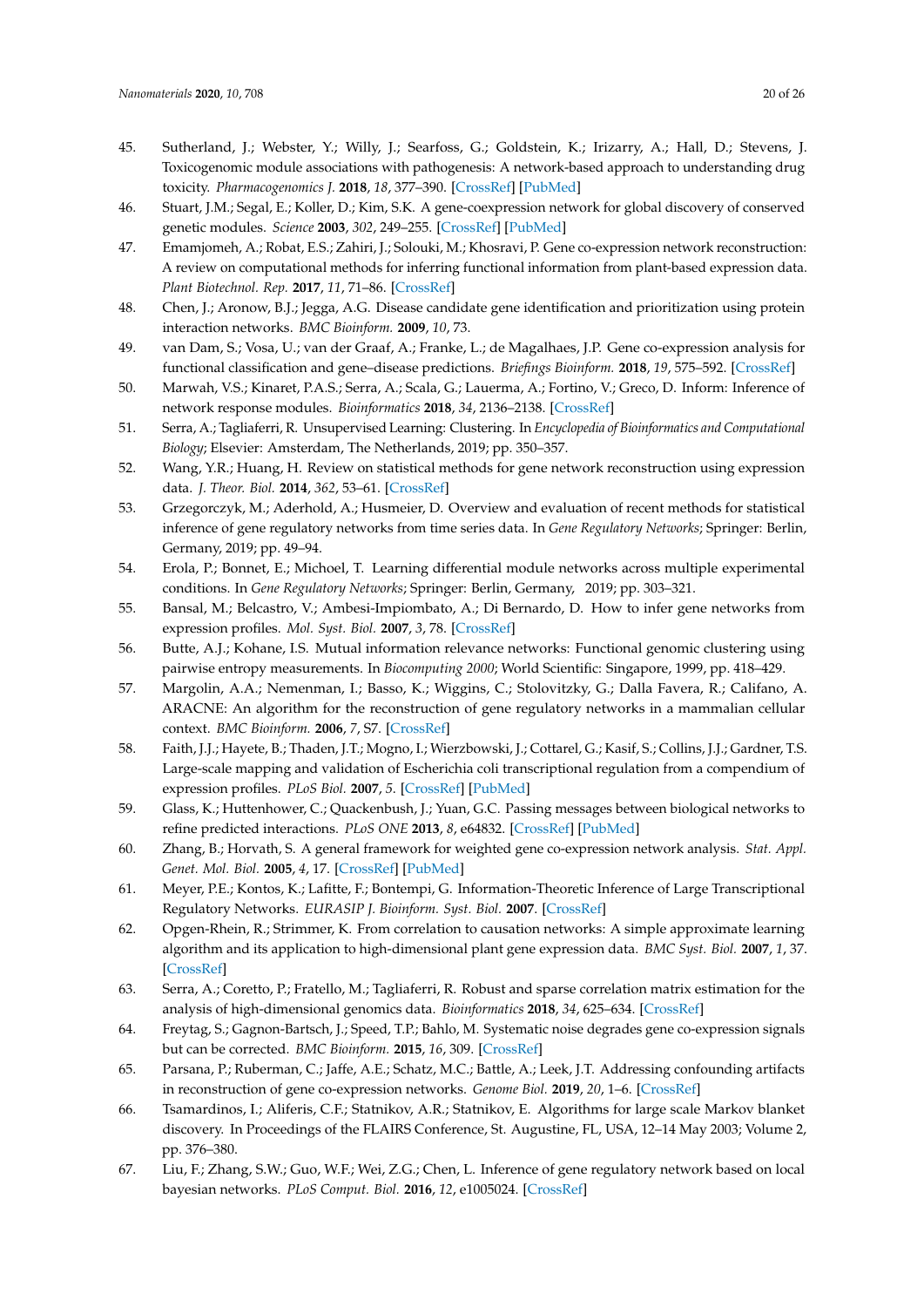- <span id="page-19-0"></span>45. Sutherland, J.; Webster, Y.; Willy, J.; Searfoss, G.; Goldstein, K.; Irizarry, A.; Hall, D.; Stevens, J. Toxicogenomic module associations with pathogenesis: A network-based approach to understanding drug toxicity. *Pharmacogenomics J.* **2018**, *18*, 377–390. [\[CrossRef\]](http://dx.doi.org/10.1038/tpj.2017.17) [\[PubMed\]](http://www.ncbi.nlm.nih.gov/pubmed/28440344)
- <span id="page-19-1"></span>46. Stuart, J.M.; Segal, E.; Koller, D.; Kim, S.K. A gene-coexpression network for global discovery of conserved genetic modules. *Science* **2003**, *302*, 249–255. [\[CrossRef\]](http://dx.doi.org/10.1126/science.1087447) [\[PubMed\]](http://www.ncbi.nlm.nih.gov/pubmed/12934013)
- <span id="page-19-2"></span>47. Emamjomeh, A.; Robat, E.S.; Zahiri, J.; Solouki, M.; Khosravi, P. Gene co-expression network reconstruction: A review on computational methods for inferring functional information from plant-based expression data. *Plant Biotechnol. Rep.* **2017**, *11*, 71–86. [\[CrossRef\]](http://dx.doi.org/10.1007/s11816-017-0433-z)
- <span id="page-19-3"></span>48. Chen, J.; Aronow, B.J.; Jegga, A.G. Disease candidate gene identification and prioritization using protein interaction networks. *BMC Bioinform.* **2009**, *10*, 73.
- <span id="page-19-4"></span>49. van Dam, S.; Vosa, U.; van der Graaf, A.; Franke, L.; de Magalhaes, J.P. Gene co-expression analysis for functional classification and gene–disease predictions. *Briefings Bioinform.* **2018**, *19*, 575–592. [\[CrossRef\]](http://dx.doi.org/10.1093/bib/bbw139)
- <span id="page-19-5"></span>50. Marwah, V.S.; Kinaret, P.A.S.; Serra, A.; Scala, G.; Lauerma, A.; Fortino, V.; Greco, D. Inform: Inference of network response modules. *Bioinformatics* **2018**, *34*, 2136–2138. [\[CrossRef\]](http://dx.doi.org/10.1093/bioinformatics/bty063)
- <span id="page-19-6"></span>51. Serra, A.; Tagliaferri, R. Unsupervised Learning: Clustering. In *Encyclopedia of Bioinformatics and Computational Biology*; Elsevier: Amsterdam, The Netherlands, 2019; pp. 350–357.
- <span id="page-19-7"></span>52. Wang, Y.R.; Huang, H. Review on statistical methods for gene network reconstruction using expression data. *J. Theor. Biol.* **2014**, *362*, 53–61. [\[CrossRef\]](http://dx.doi.org/10.1016/j.jtbi.2014.03.040)
- 53. Grzegorczyk, M.; Aderhold, A.; Husmeier, D. Overview and evaluation of recent methods for statistical inference of gene regulatory networks from time series data. In *Gene Regulatory Networks*; Springer: Berlin, Germany, 2019; pp. 49–94.
- <span id="page-19-8"></span>54. Erola, P.; Bonnet, E.; Michoel, T. Learning differential module networks across multiple experimental conditions. In *Gene Regulatory Networks*; Springer: Berlin, Germany, 2019; pp. 303–321.
- <span id="page-19-9"></span>55. Bansal, M.; Belcastro, V.; Ambesi-Impiombato, A.; Di Bernardo, D. How to infer gene networks from expression profiles. *Mol. Syst. Biol.* **2007**, *3*, 78. [\[CrossRef\]](http://dx.doi.org/10.1038/msb4100120)
- <span id="page-19-10"></span>56. Butte, A.J.; Kohane, I.S. Mutual information relevance networks: Functional genomic clustering using pairwise entropy measurements. In *Biocomputing 2000*; World Scientific: Singapore, 1999, pp. 418–429.
- <span id="page-19-11"></span>57. Margolin, A.A.; Nemenman, I.; Basso, K.; Wiggins, C.; Stolovitzky, G.; Dalla Favera, R.; Califano, A. ARACNE: An algorithm for the reconstruction of gene regulatory networks in a mammalian cellular context. *BMC Bioinform.* **2006**, *7*, S7. [\[CrossRef\]](http://dx.doi.org/10.1186/1471-2105-7-S1-S7)
- <span id="page-19-12"></span>58. Faith, J.J.; Hayete, B.; Thaden, J.T.; Mogno, I.; Wierzbowski, J.; Cottarel, G.; Kasif, S.; Collins, J.J.; Gardner, T.S. Large-scale mapping and validation of Escherichia coli transcriptional regulation from a compendium of expression profiles. *PLoS Biol.* **2007**, *5*. [\[CrossRef\]](http://dx.doi.org/10.1371/journal.pbio.0050008) [\[PubMed\]](http://www.ncbi.nlm.nih.gov/pubmed/17214507)
- <span id="page-19-13"></span>59. Glass, K.; Huttenhower, C.; Quackenbush, J.; Yuan, G.C. Passing messages between biological networks to refine predicted interactions. *PLoS ONE* **2013**, *8*, e64832. [\[CrossRef\]](http://dx.doi.org/10.1371/journal.pone.0064832) [\[PubMed\]](http://www.ncbi.nlm.nih.gov/pubmed/23741402)
- <span id="page-19-14"></span>60. Zhang, B.; Horvath, S. A general framework for weighted gene co-expression network analysis. *Stat. Appl. Genet. Mol. Biol.* **2005**, *4*, 17. [\[CrossRef\]](http://dx.doi.org/10.2202/1544-6115.1128) [\[PubMed\]](http://www.ncbi.nlm.nih.gov/pubmed/16646834)
- <span id="page-19-15"></span>61. Meyer, P.E.; Kontos, K.; Lafitte, F.; Bontempi, G. Information-Theoretic Inference of Large Transcriptional Regulatory Networks. *EURASIP J. Bioinform. Syst. Biol.* **2007**. [\[CrossRef\]](http://dx.doi.org/10.1155/2007/79879)
- <span id="page-19-16"></span>62. Opgen-Rhein, R.; Strimmer, K. From correlation to causation networks: A simple approximate learning algorithm and its application to high-dimensional plant gene expression data. *BMC Syst. Biol.* **2007**, *1*, 37. [\[CrossRef\]](http://dx.doi.org/10.1186/1752-0509-1-37)
- 63. Serra, A.; Coretto, P.; Fratello, M.; Tagliaferri, R. Robust and sparse correlation matrix estimation for the analysis of high-dimensional genomics data. *Bioinformatics* **2018**, *34*, 625–634. [\[CrossRef\]](http://dx.doi.org/10.1093/bioinformatics/btx642)
- 64. Freytag, S.; Gagnon-Bartsch, J.; Speed, T.P.; Bahlo, M. Systematic noise degrades gene co-expression signals but can be corrected. *BMC Bioinform.* **2015**, *16*, 309. [\[CrossRef\]](http://dx.doi.org/10.1186/s12859-015-0745-3)
- <span id="page-19-17"></span>65. Parsana, P.; Ruberman, C.; Jaffe, A.E.; Schatz, M.C.; Battle, A.; Leek, J.T. Addressing confounding artifacts in reconstruction of gene co-expression networks. *Genome Biol.* **2019**, *20*, 1–6. [\[CrossRef\]](http://dx.doi.org/10.1186/s13059-019-1700-9)
- <span id="page-19-18"></span>66. Tsamardinos, I.; Aliferis, C.F.; Statnikov, A.R.; Statnikov, E. Algorithms for large scale Markov blanket discovery. In Proceedings of the FLAIRS Conference, St. Augustine, FL, USA, 12–14 May 2003; Volume 2, pp. 376–380.
- <span id="page-19-19"></span>67. Liu, F.; Zhang, S.W.; Guo, W.F.; Wei, Z.G.; Chen, L. Inference of gene regulatory network based on local bayesian networks. *PLoS Comput. Biol.* **2016**, *12*, e1005024. [\[CrossRef\]](http://dx.doi.org/10.1371/journal.pcbi.1005024)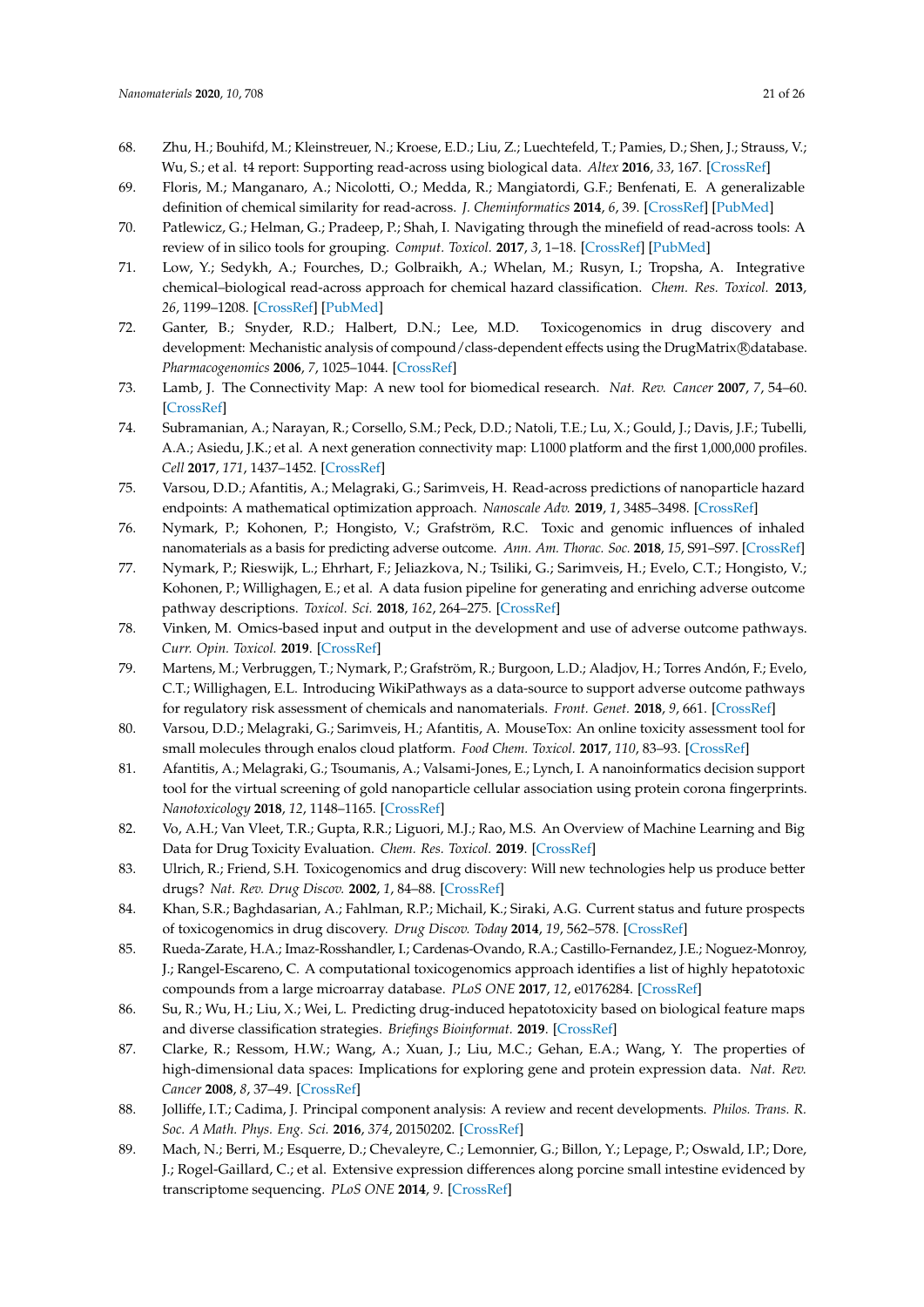- <span id="page-20-0"></span>68. Zhu, H.; Bouhifd, M.; Kleinstreuer, N.; Kroese, E.D.; Liu, Z.; Luechtefeld, T.; Pamies, D.; Shen, J.; Strauss, V.; Wu, S.; et al. t4 report: Supporting read-across using biological data. *Altex* **2016**, *33*, 167. [\[CrossRef\]](http://dx.doi.org/10.14573/altex.1601252)
- <span id="page-20-1"></span>69. Floris, M.; Manganaro, A.; Nicolotti, O.; Medda, R.; Mangiatordi, G.F.; Benfenati, E. A generalizable definition of chemical similarity for read-across. *J. Cheminformatics* **2014**, *6*, 39. [\[CrossRef\]](http://dx.doi.org/10.1186/s13321-014-0039-1) [\[PubMed\]](http://www.ncbi.nlm.nih.gov/pubmed/25383097)
- <span id="page-20-2"></span>70. Patlewicz, G.; Helman, G.; Pradeep, P.; Shah, I. Navigating through the minefield of read-across tools: A review of in silico tools for grouping. *Comput. Toxicol.* **2017**, *3*, 1–18. [\[CrossRef\]](http://dx.doi.org/10.1016/j.comtox.2017.05.003) [\[PubMed\]](http://www.ncbi.nlm.nih.gov/pubmed/30221211)
- <span id="page-20-3"></span>71. Low, Y.; Sedykh, A.; Fourches, D.; Golbraikh, A.; Whelan, M.; Rusyn, I.; Tropsha, A. Integrative chemical–biological read-across approach for chemical hazard classification. *Chem. Res. Toxicol.* **2013**, *26*, 1199–1208. [\[CrossRef\]](http://dx.doi.org/10.1021/tx400110f) [\[PubMed\]](http://www.ncbi.nlm.nih.gov/pubmed/23848138)
- <span id="page-20-4"></span>72. Ganter, B.; Snyder, R.D.; Halbert, D.N.; Lee, M.D. Toxicogenomics in drug discovery and development: Mechanistic analysis of compound/class-dependent effects using the DrugMatrix®database. *Pharmacogenomics* **2006**, *7*, 1025–1044. [\[CrossRef\]](http://dx.doi.org/10.2217/14622416.7.7.1025)
- <span id="page-20-5"></span>73. Lamb, J. The Connectivity Map: A new tool for biomedical research. *Nat. Rev. Cancer* **2007**, *7*, 54–60. [\[CrossRef\]](http://dx.doi.org/10.1038/nrc2044)
- <span id="page-20-6"></span>74. Subramanian, A.; Narayan, R.; Corsello, S.M.; Peck, D.D.; Natoli, T.E.; Lu, X.; Gould, J.; Davis, J.F.; Tubelli, A.A.; Asiedu, J.K.; et al. A next generation connectivity map: L1000 platform and the first 1,000,000 profiles. *Cell* **2017**, *171*, 1437–1452. [\[CrossRef\]](http://dx.doi.org/10.1016/j.cell.2017.10.049)
- <span id="page-20-7"></span>75. Varsou, D.D.; Afantitis, A.; Melagraki, G.; Sarimveis, H. Read-across predictions of nanoparticle hazard endpoints: A mathematical optimization approach. *Nanoscale Adv.* **2019**, *1*, 3485–3498. [\[CrossRef\]](http://dx.doi.org/10.1039/C9NA00242A)
- <span id="page-20-8"></span>76. Nymark, P.; Kohonen, P.; Hongisto, V.; Grafström, R.C. Toxic and genomic influences of inhaled nanomaterials as a basis for predicting adverse outcome. *Ann. Am. Thorac. Soc.* **2018**, *15*, S91–S97. [\[CrossRef\]](http://dx.doi.org/10.1513/AnnalsATS.201706-478MG)
- <span id="page-20-9"></span>77. Nymark, P.; Rieswijk, L.; Ehrhart, F.; Jeliazkova, N.; Tsiliki, G.; Sarimveis, H.; Evelo, C.T.; Hongisto, V.; Kohonen, P.; Willighagen, E.; et al. A data fusion pipeline for generating and enriching adverse outcome pathway descriptions. *Toxicol. Sci.* **2018**, *162*, 264–275. [\[CrossRef\]](http://dx.doi.org/10.1093/toxsci/kfx252)
- <span id="page-20-10"></span>78. Vinken, M. Omics-based input and output in the development and use of adverse outcome pathways. *Curr. Opin. Toxicol.* **2019**. [\[CrossRef\]](http://dx.doi.org/10.1016/j.cotox.2019.02.006)
- <span id="page-20-11"></span>79. Martens, M.; Verbruggen, T.; Nymark, P.; Grafström, R.; Burgoon, L.D.; Aladjov, H.; Torres Andón, F.; Evelo, C.T.; Willighagen, E.L. Introducing WikiPathways as a data-source to support adverse outcome pathways for regulatory risk assessment of chemicals and nanomaterials. *Front. Genet.* **2018**, *9*, 661. [\[CrossRef\]](http://dx.doi.org/10.3389/fgene.2018.00661)
- <span id="page-20-12"></span>80. Varsou, D.D.; Melagraki, G.; Sarimveis, H.; Afantitis, A. MouseTox: An online toxicity assessment tool for small molecules through enalos cloud platform. *Food Chem. Toxicol.* **2017**, *110*, 83–93. [\[CrossRef\]](http://dx.doi.org/10.1016/j.fct.2017.09.058)
- <span id="page-20-21"></span>81. Afantitis, A.; Melagraki, G.; Tsoumanis, A.; Valsami-Jones, E.; Lynch, I. A nanoinformatics decision support tool for the virtual screening of gold nanoparticle cellular association using protein corona fingerprints. *Nanotoxicology* **2018**, *12*, 1148–1165. [\[CrossRef\]](http://dx.doi.org/10.1080/17435390.2018.1504998)
- <span id="page-20-13"></span>82. Vo, A.H.; Van Vleet, T.R.; Gupta, R.R.; Liguori, M.J.; Rao, M.S. An Overview of Machine Learning and Big Data for Drug Toxicity Evaluation. *Chem. Res. Toxicol.* **2019**. [\[CrossRef\]](http://dx.doi.org/10.1021/acs.chemrestox.9b00227)
- <span id="page-20-14"></span>83. Ulrich, R.; Friend, S.H. Toxicogenomics and drug discovery: Will new technologies help us produce better drugs? *Nat. Rev. Drug Discov.* **2002**, *1*, 84–88. [\[CrossRef\]](http://dx.doi.org/10.1038/nrd710)
- <span id="page-20-15"></span>84. Khan, S.R.; Baghdasarian, A.; Fahlman, R.P.; Michail, K.; Siraki, A.G. Current status and future prospects of toxicogenomics in drug discovery. *Drug Discov. Today* **2014**, *19*, 562–578. [\[CrossRef\]](http://dx.doi.org/10.1016/j.drudis.2013.11.001)
- <span id="page-20-16"></span>85. Rueda-Zarate, H.A.; Imaz-Rosshandler, I.; Cardenas-Ovando, R.A.; Castillo-Fernandez, J.E.; Noguez-Monroy, J.; Rangel-Escareno, C. A computational toxicogenomics approach identifies a list of highly hepatotoxic compounds from a large microarray database. *PLoS ONE* **2017**, *12*, e0176284. [\[CrossRef\]](http://dx.doi.org/10.1371/journal.pone.0176284)
- <span id="page-20-17"></span>86. Su, R.; Wu, H.; Liu, X.; Wei, L. Predicting drug-induced hepatotoxicity based on biological feature maps and diverse classification strategies. *Briefings Bioinformat.* **2019**. [\[CrossRef\]](http://dx.doi.org/10.1093/bib/bbz165)
- <span id="page-20-18"></span>87. Clarke, R.; Ressom, H.W.; Wang, A.; Xuan, J.; Liu, M.C.; Gehan, E.A.; Wang, Y. The properties of high-dimensional data spaces: Implications for exploring gene and protein expression data. *Nat. Rev. Cancer* **2008**, *8*, 37–49. [\[CrossRef\]](http://dx.doi.org/10.1038/nrc2294)
- <span id="page-20-19"></span>88. Jolliffe, I.T.; Cadima, J. Principal component analysis: A review and recent developments. *Philos. Trans. R. Soc. A Math. Phys. Eng. Sci.* **2016**, *374*, 20150202. [\[CrossRef\]](http://dx.doi.org/10.1098/rsta.2015.0202)
- <span id="page-20-20"></span>89. Mach, N.; Berri, M.; Esquerre, D.; Chevaleyre, C.; Lemonnier, G.; Billon, Y.; Lepage, P.; Oswald, I.P.; Dore, J.; Rogel-Gaillard, C.; et al. Extensive expression differences along porcine small intestine evidenced by transcriptome sequencing. *PLoS ONE* **2014**, *9*. [\[CrossRef\]](http://dx.doi.org/10.1371/journal.pone.0088515)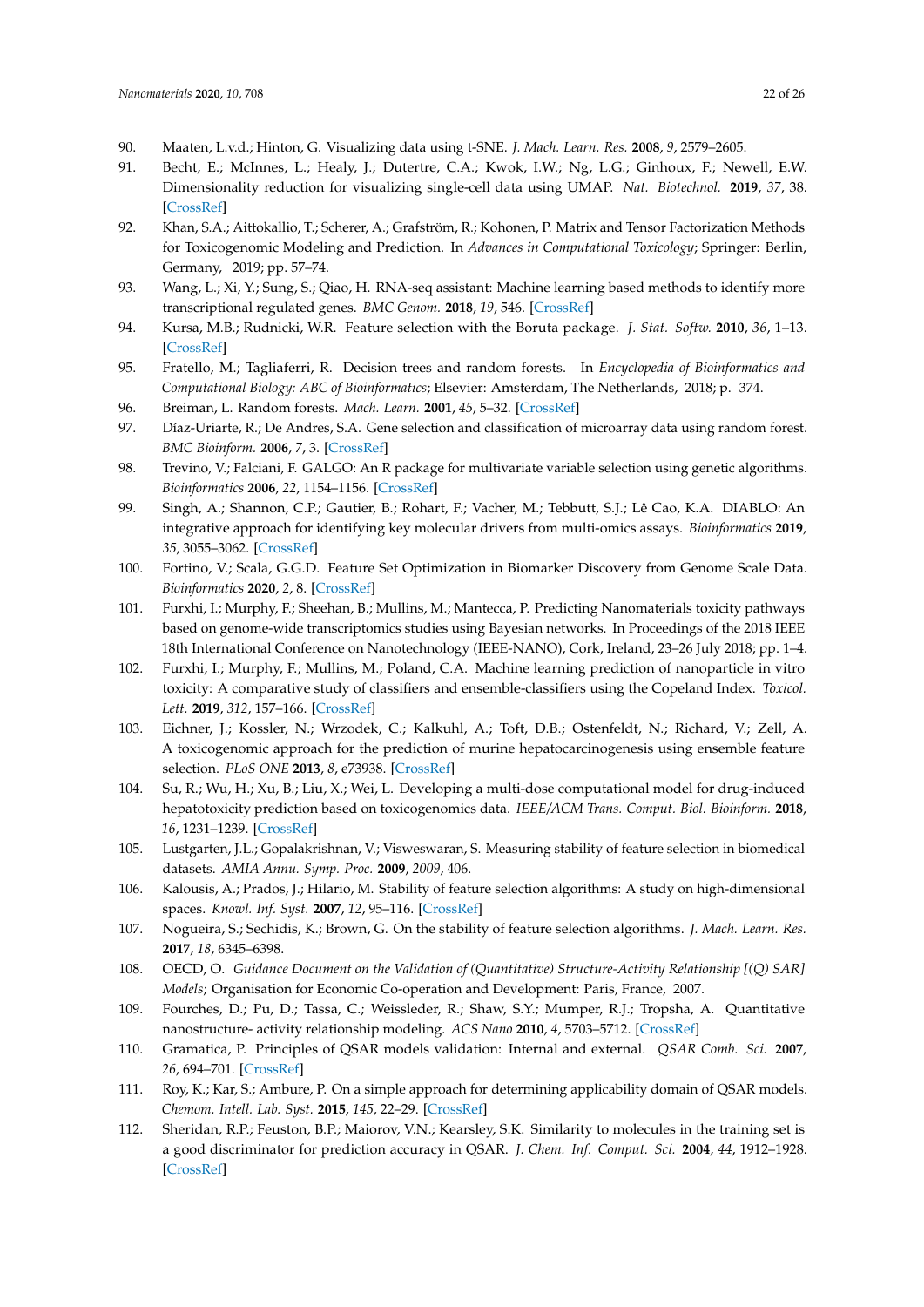- <span id="page-21-0"></span>90. Maaten, L.v.d.; Hinton, G. Visualizing data using t-SNE. *J. Mach. Learn. Res.* **2008**, *9*, 2579–2605.
- <span id="page-21-1"></span>91. Becht, E.; McInnes, L.; Healy, J.; Dutertre, C.A.; Kwok, I.W.; Ng, L.G.; Ginhoux, F.; Newell, E.W. Dimensionality reduction for visualizing single-cell data using UMAP. *Nat. Biotechnol.* **2019**, *37*, 38. [\[CrossRef\]](http://dx.doi.org/10.1038/nbt.4314)
- <span id="page-21-2"></span>92. Khan, S.A.; Aittokallio, T.; Scherer, A.; Grafström, R.; Kohonen, P. Matrix and Tensor Factorization Methods for Toxicogenomic Modeling and Prediction. In *Advances in Computational Toxicology*; Springer: Berlin, Germany, 2019; pp. 57–74.
- <span id="page-21-3"></span>93. Wang, L.; Xi, Y.; Sung, S.; Qiao, H. RNA-seq assistant: Machine learning based methods to identify more transcriptional regulated genes. *BMC Genom.* **2018**, *19*, 546. [\[CrossRef\]](http://dx.doi.org/10.1186/s12864-018-4932-2)
- <span id="page-21-4"></span>94. Kursa, M.B.; Rudnicki, W.R. Feature selection with the Boruta package. *J. Stat. Softw.* **2010**, *36*, 1–13. [\[CrossRef\]](http://dx.doi.org/10.18637/jss.v036.i11)
- <span id="page-21-5"></span>95. Fratello, M.; Tagliaferri, R. Decision trees and random forests. In *Encyclopedia of Bioinformatics and Computational Biology: ABC of Bioinformatics*; Elsevier: Amsterdam, The Netherlands, 2018; p. 374.
- <span id="page-21-6"></span>96. Breiman, L. Random forests. *Mach. Learn.* **2001**, *45*, 5–32. [\[CrossRef\]](http://dx.doi.org/10.1023/A:1010933404324)
- <span id="page-21-7"></span>97. Díaz-Uriarte, R.; De Andres, S.A. Gene selection and classification of microarray data using random forest. *BMC Bioinform.* **2006**, *7*, 3. [\[CrossRef\]](http://dx.doi.org/10.1186/1471-2105-7-3)
- <span id="page-21-8"></span>98. Trevino, V.; Falciani, F. GALGO: An R package for multivariate variable selection using genetic algorithms. *Bioinformatics* **2006**, *22*, 1154–1156. [\[CrossRef\]](http://dx.doi.org/10.1093/bioinformatics/btl074)
- <span id="page-21-9"></span>99. Singh, A.; Shannon, C.P.; Gautier, B.; Rohart, F.; Vacher, M.; Tebbutt, S.J.; Lê Cao, K.A. DIABLO: An integrative approach for identifying key molecular drivers from multi-omics assays. *Bioinformatics* **2019**, *35*, 3055–3062. [\[CrossRef\]](http://dx.doi.org/10.1093/bioinformatics/bty1054)
- <span id="page-21-10"></span>100. Fortino, V.; Scala, G.G.D. Feature Set Optimization in Biomarker Discovery from Genome Scale Data. *Bioinformatics* **2020**, *2*, 8. [\[CrossRef\]](http://dx.doi.org/10.1093/bioinformatics/btaa144)
- <span id="page-21-11"></span>101. Furxhi, I.; Murphy, F.; Sheehan, B.; Mullins, M.; Mantecca, P. Predicting Nanomaterials toxicity pathways based on genome-wide transcriptomics studies using Bayesian networks. In Proceedings of the 2018 IEEE 18th International Conference on Nanotechnology (IEEE-NANO), Cork, Ireland, 23–26 July 2018; pp. 1–4.
- <span id="page-21-12"></span>102. Furxhi, I.; Murphy, F.; Mullins, M.; Poland, C.A. Machine learning prediction of nanoparticle in vitro toxicity: A comparative study of classifiers and ensemble-classifiers using the Copeland Index. *Toxicol. Lett.* **2019**, *312*, 157–166. [\[CrossRef\]](http://dx.doi.org/10.1016/j.toxlet.2019.05.016)
- <span id="page-21-13"></span>103. Eichner, J.; Kossler, N.; Wrzodek, C.; Kalkuhl, A.; Toft, D.B.; Ostenfeldt, N.; Richard, V.; Zell, A. A toxicogenomic approach for the prediction of murine hepatocarcinogenesis using ensemble feature selection. *PLoS ONE* **2013**, *8*, e73938. [\[CrossRef\]](http://dx.doi.org/10.1371/journal.pone.0073938)
- <span id="page-21-14"></span>104. Su, R.; Wu, H.; Xu, B.; Liu, X.; Wei, L. Developing a multi-dose computational model for drug-induced hepatotoxicity prediction based on toxicogenomics data. *IEEE/ACM Trans. Comput. Biol. Bioinform.* **2018**, *16*, 1231–1239. [\[CrossRef\]](http://dx.doi.org/10.1109/TCBB.2018.2858756)
- <span id="page-21-15"></span>105. Lustgarten, J.L.; Gopalakrishnan, V.; Visweswaran, S. Measuring stability of feature selection in biomedical datasets. *AMIA Annu. Symp. Proc.* **2009**, *2009*, 406.
- <span id="page-21-16"></span>106. Kalousis, A.; Prados, J.; Hilario, M. Stability of feature selection algorithms: A study on high-dimensional spaces. *Knowl. Inf. Syst.* **2007**, *12*, 95–116. [\[CrossRef\]](http://dx.doi.org/10.1007/s10115-006-0040-8)
- <span id="page-21-17"></span>107. Nogueira, S.; Sechidis, K.; Brown, G. On the stability of feature selection algorithms. *J. Mach. Learn. Res.* **2017**, *18*, 6345–6398.
- <span id="page-21-18"></span>108. OECD, O. *Guidance Document on the Validation of (Quantitative) Structure-Activity Relationship [(Q) SAR] Models*; Organisation for Economic Co-operation and Development: Paris, France, 2007.
- <span id="page-21-19"></span>109. Fourches, D.; Pu, D.; Tassa, C.; Weissleder, R.; Shaw, S.Y.; Mumper, R.J.; Tropsha, A. Quantitative nanostructure- activity relationship modeling. *ACS Nano* **2010**, *4*, 5703–5712. [\[CrossRef\]](http://dx.doi.org/10.1021/nn1013484)
- <span id="page-21-20"></span>110. Gramatica, P. Principles of QSAR models validation: Internal and external. *QSAR Comb. Sci.* **2007**, *26*, 694–701. [\[CrossRef\]](http://dx.doi.org/10.1002/qsar.200610151)
- <span id="page-21-21"></span>111. Roy, K.; Kar, S.; Ambure, P. On a simple approach for determining applicability domain of QSAR models. *Chemom. Intell. Lab. Syst.* **2015**, *145*, 22–29. [\[CrossRef\]](http://dx.doi.org/10.1016/j.chemolab.2015.04.013)
- <span id="page-21-22"></span>112. Sheridan, R.P.; Feuston, B.P.; Maiorov, V.N.; Kearsley, S.K. Similarity to molecules in the training set is a good discriminator for prediction accuracy in QSAR. *J. Chem. Inf. Comput. Sci.* **2004**, *44*, 1912–1928. [\[CrossRef\]](http://dx.doi.org/10.1021/ci049782w)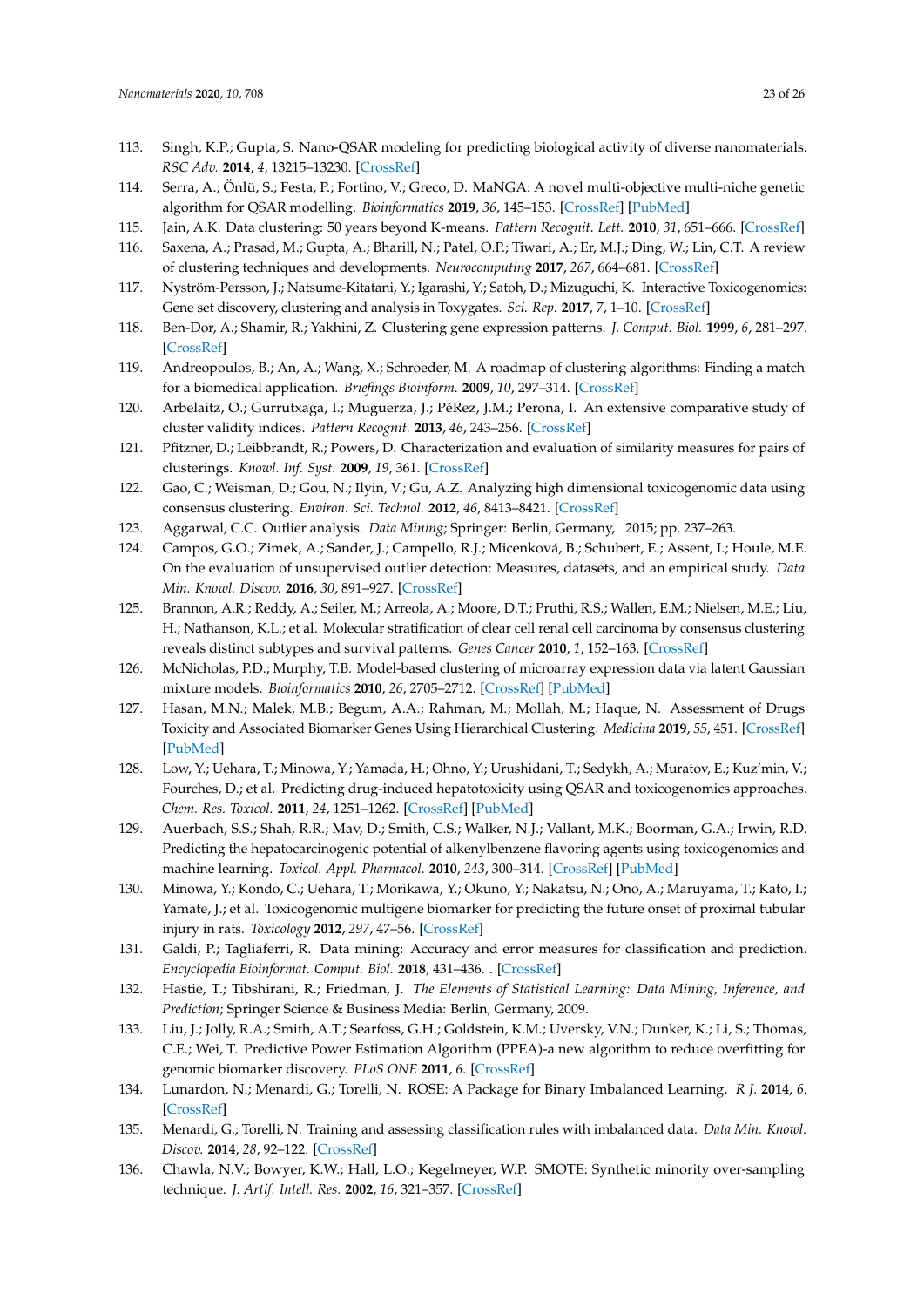- <span id="page-22-0"></span>113. Singh, K.P.; Gupta, S. Nano-QSAR modeling for predicting biological activity of diverse nanomaterials. *RSC Adv.* **2014**, *4*, 13215–13230. [\[CrossRef\]](http://dx.doi.org/10.1039/C4RA01274G)
- <span id="page-22-1"></span>114. Serra, A.; Önlü, S.; Festa, P.; Fortino, V.; Greco, D. MaNGA: A novel multi-objective multi-niche genetic algorithm for QSAR modelling. *Bioinformatics* **2019**, *36*, 145–153. [\[CrossRef\]](http://dx.doi.org/10.1093/bioinformatics/btz521) [\[PubMed\]](http://www.ncbi.nlm.nih.gov/pubmed/31233136)
- <span id="page-22-2"></span>115. Jain, A.K. Data clustering: 50 years beyond K-means. *Pattern Recognit. Lett.* **2010**, *31*, 651–666. [\[CrossRef\]](http://dx.doi.org/10.1016/j.patrec.2009.09.011)
- <span id="page-22-3"></span>116. Saxena, A.; Prasad, M.; Gupta, A.; Bharill, N.; Patel, O.P.; Tiwari, A.; Er, M.J.; Ding, W.; Lin, C.T. A review of clustering techniques and developments. *Neurocomputing* **2017**, *267*, 664–681. [\[CrossRef\]](http://dx.doi.org/10.1016/j.neucom.2017.06.053)
- <span id="page-22-4"></span>117. Nyström-Persson, J.; Natsume-Kitatani, Y.; Igarashi, Y.; Satoh, D.; Mizuguchi, K. Interactive Toxicogenomics: Gene set discovery, clustering and analysis in Toxygates. *Sci. Rep.* **2017**, *7*, 1–10. [\[CrossRef\]](http://dx.doi.org/10.1038/s41598-017-01500-1)
- 118. Ben-Dor, A.; Shamir, R.; Yakhini, Z. Clustering gene expression patterns. *J. Comput. Biol.* **1999**, *6*, 281–297. [\[CrossRef\]](http://dx.doi.org/10.1089/106652799318274)
- <span id="page-22-5"></span>119. Andreopoulos, B.; An, A.; Wang, X.; Schroeder, M. A roadmap of clustering algorithms: Finding a match for a biomedical application. *Briefings Bioinform.* **2009**, *10*, 297–314. [\[CrossRef\]](http://dx.doi.org/10.1093/bib/bbn058)
- <span id="page-22-6"></span>120. Arbelaitz, O.; Gurrutxaga, I.; Muguerza, J.; PéRez, J.M.; Perona, I. An extensive comparative study of cluster validity indices. *Pattern Recognit.* **2013**, *46*, 243–256. [\[CrossRef\]](http://dx.doi.org/10.1016/j.patcog.2012.07.021)
- <span id="page-22-7"></span>121. Pfitzner, D.; Leibbrandt, R.; Powers, D. Characterization and evaluation of similarity measures for pairs of clusterings. *Knowl. Inf. Syst.* **2009**, *19*, 361. [\[CrossRef\]](http://dx.doi.org/10.1007/s10115-008-0150-6)
- <span id="page-22-8"></span>122. Gao, C.; Weisman, D.; Gou, N.; Ilyin, V.; Gu, A.Z. Analyzing high dimensional toxicogenomic data using consensus clustering. *Environ. Sci. Technol.* **2012**, *46*, 8413–8421. [\[CrossRef\]](http://dx.doi.org/10.1021/es3000454)
- <span id="page-22-10"></span><span id="page-22-9"></span>123. Aggarwal, C.C. Outlier analysis. *Data Mining*; Springer: Berlin, Germany, 2015; pp. 237–263.
- 124. Campos, G.O.; Zimek, A.; Sander, J.; Campello, R.J.; Micenková, B.; Schubert, E.; Assent, I.; Houle, M.E. On the evaluation of unsupervised outlier detection: Measures, datasets, and an empirical study. *Data Min. Knowl. Discov.* **2016**, *30*, 891–927. [\[CrossRef\]](http://dx.doi.org/10.1007/s10618-015-0444-8)
- <span id="page-22-11"></span>125. Brannon, A.R.; Reddy, A.; Seiler, M.; Arreola, A.; Moore, D.T.; Pruthi, R.S.; Wallen, E.M.; Nielsen, M.E.; Liu, H.; Nathanson, K.L.; et al. Molecular stratification of clear cell renal cell carcinoma by consensus clustering reveals distinct subtypes and survival patterns. *Genes Cancer* **2010**, *1*, 152–163. [\[CrossRef\]](http://dx.doi.org/10.1177/1947601909359929)
- <span id="page-22-12"></span>126. McNicholas, P.D.; Murphy, T.B. Model-based clustering of microarray expression data via latent Gaussian mixture models. *Bioinformatics* **2010**, *26*, 2705–2712. [\[CrossRef\]](http://dx.doi.org/10.1093/bioinformatics/btq498) [\[PubMed\]](http://www.ncbi.nlm.nih.gov/pubmed/20802251)
- <span id="page-22-13"></span>127. Hasan, M.N.; Malek, M.B.; Begum, A.A.; Rahman, M.; Mollah, M.; Haque, N. Assessment of Drugs Toxicity and Associated Biomarker Genes Using Hierarchical Clustering. *Medicina* **2019**, *55*, 451. [\[CrossRef\]](http://dx.doi.org/10.3390/medicina55080451) [\[PubMed\]](http://www.ncbi.nlm.nih.gov/pubmed/31398888)
- <span id="page-22-14"></span>128. Low, Y.; Uehara, T.; Minowa, Y.; Yamada, H.; Ohno, Y.; Urushidani, T.; Sedykh, A.; Muratov, E.; Kuz'min, V.; Fourches, D.; et al. Predicting drug-induced hepatotoxicity using QSAR and toxicogenomics approaches. *Chem. Res. Toxicol.* **2011**, *24*, 1251–1262. [\[CrossRef\]](http://dx.doi.org/10.1021/tx200148a) [\[PubMed\]](http://www.ncbi.nlm.nih.gov/pubmed/21699217)
- 129. Auerbach, S.S.; Shah, R.R.; Mav, D.; Smith, C.S.; Walker, N.J.; Vallant, M.K.; Boorman, G.A.; Irwin, R.D. Predicting the hepatocarcinogenic potential of alkenylbenzene flavoring agents using toxicogenomics and machine learning. *Toxicol. Appl. Pharmacol.* **2010**, *243*, 300–314. [\[CrossRef\]](http://dx.doi.org/10.1016/j.taap.2009.11.021) [\[PubMed\]](http://www.ncbi.nlm.nih.gov/pubmed/20004213)
- <span id="page-22-15"></span>130. Minowa, Y.; Kondo, C.; Uehara, T.; Morikawa, Y.; Okuno, Y.; Nakatsu, N.; Ono, A.; Maruyama, T.; Kato, I.; Yamate, J.; et al. Toxicogenomic multigene biomarker for predicting the future onset of proximal tubular injury in rats. *Toxicology* **2012**, *297*, 47–56. [\[CrossRef\]](http://dx.doi.org/10.1016/j.tox.2012.03.014)
- <span id="page-22-16"></span>131. Galdi, P.; Tagliaferri, R. Data mining: Accuracy and error measures for classification and prediction. *Encyclopedia Bioinformat. Comput. Biol.* **2018**, 431–436. . [\[CrossRef\]](http://dx.doi.org/10.1016/B978-0-12-809633-8.20474-3)
- <span id="page-22-17"></span>132. Hastie, T.; Tibshirani, R.; Friedman, J. *The Elements of Statistical Learning: Data Mining, Inference, and Prediction*; Springer Science & Business Media: Berlin, Germany, 2009.
- <span id="page-22-18"></span>133. Liu, J.; Jolly, R.A.; Smith, A.T.; Searfoss, G.H.; Goldstein, K.M.; Uversky, V.N.; Dunker, K.; Li, S.; Thomas, C.E.; Wei, T. Predictive Power Estimation Algorithm (PPEA)-a new algorithm to reduce overfitting for genomic biomarker discovery. *PLoS ONE* **2011**, *6*. [\[CrossRef\]](http://dx.doi.org/10.1371/journal.pone.0024233)
- <span id="page-22-19"></span>134. Lunardon, N.; Menardi, G.; Torelli, N. ROSE: A Package for Binary Imbalanced Learning. *R J.* **2014**, *6*. [\[CrossRef\]](http://dx.doi.org/10.32614/RJ-2014-008)
- <span id="page-22-20"></span>135. Menardi, G.; Torelli, N. Training and assessing classification rules with imbalanced data. *Data Min. Knowl. Discov.* **2014**, *28*, 92–122. [\[CrossRef\]](http://dx.doi.org/10.1007/s10618-012-0295-5)
- <span id="page-22-21"></span>136. Chawla, N.V.; Bowyer, K.W.; Hall, L.O.; Kegelmeyer, W.P. SMOTE: Synthetic minority over-sampling technique. *J. Artif. Intell. Res.* **2002**, *16*, 321–357. [\[CrossRef\]](http://dx.doi.org/10.1613/jair.953)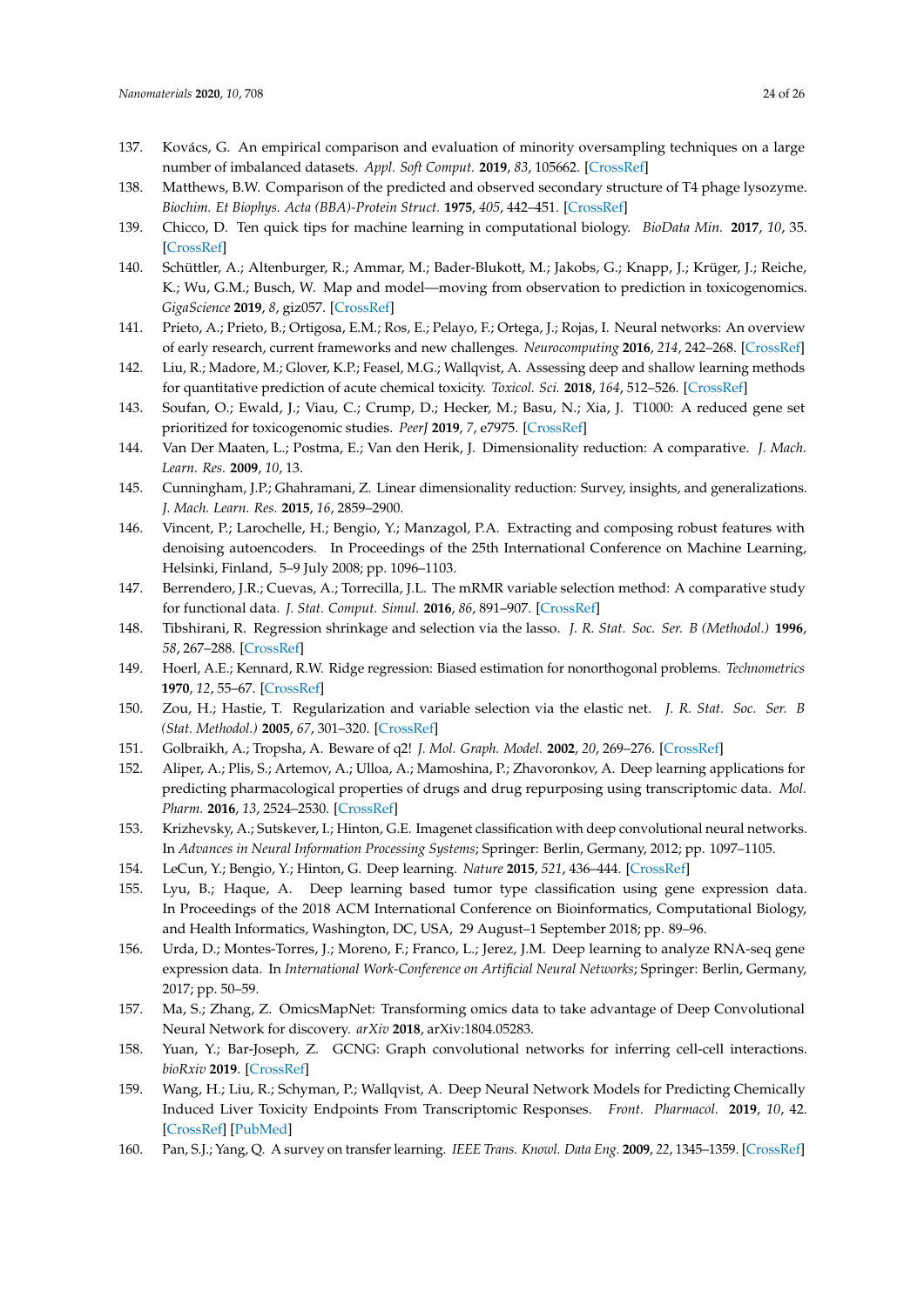- <span id="page-23-0"></span>137. Kovács, G. An empirical comparison and evaluation of minority oversampling techniques on a large number of imbalanced datasets. *Appl. Soft Comput.* **2019**, *83*, 105662. [\[CrossRef\]](http://dx.doi.org/10.1016/j.asoc.2019.105662)
- <span id="page-23-1"></span>138. Matthews, B.W. Comparison of the predicted and observed secondary structure of T4 phage lysozyme. *Biochim. Et Biophys. Acta (BBA)-Protein Struct.* **1975**, *405*, 442–451. [\[CrossRef\]](http://dx.doi.org/10.1016/0005-2795(75)90109-9)
- <span id="page-23-2"></span>139. Chicco, D. Ten quick tips for machine learning in computational biology. *BioData Min.* **2017**, *10*, 35. [\[CrossRef\]](http://dx.doi.org/10.1186/s13040-017-0155-3)
- <span id="page-23-3"></span>140. Schüttler, A.; Altenburger, R.; Ammar, M.; Bader-Blukott, M.; Jakobs, G.; Knapp, J.; Krüger, J.; Reiche, K.; Wu, G.M.; Busch, W. Map and model—moving from observation to prediction in toxicogenomics. *GigaScience* **2019**, *8*, giz057. [\[CrossRef\]](http://dx.doi.org/10.1093/gigascience/giz057)
- <span id="page-23-4"></span>141. Prieto, A.; Prieto, B.; Ortigosa, E.M.; Ros, E.; Pelayo, F.; Ortega, J.; Rojas, I. Neural networks: An overview of early research, current frameworks and new challenges. *Neurocomputing* **2016**, *214*, 242–268. [\[CrossRef\]](http://dx.doi.org/10.1016/j.neucom.2016.06.014)
- <span id="page-23-5"></span>142. Liu, R.; Madore, M.; Glover, K.P.; Feasel, M.G.; Wallqvist, A. Assessing deep and shallow learning methods for quantitative prediction of acute chemical toxicity. *Toxicol. Sci.* **2018**, *164*, 512–526. [\[CrossRef\]](http://dx.doi.org/10.1093/toxsci/kfy111)
- <span id="page-23-6"></span>143. Soufan, O.; Ewald, J.; Viau, C.; Crump, D.; Hecker, M.; Basu, N.; Xia, J. T1000: A reduced gene set prioritized for toxicogenomic studies. *PeerJ* **2019**, *7*, e7975. [\[CrossRef\]](http://dx.doi.org/10.7717/peerj.7975)
- <span id="page-23-7"></span>144. Van Der Maaten, L.; Postma, E.; Van den Herik, J. Dimensionality reduction: A comparative. *J. Mach. Learn. Res.* **2009**, *10*, 13.
- 145. Cunningham, J.P.; Ghahramani, Z. Linear dimensionality reduction: Survey, insights, and generalizations. *J. Mach. Learn. Res.* **2015**, *16*, 2859–2900.
- <span id="page-23-8"></span>146. Vincent, P.; Larochelle, H.; Bengio, Y.; Manzagol, P.A. Extracting and composing robust features with denoising autoencoders. In Proceedings of the 25th International Conference on Machine Learning, Helsinki, Finland, 5–9 July 2008; pp. 1096–1103.
- <span id="page-23-9"></span>147. Berrendero, J.R.; Cuevas, A.; Torrecilla, J.L. The mRMR variable selection method: A comparative study for functional data. *J. Stat. Comput. Simul.* **2016**, *86*, 891–907. [\[CrossRef\]](http://dx.doi.org/10.1080/00949655.2015.1042378)
- <span id="page-23-10"></span>148. Tibshirani, R. Regression shrinkage and selection via the lasso. *J. R. Stat. Soc. Ser. B (Methodol.)* **1996**, *58*, 267–288. [\[CrossRef\]](http://dx.doi.org/10.1111/j.2517-6161.1996.tb02080.x)
- <span id="page-23-11"></span>149. Hoerl, A.E.; Kennard, R.W. Ridge regression: Biased estimation for nonorthogonal problems. *Technometrics* **1970**, *12*, 55–67. [\[CrossRef\]](http://dx.doi.org/10.1080/00401706.1970.10488634)
- <span id="page-23-12"></span>150. Zou, H.; Hastie, T. Regularization and variable selection via the elastic net. *J. R. Stat. Soc. Ser. B (Stat. Methodol.)* **2005**, *67*, 301–320. [\[CrossRef\]](http://dx.doi.org/10.1111/j.1467-9868.2005.00503.x)
- <span id="page-23-13"></span>151. Golbraikh, A.; Tropsha, A. Beware of q2! *J. Mol. Graph. Model.* **2002**, *20*, 269–276. [\[CrossRef\]](http://dx.doi.org/10.1016/S1093-3263(01)00123-1)
- <span id="page-23-14"></span>152. Aliper, A.; Plis, S.; Artemov, A.; Ulloa, A.; Mamoshina, P.; Zhavoronkov, A. Deep learning applications for predicting pharmacological properties of drugs and drug repurposing using transcriptomic data. *Mol. Pharm.* **2016**, *13*, 2524–2530. [\[CrossRef\]](http://dx.doi.org/10.1021/acs.molpharmaceut.6b00248)
- <span id="page-23-15"></span>153. Krizhevsky, A.; Sutskever, I.; Hinton, G.E. Imagenet classification with deep convolutional neural networks. In *Advances in Neural Information Processing Systems*; Springer: Berlin, Germany, 2012; pp. 1097–1105.
- <span id="page-23-16"></span>154. LeCun, Y.; Bengio, Y.; Hinton, G. Deep learning. *Nature* **2015**, *521*, 436–444. [\[CrossRef\]](http://dx.doi.org/10.1038/nature14539)
- <span id="page-23-17"></span>155. Lyu, B.; Haque, A. Deep learning based tumor type classification using gene expression data. In Proceedings of the 2018 ACM International Conference on Bioinformatics, Computational Biology, and Health Informatics, Washington, DC, USA, 29 August–1 September 2018; pp. 89–96.
- <span id="page-23-18"></span>156. Urda, D.; Montes-Torres, J.; Moreno, F.; Franco, L.; Jerez, J.M. Deep learning to analyze RNA-seq gene expression data. In *International Work-Conference on Artificial Neural Networks*; Springer: Berlin, Germany, 2017; pp. 50–59.
- <span id="page-23-19"></span>157. Ma, S.; Zhang, Z. OmicsMapNet: Transforming omics data to take advantage of Deep Convolutional Neural Network for discovery. *arXiv* **2018**, arXiv:1804.05283.
- <span id="page-23-20"></span>158. Yuan, Y.; Bar-Joseph, Z. GCNG: Graph convolutional networks for inferring cell-cell interactions. *bioRxiv* **2019**. [\[CrossRef\]](http://dx.doi.org/10.1101/2019.12.23.887133)
- <span id="page-23-21"></span>159. Wang, H.; Liu, R.; Schyman, P.; Wallqvist, A. Deep Neural Network Models for Predicting Chemically Induced Liver Toxicity Endpoints From Transcriptomic Responses. *Front. Pharmacol.* **2019**, *10*, 42. [\[CrossRef\]](http://dx.doi.org/10.3389/fphar.2019.00042) [\[PubMed\]](http://www.ncbi.nlm.nih.gov/pubmed/30804783)
- <span id="page-23-22"></span>160. Pan, S.J.; Yang, Q. A survey on transfer learning. *IEEE Trans. Knowl. Data Eng.* **2009**, *22*, 1345–1359. [\[CrossRef\]](http://dx.doi.org/10.1109/TKDE.2009.191)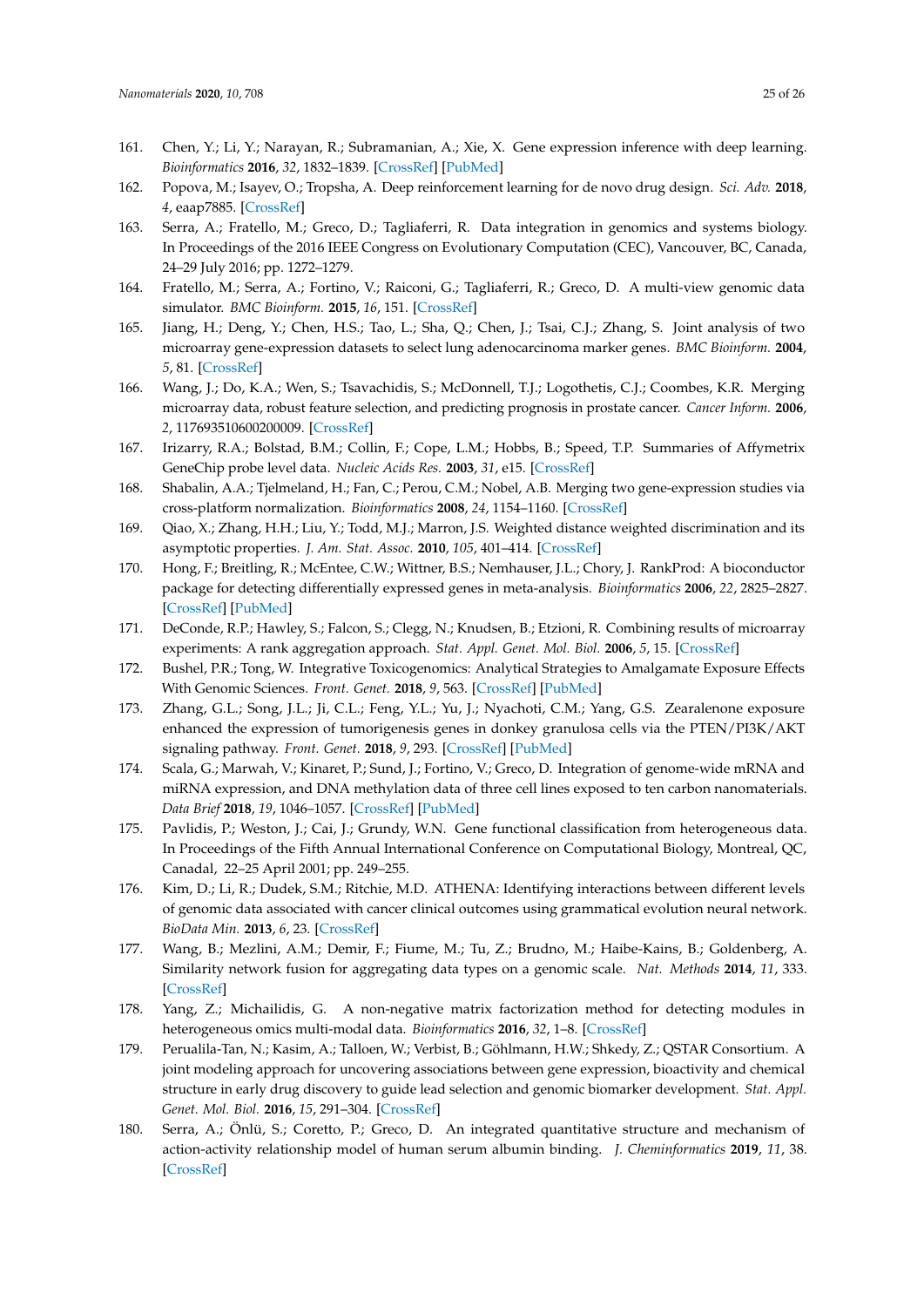- <span id="page-24-0"></span>161. Chen, Y.; Li, Y.; Narayan, R.; Subramanian, A.; Xie, X. Gene expression inference with deep learning. *Bioinformatics* **2016**, *32*, 1832–1839. [\[CrossRef\]](http://dx.doi.org/10.1093/bioinformatics/btw074) [\[PubMed\]](http://www.ncbi.nlm.nih.gov/pubmed/26873929)
- <span id="page-24-1"></span>162. Popova, M.; Isayev, O.; Tropsha, A. Deep reinforcement learning for de novo drug design. *Sci. Adv.* **2018**, *4*, eaap7885. [\[CrossRef\]](http://dx.doi.org/10.1126/sciadv.aap7885)
- <span id="page-24-2"></span>163. Serra, A.; Fratello, M.; Greco, D.; Tagliaferri, R. Data integration in genomics and systems biology. In Proceedings of the 2016 IEEE Congress on Evolutionary Computation (CEC), Vancouver, BC, Canada, 24–29 July 2016; pp. 1272–1279.
- <span id="page-24-3"></span>164. Fratello, M.; Serra, A.; Fortino, V.; Raiconi, G.; Tagliaferri, R.; Greco, D. A multi-view genomic data simulator. *BMC Bioinform.* **2015**, *16*, 151. [\[CrossRef\]](http://dx.doi.org/10.1186/s12859-015-0577-1)
- <span id="page-24-4"></span>165. Jiang, H.; Deng, Y.; Chen, H.S.; Tao, L.; Sha, Q.; Chen, J.; Tsai, C.J.; Zhang, S. Joint analysis of two microarray gene-expression datasets to select lung adenocarcinoma marker genes. *BMC Bioinform.* **2004**, *5*, 81. [\[CrossRef\]](http://dx.doi.org/10.1186/1471-2105-5-81)
- <span id="page-24-5"></span>166. Wang, J.; Do, K.A.; Wen, S.; Tsavachidis, S.; McDonnell, T.J.; Logothetis, C.J.; Coombes, K.R. Merging microarray data, robust feature selection, and predicting prognosis in prostate cancer. *Cancer Inform.* **2006**, *2*, 117693510600200009. [\[CrossRef\]](http://dx.doi.org/10.1177/117693510600200009)
- <span id="page-24-6"></span>167. Irizarry, R.A.; Bolstad, B.M.; Collin, F.; Cope, L.M.; Hobbs, B.; Speed, T.P. Summaries of Affymetrix GeneChip probe level data. *Nucleic Acids Res.* **2003**, *31*, e15. [\[CrossRef\]](http://dx.doi.org/10.1093/nar/gng015)
- 168. Shabalin, A.A.; Tjelmeland, H.; Fan, C.; Perou, C.M.; Nobel, A.B. Merging two gene-expression studies via cross-platform normalization. *Bioinformatics* **2008**, *24*, 1154–1160. [\[CrossRef\]](http://dx.doi.org/10.1093/bioinformatics/btn083)
- <span id="page-24-7"></span>169. Qiao, X.; Zhang, H.H.; Liu, Y.; Todd, M.J.; Marron, J.S. Weighted distance weighted discrimination and its asymptotic properties. *J. Am. Stat. Assoc.* **2010**, *105*, 401–414. [\[CrossRef\]](http://dx.doi.org/10.1198/jasa.2010.tm08487)
- <span id="page-24-8"></span>170. Hong, F.; Breitling, R.; McEntee, C.W.; Wittner, B.S.; Nemhauser, J.L.; Chory, J. RankProd: A bioconductor package for detecting differentially expressed genes in meta-analysis. *Bioinformatics* **2006**, *22*, 2825–2827. [\[CrossRef\]](http://dx.doi.org/10.1093/bioinformatics/btl476) [\[PubMed\]](http://www.ncbi.nlm.nih.gov/pubmed/16982708)
- <span id="page-24-9"></span>171. DeConde, R.P.; Hawley, S.; Falcon, S.; Clegg, N.; Knudsen, B.; Etzioni, R. Combining results of microarray experiments: A rank aggregation approach. *Stat. Appl. Genet. Mol. Biol.* **2006**, *5*, 15. [\[CrossRef\]](http://dx.doi.org/10.2202/1544-6115.1204)
- <span id="page-24-10"></span>172. Bushel, P.R.; Tong, W. Integrative Toxicogenomics: Analytical Strategies to Amalgamate Exposure Effects With Genomic Sciences. *Front. Genet.* **2018**, *9*, 563. [\[CrossRef\]](http://dx.doi.org/10.3389/fgene.2018.00563) [\[PubMed\]](http://www.ncbi.nlm.nih.gov/pubmed/30542369)
- <span id="page-24-11"></span>173. Zhang, G.L.; Song, J.L.; Ji, C.L.; Feng, Y.L.; Yu, J.; Nyachoti, C.M.; Yang, G.S. Zearalenone exposure enhanced the expression of tumorigenesis genes in donkey granulosa cells via the PTEN/PI3K/AKT signaling pathway. *Front. Genet.* **2018**, *9*, 293. [\[CrossRef\]](http://dx.doi.org/10.3389/fgene.2018.00293) [\[PubMed\]](http://www.ncbi.nlm.nih.gov/pubmed/30108608)
- <span id="page-24-12"></span>174. Scala, G.; Marwah, V.; Kinaret, P.; Sund, J.; Fortino, V.; Greco, D. Integration of genome-wide mRNA and miRNA expression, and DNA methylation data of three cell lines exposed to ten carbon nanomaterials. *Data Brief* **2018**, *19*, 1046–1057. [\[CrossRef\]](http://dx.doi.org/10.1016/j.dib.2018.05.107) [\[PubMed\]](http://www.ncbi.nlm.nih.gov/pubmed/30228994)
- <span id="page-24-13"></span>175. Pavlidis, P.; Weston, J.; Cai, J.; Grundy, W.N. Gene functional classification from heterogeneous data. In Proceedings of the Fifth Annual International Conference on Computational Biology, Montreal, QC, Canadal, 22–25 April 2001; pp. 249–255.
- <span id="page-24-14"></span>176. Kim, D.; Li, R.; Dudek, S.M.; Ritchie, M.D. ATHENA: Identifying interactions between different levels of genomic data associated with cancer clinical outcomes using grammatical evolution neural network. *BioData Min.* **2013**, *6*, 23. [\[CrossRef\]](http://dx.doi.org/10.1186/1756-0381-6-23)
- <span id="page-24-15"></span>177. Wang, B.; Mezlini, A.M.; Demir, F.; Fiume, M.; Tu, Z.; Brudno, M.; Haibe-Kains, B.; Goldenberg, A. Similarity network fusion for aggregating data types on a genomic scale. *Nat. Methods* **2014**, *11*, 333. [\[CrossRef\]](http://dx.doi.org/10.1038/nmeth.2810)
- <span id="page-24-16"></span>178. Yang, Z.; Michailidis, G. A non-negative matrix factorization method for detecting modules in heterogeneous omics multi-modal data. *Bioinformatics* **2016**, *32*, 1–8. [\[CrossRef\]](http://dx.doi.org/10.1093/bioinformatics/btv544)
- <span id="page-24-17"></span>179. Perualila-Tan, N.; Kasim, A.; Talloen, W.; Verbist, B.; Göhlmann, H.W.; Shkedy, Z.; QSTAR Consortium. A joint modeling approach for uncovering associations between gene expression, bioactivity and chemical structure in early drug discovery to guide lead selection and genomic biomarker development. *Stat. Appl. Genet. Mol. Biol.* **2016**, *15*, 291–304. [\[CrossRef\]](http://dx.doi.org/10.1515/sagmb-2014-0086)
- <span id="page-24-18"></span>180. Serra, A.; Önlü, S.; Coretto, P.; Greco, D. An integrated quantitative structure and mechanism of action-activity relationship model of human serum albumin binding. *J. Cheminformatics* **2019**, *11*, 38. [\[CrossRef\]](http://dx.doi.org/10.1186/s13321-019-0359-2)